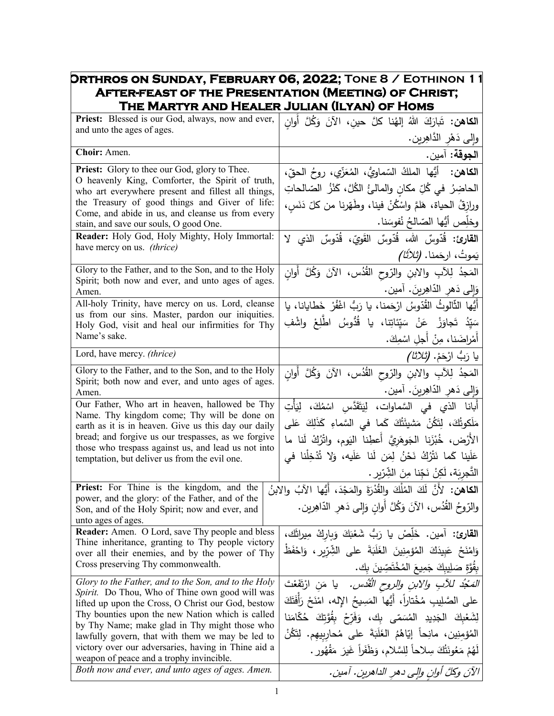| DRTHROS ON SUNDAY, FEBRUARY 06, 2022; TONE 8 / EOTHINON 11                                                                                          |                                                                                                                                    |  |
|-----------------------------------------------------------------------------------------------------------------------------------------------------|------------------------------------------------------------------------------------------------------------------------------------|--|
| <b>AFTER-FEAST OF THE PRESENTATION (MEETING) OF CHRIST;</b>                                                                                         |                                                                                                                                    |  |
| THE MARTYR AND HEALER JULIAN (ILYAN) OF HOMS                                                                                                        |                                                                                                                                    |  |
| Priest: Blessed is our God, always, now and ever,   المَّاهِن: تَبَارَكَ اللهُ إلهُنا كلَّ حينِ، الآنَ وَكُلَّ أَوانِ<br>and unto the ages of ages. |                                                                                                                                    |  |
|                                                                                                                                                     | وإلى دَهْرِ الدَّاهِرِينِ.                                                                                                         |  |
| Choir: Amen.                                                                                                                                        | ا <b>لجوقة:</b> آمين.                                                                                                              |  |
| Priest: Glory to thee our God, glory to Thee.<br>O heavenly King, Comforter, the Spirit of truth,                                                   | الكاهن: أيُّها الملكُ السّماويُّ، المُعَزِّي، روحُ الحقِّ،                                                                         |  |
| who art everywhere present and fillest all things,                                                                                                  | الحاضِرُ في كُلِّ مكانِ والمالئُ الكُلَّ، كَنْزُ الصّالحاتِ                                                                        |  |
| the Treasury of good things and Giver of life:                                                                                                      | ورازِقُ الحياة، هَلمَّ واسْكُنْ فينا، وطَهّرنا من كلّ دَنَسٍ،                                                                      |  |
| Come, and abide in us, and cleanse us from every<br>stain, and save our souls, O good One.                                                          | وخلِّص أَيُّها الصّالحُ نُفوسَنا.                                                                                                  |  |
| Reader: Holy God, Holy Mighty, Holy Immortal:                                                                                                       | ا <b>لقارئ:</b> قُدّوسٌ الله، قُدّوسٌ القَويّ، قُدّوسٌ الذي لا                                                                     |  |
| have mercy on us. (thrice)                                                                                                                          | يَموتُ، ارجَمنا. <i>(تٰلائًا)</i>                                                                                                  |  |
| Glory to the Father, and to the Son, and to the Holy                                                                                                | المَجدُ لِلأَبِ والابنِ والرّوحِ القُدُس، الآنَ وَكُلَّ أَوان                                                                      |  |
| Spirit; both now and ever, and unto ages of ages.<br>Amen.                                                                                          | وَإِلَى دَهْرِ الدّاهِرِينَ. أَمين.                                                                                                |  |
| All-holy Trinity, have mercy on us. Lord, cleanse                                                                                                   | أَيُّها الثَّالوثُ القُدّوسُ ارْحَمنا، يا رَبُّ اغْفُرْ خَطايانا، يا                                                               |  |
| us from our sins. Master, pardon our iniquities.<br>Holy God, visit and heal our infirmities for Thy                                                | سَيّدُ تَجاوَزْ عَنْ سَيّئاتِنا، يا قُدُّوسُ اطّْلِعْ واشْفِ                                                                       |  |
| Name's sake.                                                                                                                                        | أَمْراضَنا، مِنْ أَجلِ اسْمِكَ.                                                                                                    |  |
| Lord, have mercy. (thrice)                                                                                                                          | يا رَبُّ ارْحَمْ. <i>(ثلاثا)</i>                                                                                                   |  |
| Glory to the Father, and to the Son, and to the Holy                                                                                                | المَجدُ لِلآبِ والابنِ والرّوحِ القُدُس، الآنَ وَكُلَّ أَوانِ                                                                      |  |
| Spirit; both now and ever, and unto ages of ages.<br>Amen.                                                                                          | وَإِلَى دَهرِ الذّاهِرِينَ. آمين.                                                                                                  |  |
| Our Father, Who art in heaven, hallowed be Thy                                                                                                      | أبانا الذي في السَّماوات، لِيَتَقَدَّسِ اسْمُكَ، لِيَأْتِ                                                                          |  |
| Name. Thy kingdom come; Thy will be done on                                                                                                         | مَلَكوتُكَ، لِتَكُنْ مَشيئَتُكَ كَما في السَّماءِ كَذَلِكَ عَلى                                                                    |  |
| earth as it is in heaven. Give us this day our daily<br>bread; and forgive us our trespasses, as we forgive                                         | الأَرْض، خُبْزَنا الْجَوهَرِيَّ أَعطِنا اليَوم، واتْرُكْ لَنا ما                                                                   |  |
| those who trespass against us, and lead us not into                                                                                                 | عَلَينا كَما نَتْرُكُ نَحْنُ لِمَن لَنا عَلَيه، وَلا تُدْخِلْنا في                                                                 |  |
| temptation, but deliver us from the evil one.                                                                                                       |                                                                                                                                    |  |
| Priest: For Thine is the kingdom, and the                                                                                                           | التَّجرِيَة، لَكِنْ نَجِّنا مِنَ الشِّرّيرِ .<br>ا <b>لكاهن:</b> لأَنَّ لَكَ المُلْكَ والقُذْرَةَ والمَجْدَ، أَيُّها الآبُ والابنُ |  |
| power, and the glory: of the Father, and of the                                                                                                     |                                                                                                                                    |  |
| Son, and of the Holy Spirit; now and ever, and<br>unto ages of ages.                                                                                | والرّوحُ القُدُس، الآنَ وَكُلَّ أُوانِ وَإِلَى دَهْرِ الدّاهِرين.                                                                  |  |
| <b>Reader:</b> Amen. O Lord, save Thy people and bless<br>Thine inheritance, granting to Thy people victory                                         | القارئ: آمين. خَلِّصْ يا رَبُّ شَعْبَكَ وَبِارِكْ مِيراثَك،                                                                        |  |
| over all their enemies, and by the power of Thy                                                                                                     | وَامْنَحْ عَبِيدَكَ الْمُؤْمِنِينَ الْغَلَبَةَ على الشِّرِّيرِ ، وَاحْفَظْ                                                         |  |
| Cross preserving Thy commonwealth.                                                                                                                  | بِقُوَّةِ صَلِيبِكَ جَمِيعَ الْمُخْتَصِّينَ بِك.                                                                                   |  |
| Glory to the Father, and to the Son, and to the Holy<br>Spirit. Do Thou, Who of Thine own good will was                                             | <i>المَجْدُ للأبِ والابنِ والروح القُدْس.</i> يا مَنِ ارْتَفَعْتَ                                                                  |  |
| lifted up upon the Cross, O Christ our God, bestow                                                                                                  | على الصَّلِيبِ مُخْتاراً، أَيُّها المَسِيحُ اﻹله، امْنَحْ رَأَفَتَكَ                                                               |  |
| Thy bounties upon the new Nation which is called<br>by Thy Name; make glad in Thy might those who                                                   | لِشَعْبِكَ الْجَدِيدِ الْمُسَمّى بِكَ، وَفَرّحْ بِقُوَّتِكَ حُكَّامَنا                                                             |  |
| lawfully govern, that with them we may be led to                                                                                                    | المُؤمنِين، مانِحاً إِيّاهُمُ الغَلَبَةَ على مُحارِبِيهِم. لِتَكُنْ                                                                |  |
| victory over our adversaries, having in Thine aid a<br>weapon of peace and a trophy invincible.                                                     | لَهُمْ مَعُونَتُكَ سِلاحاً لِلسَّلامِ، وَظَفَراً غَيرَ مَقْهُورٍ .                                                                 |  |
| Both now and ever, and unto ages of ages. Amen.                                                                                                     | الآنَ وكلَّ أوانِ والِي دهرِ الداهرينِ. آمينِ.                                                                                     |  |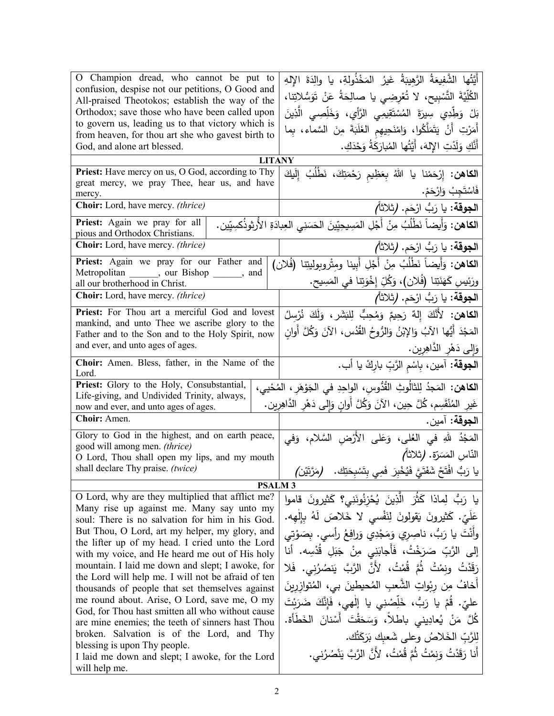| O Champion dread, who cannot be put to<br>confusion, despise not our petitions, O Good and          | أَيَّتُها الشَّفِيعَةُ الرَّهيبَةُ غَيرُ المَخْذُولةِ، يا والِدَةَ الإِلهِ                            |
|-----------------------------------------------------------------------------------------------------|-------------------------------------------------------------------------------------------------------|
| All-praised Theotokos; establish the way of the                                                     | الكُلِّيَّةَ التَّسْبِيح، لا تُعْرِضِي يا صالِحَةُ عَنْ تَوَسُّلاتِنا،                                |
| Orthodox; save those who have been called upon<br>to govern us, leading us to that victory which is | بَلْ وَطِّدِي سِيرَةَ المُسْتَقِيمِي الرَّأْيِ، وَخَلِّصِي الَّذِينَ                                  |
| from heaven, for thou art she who gavest birth to                                                   | أَمَرْتِ أَنْ يَتَمَلَّكُوا، وَامْنَحِيهِم الغَلَبَةَ مِنَ السَّماء، بِما                             |
| God, and alone art blessed.                                                                         | أَنَّكِ وَلَدْتِ الإِلهَ، أَيَّتُها المُبارَكَةُ وَحْدَكِ.                                            |
| <b>LITANY</b>                                                                                       |                                                                                                       |
| Priest: Have mercy on us, O God, according to Thy<br>great mercy, we pray Thee, hear us, and have   | ا <b>لْكاهن:</b> إِرْحَمْنا يا اللهُ بِعَظِيم رَحْمَتِكَ، نَطْلُبُ إِلَيكَ                            |
| mercy.                                                                                              | فَاسْتَجِبْ وَارْحَمْ.                                                                                |
| Choir: Lord, have mercy. (thrice)                                                                   | ا <b>لجوقة:</b> يا رَبُّ ارْحَم. (ثلاثاً)                                                             |
| Priest: Again we pray for all                                                                       | ا <b>لكاهن:</b> وَأَيضاً نَطْلُبُ مِنْ أَجْلِ المَسِيحِيِّينَ الحَسَنِى العِبادَةِ الأَرثوذُكسِيِّين. |
| pious and Orthodox Christians.<br>Choir: Lord, have mercy. (thrice)                                 |                                                                                                       |
|                                                                                                     | ا <b>لجوقة:</b> يا رَبُّ ارْحَم. (ثلاثاً <i>)</i>                                                     |
| Priest: Again we pray for our Father and<br>Metropolitan , our Bishop, and                          | ا <b>لكاهن:</b> وَأَيضاً نَطْلُبُ مِنْ أَجْلِ أَبينا ومِتْروبوليتِنا (فُلان)                          |
| all our brotherhood in Christ.                                                                      | ورَئِيسِ كَهَنَتِنا (فُلان)، وَكُلِّ إِخْوَتِنا في المَسِيحِ.                                         |
| Choir: Lord, have mercy. (thrice)                                                                   | ا <b>لجوقة:</b> يا رَبُّ ارْحَم. (ثلاثاً <i>)</i>                                                     |
| Priest: For Thou art a merciful God and lovest                                                      | ا <b>لْكاهن:</b> لأَنَّكَ إِلهٌ رَحِيمٌ وَمُحِبٌّ لِلبَشَرِ ، وَلَكَ نُرْسِلُ                         |
| mankind, and unto Thee we ascribe glory to the<br>Father and to the Son and to the Holy Spirit, now | المَجْدَ أَيُّها الآبُ وَالإِبْنُ وَالرُّوحُ القُدُسِ، الآنَ وَكُلَّ أُوانِ                           |
| and ever, and unto ages of ages.                                                                    | وَإِلَى دَهْرِ الدَّاهِرِينِ.                                                                         |
| Choir: Amen. Bless, father, in the Name of the<br>Lord.                                             | ا <b>لجوقة</b> : آمين، بِاسْم الرَّبِّ بارِكْ يا أب.                                                  |
| Priest: Glory to the Holy, Consubstantial,                                                          | الكاهن: المَجدُ لِلثالُوثِ القُدُوسِ، الواحِدِ في الجَوْهَرِ ، المُحْيي،                              |
| Life-giving, and Undivided Trinity, always,<br>now and ever, and unto ages of ages.                 | غَيرِ المُنْقَسِم، كُلَّ حِين، الآنَ وَكُلَّ أُوانِ وَإِلى دَهْرِ الدَّاهِرِين.                       |
| Choir: Amen.                                                                                        | ا <b>لجوقة:</b> آمين.                                                                                 |
| Glory to God in the highest, and on earth peace,                                                    | المَجْدُ للهِ في العُلى، وَعَلى الأَرْضِ السَّلام، وَفي                                               |
| good will among men. (thrice)<br>O Lord, Thou shall open my lips, and my mouth                      | النّاس المَسَرّة. (ثلاثاً)                                                                            |
| shall declare Thy praise. (twice)                                                                   | يا رَبُّ افْتَحْ شَفَتَيَّ فَيُخْبِرَ فَمِي بِتَسْبِحَتِك.     (مَرَّتَيْن)                           |
| <b>PSALM 3</b>                                                                                      |                                                                                                       |
| O Lord, why are they multiplied that afflict me?                                                    | يا رَبُّ لِماذا كَثُرَ الَّذِينَ يُحْزِنُونَنِي؟ كَثيرونَ قاموا                                       |
| Many rise up against me. Many say unto my                                                           | عَلَيّ. كَثيرونَ يَقولونَ لِنَفْسي لا خَلاصَ لَهُ بِإِلْهِه.                                          |
| soul: There is no salvation for him in his God.<br>But Thou, O Lord, art my helper, my glory, and   |                                                                                                       |
| the lifter up of my head. I cried unto the Lord                                                     | وأَنْتَ يا رَبُّ، ناصِري وَمَجْدِي وَرافِعُ رأسي. بِصَوْتِي                                           |
| with my voice, and He heard me out of His holy                                                      | إِلَى الرَّبِّ صَرَخْتُ، فَأَجابَنِي مِنْ جَبَلِ قُدْسِه. أنا                                         |
| mountain. I laid me down and slept; I awoke, for                                                    | رَقَدْتُ ونِمْتُ ثُمَّ قُمْتُ، لأَنَّ الرَّبَّ يَنصُرُنِي. فَلا                                       |
| the Lord will help me. I will not be afraid of ten                                                  | أخافُ مِن رِبْواتِ الشَّعبِ المُحيطينَ بي، المُتوازرينَ                                               |
| thousands of people that set themselves against                                                     |                                                                                                       |
| me round about. Arise, O Lord, save me, O my<br>God, for Thou hast smitten all who without cause    | عليِّ. قُمْ يا رَبُّ، خَلِّصْنِي يا إلٰهي، فَإِنَّكَ ضَرَبْتَ                                         |
| are mine enemies; the teeth of sinners hast Thou                                                    | كُلَّ مَنْ يُعادِيني باطلاً، وَسَحَقْتَ أَسْنانَ الخَطَأة.                                            |
| broken. Salvation is of the Lord, and Thy                                                           | لِلرَّبِّ الْخَلاصُ وعلى شَعبك بَرَكَتُك.                                                             |
| blessing is upon Thy people.                                                                        |                                                                                                       |
| I laid me down and slept; I awoke, for the Lord                                                     | أنا رَقَدْتُ وَنِمْتُ ثُمَّ قُمْتُ، لأَنَّ الرَّبَّ يَنْصُرُني.                                       |
| will help me.                                                                                       |                                                                                                       |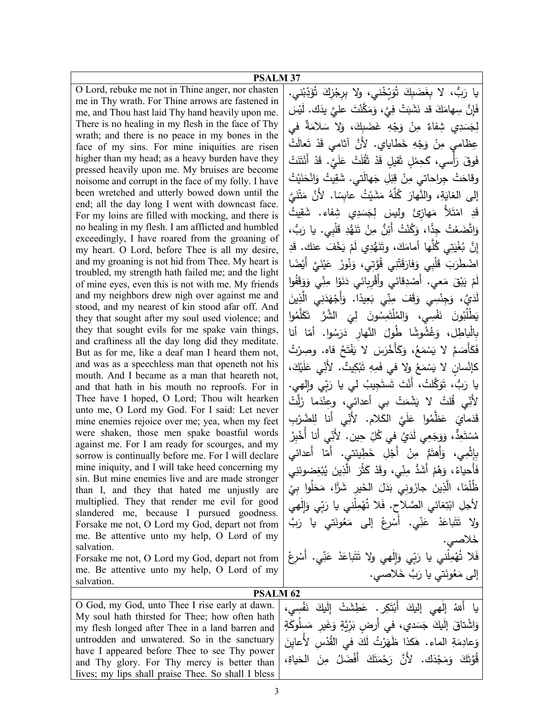| <b>PSALM 37</b>                                                                                                                                                                                                                                                                                                                                                                                                                                                                                                                                                                                                                                                                                                                                                                                                                                                                                                                                                                                                                                                                                                                                                                                                                                                                                                                                                                                                                                                                                                                                                                                                                                                                                                                                                                                                                                                                                                                                                                                                                                                                                                                                                                                                                                  |                 |                                                                                                                                                                                                                                                                                                                                                                                                                                                                                                                                                                                                                                                                                                                                                                                                                                                                                                                                                                                                                                                                                                                                                                                                                                                                                                                                                                                                                                                                                                                                                                                                                                                                                                                                                                                                                                                                                                                    |
|--------------------------------------------------------------------------------------------------------------------------------------------------------------------------------------------------------------------------------------------------------------------------------------------------------------------------------------------------------------------------------------------------------------------------------------------------------------------------------------------------------------------------------------------------------------------------------------------------------------------------------------------------------------------------------------------------------------------------------------------------------------------------------------------------------------------------------------------------------------------------------------------------------------------------------------------------------------------------------------------------------------------------------------------------------------------------------------------------------------------------------------------------------------------------------------------------------------------------------------------------------------------------------------------------------------------------------------------------------------------------------------------------------------------------------------------------------------------------------------------------------------------------------------------------------------------------------------------------------------------------------------------------------------------------------------------------------------------------------------------------------------------------------------------------------------------------------------------------------------------------------------------------------------------------------------------------------------------------------------------------------------------------------------------------------------------------------------------------------------------------------------------------------------------------------------------------------------------------------------------------|-----------------|--------------------------------------------------------------------------------------------------------------------------------------------------------------------------------------------------------------------------------------------------------------------------------------------------------------------------------------------------------------------------------------------------------------------------------------------------------------------------------------------------------------------------------------------------------------------------------------------------------------------------------------------------------------------------------------------------------------------------------------------------------------------------------------------------------------------------------------------------------------------------------------------------------------------------------------------------------------------------------------------------------------------------------------------------------------------------------------------------------------------------------------------------------------------------------------------------------------------------------------------------------------------------------------------------------------------------------------------------------------------------------------------------------------------------------------------------------------------------------------------------------------------------------------------------------------------------------------------------------------------------------------------------------------------------------------------------------------------------------------------------------------------------------------------------------------------------------------------------------------------------------------------------------------------|
| O Lord, rebuke me not in Thine anger, nor chasten<br>me in Thy wrath. For Thine arrows are fastened in<br>me, and Thou hast laid Thy hand heavily upon me.<br>There is no healing in my flesh in the face of Thy<br>wrath; and there is no peace in my bones in the<br>face of my sins. For mine iniquities are risen<br>higher than my head; as a heavy burden have they<br>pressed heavily upon me. My bruises are become<br>noisome and corrupt in the face of my folly. I have<br>been wretched and utterly bowed down until the<br>end; all the day long I went with downcast face.<br>For my loins are filled with mocking, and there is<br>no healing in my flesh. I am afflicted and humbled<br>exceedingly, I have roared from the groaning of<br>my heart. O Lord, before Thee is all my desire,<br>and my groaning is not hid from Thee. My heart is<br>troubled, my strength hath failed me; and the light<br>of mine eyes, even this is not with me. My friends<br>and my neighbors drew nigh over against me and<br>stood, and my nearest of kin stood afar off. And<br>they that sought after my soul used violence; and<br>they that sought evils for me spake vain things,<br>and craftiness all the day long did they meditate.<br>But as for me, like a deaf man I heard them not,<br>and was as a speechless man that openeth not his<br>mouth. And I became as a man that heareth not,<br>and that hath in his mouth no reproofs. For in<br>Thee have I hoped, O Lord; Thou wilt hearken<br>unto me, O Lord my God. For I said: Let never<br>mine enemies rejoice over me; yea, when my feet<br>were shaken, those men spake boastful words<br>against me. For I am ready for scourges, and my<br>sorrow is continually before me. For I will declare<br>mine iniquity, and I will take heed concerning my<br>sin. But mine enemies live and are made stronger<br>than I, and they that hated me unjustly are<br>multiplied. They that render me evil for good<br>slandered me, because I pursued goodness.<br>Forsake me not, O Lord my God, depart not from<br>me. Be attentive unto my help, O Lord of my<br>salvation.<br>Forsake me not, O Lord my God, depart not from<br>me. Be attentive unto my help, O Lord of my |                 | يا رَبُّ، لا بِغَضَبِكَ تُوَبِّخْني، ولا بِرِجْزِكَ تُؤَدِّبْني.<br>فَإِنَّ سِهامَكَ قد نَشَبَتْ فِيَّ، وَمَكَّنْتَ عليَّ يدَك. لَيْسَ<br>لِجَسَدِي شِفاءٌ مِنْ وَجْهِ غَضَبِكَ، وَلا سَلامَةٌ في<br>عِظامي مِنْ وَجْهِ خَطاياي. لأَنَّ آثامي قَدْ تَعالَتْ<br>فَوقَ رَأْسي، كَحِمْلِ ثَقيلِ قَدْ ثَقُلَتْ عَلَيَّ. قَدْ أَنْتَنَتْ<br>وقاحَتْ جِراحاتي مِنْ قِبَلِ جَهالَتي. شَقِيتُ وَانْحَنَيْتُ<br>إلى الغايَةِ، والنَّهارَ كُلَّهُ مَشَيْتُ عابِسًا. لأَنَّ مَتْنَيَّ<br>قَدِ امْتَلاً مَهازِئَ وليسَ لِجَسَدِي شِفاء. شَقِيتُ<br>وَاتَّضَعْتُ جِدًّا، وَكُنْتُ أَئِنُّ مِنْ تَنَهُّدِ قَلْبِي. يا رَبُّ،<br>إِنَّ بُغْيَتِي كُلُّها أَمامَكَ، وتَنَهُّدِي لَمْ يَخْفَ عنك. قَدِ<br>اضْطَرَبَ قَلْبِي وَفارَقَتْنِي قُوَّتِي، وَنُورُ عَيْنَيَّ أَيْضًا<br>لَمْ يَبْقَ مَعى. أَصْدِقائى وأَقْرِبائى دَنَوْا مِنِّى وَوَقَفُوا<br>لَدَيَّ، وَجِنْسِي وَقَفَ مِنِّي بَعِيدًا. وَأَجْهَدَنِي الَّذِينَ<br>يَطْلُبُونَ نَفْسِى، وَالمُلْتَمِسُونَ لِىَ الشَّرَّ تَكَلَّمُوا<br>بِالْبِاطِلِ، وَغُشُوشًا طُولَ النَّهارِ دَرَسُوا. أَمّا أَنا<br>فَكَأْصَمَّ لا يَسْمَعُ، وَكَأَخْرَسَ لا يَفْتَحُ فاه. وصِرْتُ<br>كَإِنْسانِ لا يَسْمَعُ ولا في فَمِهِ تَبْكِيتٌ. لأنِّي عَلَيْكَ،<br>يا رَبُ، تَوَكَّلتُ، أَنْتَ تَستَجِيبُ لي يا رَبِّي وإِلهي.<br>لأُنِّي قُلتُ لا يَشْمَتْ بي أعدائي، وعِنْدَما زَلَّتْ<br>قَدَمايَ عَظَّمُوا عَلَيَّ الكَلام. لأُنِّي أنا لِلضَّرْبِ<br>مُسْتَعِدٌّ ، وَوَجَعِي لَدَيَّ في كُلِّ حِين. لأَنِّي أَنا أُخْبِرُ<br>بِإِثْمِي، وَأَهْتَمُّ مِنْ أَجْلِ خَطِيئَتَى. أَمَّا أَعدائي<br>فَأَحياءُ، وَهُمْ أَشَدُّ مِنِّي، وقَدْ كَثُرَ  الَّذِينَ  يُبْغِضونَنِي<br>ظُلْمًا، الَّذِينَ جازَونِي بَدَلَ الخَيرِ شَرًّا، مَحَلُوا بِيُ<br>لأجلِ ابْتِغائي الصَّلاحِ. فَلا تُهْمِلْني يا رَبِّي وَإِلْهي<br>ولا تَتَباعَدْ عَنِّي. أَسْرِعْ إلى مَعُونَتي يا رَبَّ<br>خَلاصي.<br>فَلا تُهْمِلْني يا رَبِّي وَإِلْهِي ولا تَتَباعَدْ عَنِّي. أَسْرِعْ<br>إلى مَعُونَتي يا رَبَّ خَلاصي. |
| salvation.                                                                                                                                                                                                                                                                                                                                                                                                                                                                                                                                                                                                                                                                                                                                                                                                                                                                                                                                                                                                                                                                                                                                                                                                                                                                                                                                                                                                                                                                                                                                                                                                                                                                                                                                                                                                                                                                                                                                                                                                                                                                                                                                                                                                                                       |                 |                                                                                                                                                                                                                                                                                                                                                                                                                                                                                                                                                                                                                                                                                                                                                                                                                                                                                                                                                                                                                                                                                                                                                                                                                                                                                                                                                                                                                                                                                                                                                                                                                                                                                                                                                                                                                                                                                                                    |
| O God, my God, unto Thee I rise early at dawn.                                                                                                                                                                                                                                                                                                                                                                                                                                                                                                                                                                                                                                                                                                                                                                                                                                                                                                                                                                                                                                                                                                                                                                                                                                                                                                                                                                                                                                                                                                                                                                                                                                                                                                                                                                                                                                                                                                                                                                                                                                                                                                                                                                                                   | <b>PSALM 62</b> |                                                                                                                                                                                                                                                                                                                                                                                                                                                                                                                                                                                                                                                                                                                                                                                                                                                                                                                                                                                                                                                                                                                                                                                                                                                                                                                                                                                                                                                                                                                                                                                                                                                                                                                                                                                                                                                                                                                    |
| My soul hath thirsted for Thee; how often hath<br>my flesh longed after Thee in a land barren and<br>untrodden and unwatered. So in the sanctuary<br>have I appeared before Thee to see Thy power<br>and Thy glory. For Thy mercy is better than                                                                                                                                                                                                                                                                                                                                                                                                                                                                                                                                                                                                                                                                                                                                                                                                                                                                                                                                                                                                                                                                                                                                                                                                                                                                                                                                                                                                                                                                                                                                                                                                                                                                                                                                                                                                                                                                                                                                                                                                 |                 | يا أللهُ إِلْهِي إِلَيْكَ أَبْتَكِرٍ. عَطِشَتْ إِلَيْكَ نَفْسِي،<br>وَاشْتاقَ إِلَيكَ جَسَدي، في أَرضِ بَرِّيَّةٍ وَغَيرِ مَسلُوكَةٍ<br>وَعادِمَةِ الماء. هٰكذا ظَهَرْتُ لَكَ في القُدْسِ لأعايِنَ<br>قُوَّتَكَ وَمَجْدَكَ. لأَنَّ رَحْمَتَكَ أَفْضَلُ مِنَ الْحَياةِ،                                                                                                                                                                                                                                                                                                                                                                                                                                                                                                                                                                                                                                                                                                                                                                                                                                                                                                                                                                                                                                                                                                                                                                                                                                                                                                                                                                                                                                                                                                                                                                                                                                             |
|                                                                                                                                                                                                                                                                                                                                                                                                                                                                                                                                                                                                                                                                                                                                                                                                                                                                                                                                                                                                                                                                                                                                                                                                                                                                                                                                                                                                                                                                                                                                                                                                                                                                                                                                                                                                                                                                                                                                                                                                                                                                                                                                                                                                                                                  |                 |                                                                                                                                                                                                                                                                                                                                                                                                                                                                                                                                                                                                                                                                                                                                                                                                                                                                                                                                                                                                                                                                                                                                                                                                                                                                                                                                                                                                                                                                                                                                                                                                                                                                                                                                                                                                                                                                                                                    |

lives; my lips shall praise Thee. So shall I bless

r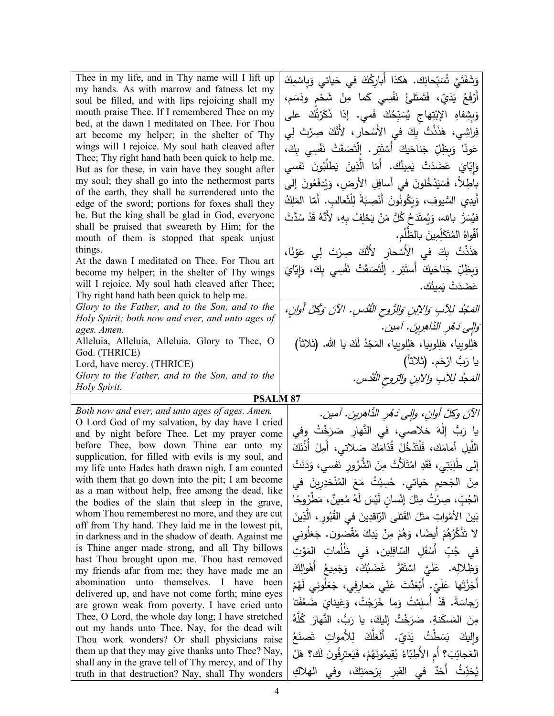| Thee in my life, and in Thy name will I lift up<br>my hands. As with marrow and fatness let my<br>soul be filled, and with lips rejoicing shall my<br>mouth praise Thee. If I remembered Thee on my<br>bed, at the dawn I meditated on Thee. For Thou<br>art become my helper; in the shelter of Thy<br>wings will I rejoice. My soul hath cleaved after<br>Thee; Thy right hand hath been quick to help me.<br>But as for these, in vain have they sought after<br>my soul; they shall go into the nethermost parts<br>of the earth, they shall be surrendered unto the<br>edge of the sword; portions for foxes shall they<br>be. But the king shall be glad in God, everyone<br>shall be praised that sweareth by Him; for the<br>mouth of them is stopped that speak unjust<br>things.<br>At the dawn I meditated on Thee. For Thou art<br>become my helper; in the shelter of Thy wings<br>will I rejoice. My soul hath cleaved after Thee;<br>Thy right hand hath been quick to help me.<br>Glory to the Father, and to the Son, and to the<br>Holy Spirit; both now and ever, and unto ages of<br>ages. Amen.<br>Alleluia, Alleluia, Alleluia. Glory to Thee, O | وَشَفَتَيَّ شُبَدانِك. هٰكذا أبارِكُكَ في حَياتي وَبِاسْمِكَ<br>أَرْفَعُ يَدَيِّ، فَتَمتَلَّئُ نَفْسِي كَما مِنْ شَحْمٍ ودَسَمٍ،<br>وَبِشِفاهِ الإِبْتِهاج يُسَبِّحُكَ فَمي. إذا ذَكَرْتُكَ على<br>فِراشِي، هَذَنْتُ بِكَ في الأَسْحارِ ، لأَنَّكَ صِرْتَ لِي<br>عَونًا وَبِظِلِّ جَناحَيكَ أَسْتَتِرٍ . إِلْتَصَقَتْ نَفْسِي بِكَ،<br>وَإِيّايَ عَضَدَتْ يَمِينُك. أَمّا الَّذِينَ يَطْلُبُونَ نَفسى<br>باطِلاً، فَسَيَدْخُلُونَ في أَسافِلِ الأَرضِ، وَيُدفَعُونَ إلى<br>أيدِي السُّيوفِ، وَيَكُونُونَ أَنْصِبَةً لِلْثَعالبِ. أمّا المَلِكُ<br>فيُسَرُّ بالله، وَيُمتَدَحُ كُلُّ مَنْ يَحْلِفُ بِهِ، لأَنَّهُ قَدْ سُدَّتْ<br>أَفْواهُ الْمُتَكَلِّمِينَ بِالظَّلْمِ.<br>هَذَذْتُ بِكَ في الأَسْحارِ لأَنَّكَ صِرْتَ لِي عَوْنًا،<br>وَبِظِلِّ جَناحَيكَ أَستَتِر . إِنْتَصَقَتْ نَفْسِي بِكَ، وَإِيّايَ<br>عَضَدَتْ يَمِينُك.<br>المَدْجُد للِآبِ وَالِإِبنِ وَالرُّوحِ الْقُدْسِ. الآنَ وَكُلَّ أُوانِ،<br>وَالِي دَهْرِ الذَّاهِرِينَ. آمين.<br>هَلِلوبِيا، هَلِلوبِيا، هَلِلوبِيا، المَجْدُ لَكَ يا الله. (ثلاثاً) |
|------------------------------------------------------------------------------------------------------------------------------------------------------------------------------------------------------------------------------------------------------------------------------------------------------------------------------------------------------------------------------------------------------------------------------------------------------------------------------------------------------------------------------------------------------------------------------------------------------------------------------------------------------------------------------------------------------------------------------------------------------------------------------------------------------------------------------------------------------------------------------------------------------------------------------------------------------------------------------------------------------------------------------------------------------------------------------------------------------------------------------------------------------------------------|---------------------------------------------------------------------------------------------------------------------------------------------------------------------------------------------------------------------------------------------------------------------------------------------------------------------------------------------------------------------------------------------------------------------------------------------------------------------------------------------------------------------------------------------------------------------------------------------------------------------------------------------------------------------------------------------------------------------------------------------------------------------------------------------------------------------------------------------------------------------------------------------------------------------------------------------------------------------------------------------------------------------------|
| God. (THRICE)<br>Lord, have mercy. (THRICE)                                                                                                                                                                                                                                                                                                                                                                                                                                                                                                                                                                                                                                                                                                                                                                                                                                                                                                                                                                                                                                                                                                                            | يا رَبُّ ارْحَم. (ثلاثاً)                                                                                                                                                                                                                                                                                                                                                                                                                                                                                                                                                                                                                                                                                                                                                                                                                                                                                                                                                                                                 |
| Glory to the Father, and to the Son, and to the                                                                                                                                                                                                                                                                                                                                                                                                                                                                                                                                                                                                                                                                                                                                                                                                                                                                                                                                                                                                                                                                                                                        | المَحِدُ للِآبِ والابنِ والرّوحِ القُدُسِ.                                                                                                                                                                                                                                                                                                                                                                                                                                                                                                                                                                                                                                                                                                                                                                                                                                                                                                                                                                                |
| Holy Spirit.                                                                                                                                                                                                                                                                                                                                                                                                                                                                                                                                                                                                                                                                                                                                                                                                                                                                                                                                                                                                                                                                                                                                                           |                                                                                                                                                                                                                                                                                                                                                                                                                                                                                                                                                                                                                                                                                                                                                                                                                                                                                                                                                                                                                           |
| <b>PSALM 87</b><br>Both now and ever, and unto ages of ages. Amen.                                                                                                                                                                                                                                                                                                                                                                                                                                                                                                                                                                                                                                                                                                                                                                                                                                                                                                                                                                                                                                                                                                     | الآنَ وكلَّ أُوانٍ، وإلى دَهْرِ الدَّاهرينِ. آمين.                                                                                                                                                                                                                                                                                                                                                                                                                                                                                                                                                                                                                                                                                                                                                                                                                                                                                                                                                                        |
| O Lord God of my salvation, by day have I cried<br>and by night before Thee. Let my prayer come<br>before Thee, bow down Thine ear unto my<br>supplication, for filled with evils is my soul, and<br>my life unto Hades hath drawn nigh. I am counted<br>with them that go down into the pit; I am become<br>as a man without help, free among the dead, like<br>the bodies of the slain that sleep in the grave,<br>whom Thou rememberest no more, and they are cut<br>off from Thy hand. They laid me in the lowest pit,<br>in darkness and in the shadow of death. Against me<br>is Thine anger made strong, and all Thy billows                                                                                                                                                                                                                                                                                                                                                                                                                                                                                                                                    | يا رَبُّ إلٰهَ خلاصي، في النَّهارِ صَرَخْتُ وفي<br>اللَّيلِ أمامَكَ، فَلْتَدْخُلْ قُدّامَكَ صَلاتي، أَمِلْ أَذُنَكَ<br>إِلَى طَٰلِبَتِي، فَقَدِ امْتَلَأَتْ مِنَ الشُّرُورِ نَفْسَى، وَدَنَتْ<br>مِنَ الْجَحيمِ حَياتي. حُسِبْتُ مَعَ الْمُنْحَدِرِينَ في<br>الْجُبِّ، صِرْتُ مِثْلَ إِنْسانٍ لَيْسَ لَهُ مُعِينٌ، مَطْرُوحًا<br>بَينَ الأَمْواتِ مثلَ القَتلى الرّاقدِينَ في القُبُورِ ، الَّذِينَ<br>لا تَذْكُرُهُمْ أَيضًا، وَهُمْ مِنْ يَدِكَ مُقْصَون. جَعَلُوني                                                                                                                                                                                                                                                                                                                                                                                                                                                                                                                                                     |
| hast Thou brought upon me. Thou hast removed<br>my friends afar from me; they have made me an<br>abomination unto themselves. I have been<br>delivered up, and have not come forth; mine eyes<br>are grown weak from poverty. I have cried unto<br>Thee, O Lord, the whole day long; I have stretched<br>out my hands unto Thee. Nay, for the dead wilt<br>Thou work wonders? Or shall physicians raise<br>them up that they may give thanks unto Thee? Nay,<br>shall any in the grave tell of Thy mercy, and of Thy<br>truth in that destruction? Nay, shall Thy wonders                                                                                                                                                                                                                                                                                                                                                                                                                                                                                                                                                                                              | في جُبِّ أَسْفَلِ السّافِلِين، في ظُلُماتِ المَوْتِ<br>وَظِلالِه. عَلَىَّ اسْتَقَرَّ غَضَبُكَ، وَجَمِيعُ أَهْوالِكَ<br>أَجَزْتَها عَلَيّ. أَبْعَدْتَ عَنِّي مَعارِفِي، جَعَلُونِي لَهُمْ<br>رَجاسَةً. قَدْ أَسلِمْتُ وَما خَرَجْتُ، وَعَينايَ ضَعُفَتا<br>مِنَ المَسكَنةِ. صَرَخْتُ إليكَ، يا رَبُّ، النَّهارَ كُلَّهُ<br>بَسَطْتُ يَدَيّ. أَلَعَلَكَ لِلأَمواتِ تَصنَعُ<br>واليكَ<br>العَجائِبَ؟ أم الأطِبّاءُ يُقِيمُونَهُمْ، فَيَعترفُونَ لَك؟ هَلْ<br>يُحَدِّثُ أَحَدٌ في القبر بِرَحمَتِكَ، وفي الهلاكِ                                                                                                                                                                                                                                                                                                                                                                                                                                                                                                              |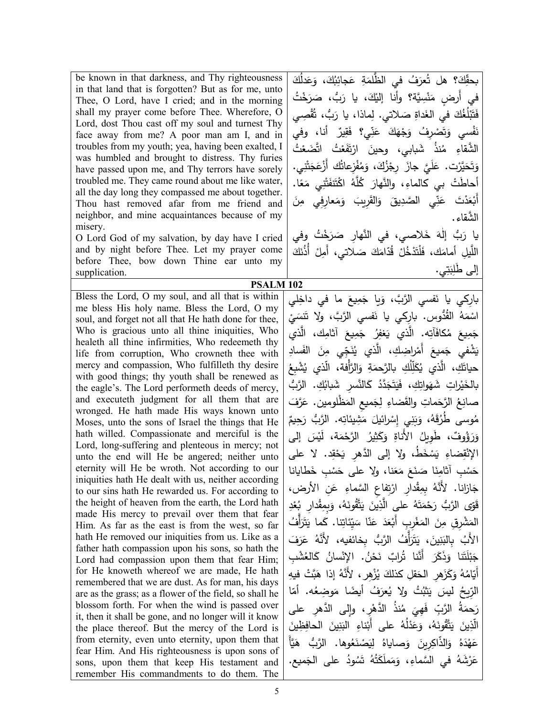| be known in that darkness, and Thy righteousness<br>in that land that is forgotten? But as for me, unto<br>Thee, O Lord, have I cried; and in the morning<br>shall my prayer come before Thee. Wherefore, O<br>Lord, dost Thou cast off my soul and turnest Thy<br>face away from me? A poor man am I, and in<br>troubles from my youth; yea, having been exalted, I<br>was humbled and brought to distress. Thy furies<br>have passed upon me, and Thy terrors have sorely<br>troubled me. They came round about me like water,<br>all the day long they compassed me about together.<br>Thou hast removed afar from me friend and<br>neighbor, and mine acquaintances because of my<br>misery.<br>O Lord God of my salvation, by day have I cried<br>and by night before Thee. Let my prayer come<br>before Thee, bow down Thine ear unto my<br>supplication.                                                                                                                                                                                                                                                                                                                                                                                                                                                                                                                                                                                                                                                                                                                                                                                           | بِحقِّكَ؟ هل تُعرَفُ في الظَّلمَةِ عَجائِبُكَ، وَعَدلُكَ<br>في أرضٍ مَنْسِيَّة؟ وأنا إليْكَ، يا رَبُّ، صَرَخْتُ<br>فَتَبْلُغُكَ في الغَداةِ صَلاتي. لِماذا، يا رَبُّ، تُقْصِي<br>نَفْسى وَتَصْرِفُ وَجْهَكَ عَنِّى؟ فَقِيرٌ أنا، وفى<br>الشِّقاءِ مُنذُ شَبابي، وحينَ ارْتَفَعْتُ اتَّضَعْتُ<br>وَتَحَيَّرْت. عَلَيَّ جازَ رِجْزُكَ، وَمُفْزعاتُك أَزْعَجَتْنِي.<br>أَحاطَتْ بي كالماءِ، والنَّهارَ كُلَّهُ اكْتَنَفَتْنِي مَعًا.<br>أَبْعَدْتَ عَنِّي الصَّدِيقَ وَالقَرِيبَ وَمَعارِفِي مِنَ<br>الشَّقاءِ.<br>يا رَبُّ إِلَٰهَ خَلاصي، في النَّهارِ صَرَخْتُ وفي<br>اللَّيلِ أمامَكَ، فَلْتَذْخُلْ قُدّامَكَ صَلاتي، أَمِلْ أُذُنَكَ<br>إلى طُلِبَتِي.                                                                                                                                                                                                                                                                                                                                                                                                                                                                                                                                                                                                                                                                                                                                                                    |
|-----------------------------------------------------------------------------------------------------------------------------------------------------------------------------------------------------------------------------------------------------------------------------------------------------------------------------------------------------------------------------------------------------------------------------------------------------------------------------------------------------------------------------------------------------------------------------------------------------------------------------------------------------------------------------------------------------------------------------------------------------------------------------------------------------------------------------------------------------------------------------------------------------------------------------------------------------------------------------------------------------------------------------------------------------------------------------------------------------------------------------------------------------------------------------------------------------------------------------------------------------------------------------------------------------------------------------------------------------------------------------------------------------------------------------------------------------------------------------------------------------------------------------------------------------------------------------------------------------------------------------------------------------------|-----------------------------------------------------------------------------------------------------------------------------------------------------------------------------------------------------------------------------------------------------------------------------------------------------------------------------------------------------------------------------------------------------------------------------------------------------------------------------------------------------------------------------------------------------------------------------------------------------------------------------------------------------------------------------------------------------------------------------------------------------------------------------------------------------------------------------------------------------------------------------------------------------------------------------------------------------------------------------------------------------------------------------------------------------------------------------------------------------------------------------------------------------------------------------------------------------------------------------------------------------------------------------------------------------------------------------------------------------------------------------------------------------------------------------|
| PSALM <sub>102</sub>                                                                                                                                                                                                                                                                                                                                                                                                                                                                                                                                                                                                                                                                                                                                                                                                                                                                                                                                                                                                                                                                                                                                                                                                                                                                                                                                                                                                                                                                                                                                                                                                                                      |                                                                                                                                                                                                                                                                                                                                                                                                                                                                                                                                                                                                                                                                                                                                                                                                                                                                                                                                                                                                                                                                                                                                                                                                                                                                                                                                                                                                                             |
| Bless the Lord, O my soul, and all that is within<br>me bless His holy name. Bless the Lord, O my<br>soul, and forget not all that He hath done for thee,<br>Who is gracious unto all thine iniquities, Who<br>healeth all thine infirmities, Who redeemeth thy<br>life from corruption, Who crowneth thee with<br>mercy and compassion, Who fulfilleth thy desire<br>with good things; thy youth shall be renewed as<br>the eagle's. The Lord performeth deeds of mercy,<br>and executeth judgment for all them that are<br>wronged. He hath made His ways known unto<br>Moses, unto the sons of Israel the things that He<br>hath willed. Compassionate and merciful is the<br>Lord, long-suffering and plenteous in mercy; not<br>unto the end will He be angered; neither unto<br>eternity will He be wroth. Not according to our<br>iniquities hath He dealt with us, neither according<br>to our sins hath He rewarded us. For according to<br>the height of heaven from the earth, the Lord hath<br>made His mercy to prevail over them that fear<br>Him. As far as the east is from the west, so far<br>hath He removed our iniquities from us. Like as a<br>father hath compassion upon his sons, so hath the<br>Lord had compassion upon them that fear Him;<br>for He knoweth whereof we are made, He hath<br>remembered that we are dust. As for man, his days<br>are as the grass; as a flower of the field, so shall he<br>blossom forth. For when the wind is passed over<br>it, then it shall be gone, and no longer will it know<br>the place thereof. But the mercy of the Lord is<br>from eternity, even unto eternity, upon them that | باركي يا نَفسي الرَّبَّ، وَيا جَمِيعَ ما في داخِلي<br>اسْمَهُ القُدُّوس. بارِكي يا نَفسي الرَّبَّ، ولا تَنسَيْ<br>جَمِيعَ مُكافَآتِه. الَّذي يَغفِرُ جَمِيعَ آثامِكَ، الَّذي<br>يَشْفي جَميعَ أَمْراضِكِ، الَّذي يُنَجِّى مِنَ الفَسادِ<br>حياتَكِ، الَّذي يُكَلِّلُكِ بالرَّحمَةِ وَالرَّأفة، الَّذي يُشْبِعُ<br>بالخَيْراتِ شَهَواتِكِ، فَيَتَجَدَّدُ كَالنَّسِرِ شَبابُكِ. الرَّبُ<br>صانِعُ الرَّحَماتِ والقَضاءِ لِجَميعِ المَظْلومينِ. عَرَّفَ<br>مُوسى طَرُقَهُ، وَبَنِي إِسْرائيلَ مَشِيئاتِه. الرَّبُّ رَحِيمٌ<br>وَرَؤُوفٌ، طَوِيلُ الأَناةِ وَكَثِيرُ الرَّحْمَة، لَيْسَ إلى<br>الإِنْقِضاءِ يَسْخَطُ، ولا إلى الدَّهر يَحْقِد. لا على<br>حَسْبِ أَثَامِنَا صَنَعَ مَعَنا، ولا على حَسْبِ خَطايانا<br>جَازانا. لأنَّهُ بمِقْدار ارْتفاع السَّماءِ عَنِ الأرضِ،<br>قَوّى الرَّبُ رَحْمَتَهُ على الَّذِينَ يَتَّقُونَهُ، وَبِمِقْدار بُعْدِ<br>المَشْرِقِ مِنَ المَغْرِبِ أَبْعَدَ عَنّا سَيّئاتِنا. كَما يَتَرَأْفُ<br>الأَبُ بِالبَنِينَ، يَتَرَأَفُ الرَّبُّ بِخائفيه، لأَنَّهُ عَرَفَ<br>جَبْلَتَنا وَذَكَرَ أَنَّنا تُرابٌ نَحْنُ. الإِنْسانُ كَالغُشْب<br>أَيّامُهُ وَكَزَهر ۖ الحَقلِ كذلكَ يُزْهرِ ، لأَنَّهُ إذا هَبَّتْ فيهِ<br>الرَّبِحُ لَيسَ يَثْبُتُ ولا يُعرَفُ أَيضًا مَوضِعُه. أمّا<br>رَحمَةُ الرَّبِّ فَهِيَ مُنذُ الدَّهْرِ ، وإلى الدَّهر على<br>الَّذِينَ يَتَّقُونَهُ، وَعَدْلَهُ على أَبْناءِ البَنِينَ<br>الحافظين<br>عَهْدَهُ وَالذَّاكِرِينَ وَصاياهُ لِيَصْنَعُوها.<br>الرَّبُّ هَيَّأ |
| fear Him. And His righteousness is upon sons of<br>sons, upon them that keep His testament and<br>remember His commandments to do them. The                                                                                                                                                                                                                                                                                                                                                                                                                                                                                                                                                                                                                                                                                                                                                                                                                                                                                                                                                                                                                                                                                                                                                                                                                                                                                                                                                                                                                                                                                                               | عَرْشَهُ في السَّماءِ، وَمَملَكَتُهُ شَمُودُ على الجَميع.                                                                                                                                                                                                                                                                                                                                                                                                                                                                                                                                                                                                                                                                                                                                                                                                                                                                                                                                                                                                                                                                                                                                                                                                                                                                                                                                                                   |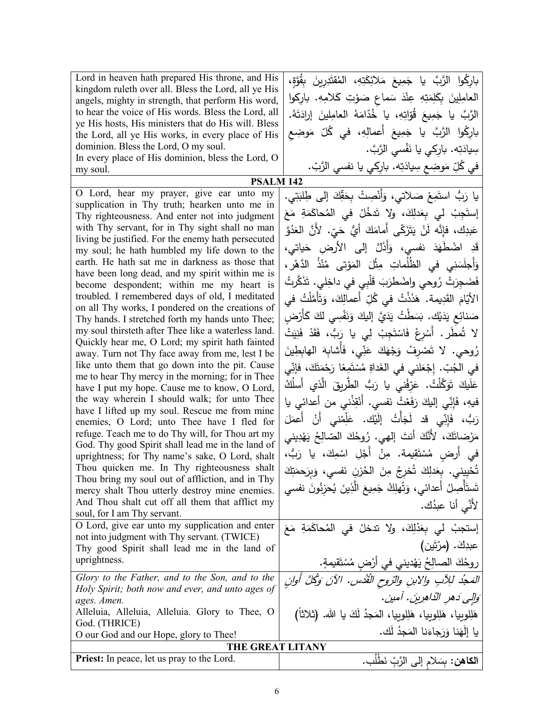| Lord in heaven hath prepared His throne, and His<br>kingdom ruleth over all. Bless the Lord, all ye His<br>angels, mighty in strength, that perform His word,<br>to hear the voice of His words. Bless the Lord, all<br>ye His hosts, His ministers that do His will. Bless<br>the Lord, all ye His works, in every place of His<br>dominion. Bless the Lord, O my soul.<br>In every place of His dominion, bless the Lord, O<br>my soul.                                                                                                                                                                                                                                                                                                                                                                                                                                                                                                                                                                                                                                                                                                                                                                                                                                                                                                                                                                                                                                                | بارِكُوا الرَّبَّ يا جَمِيعَ مَلائِكَتِهِ، المُقتَدِرِينَ بِقُوَّةٍ،<br>العامِلِينَ بِكَلِمَتِهِ عِنْدَ سَماعٍ صَوْتِ كَلامِهِ. بارِكوا<br>الرَّبَّ يا جَمِيعَ قُوّاتِهِ، يا خُدّامَهُ العامِلِينَ إرادَتَهُ.<br>بارِكُوا الرَّبَّ يا جَمِيعَ أَعمالِهِ، في كُلّ مَوضِع<br>سِيادَتِه. بارِكي يا نَفْسى الرَّبَّ.<br>في كُلِّ مَوضِعٍ سِيادَتِه. باركي يا نفسي الرَّبّ.                                                                                                                                                                                                                                                                                                                                                                                                                                                                                                                                                                                                                                                                                                                                                                                                                                                     |
|------------------------------------------------------------------------------------------------------------------------------------------------------------------------------------------------------------------------------------------------------------------------------------------------------------------------------------------------------------------------------------------------------------------------------------------------------------------------------------------------------------------------------------------------------------------------------------------------------------------------------------------------------------------------------------------------------------------------------------------------------------------------------------------------------------------------------------------------------------------------------------------------------------------------------------------------------------------------------------------------------------------------------------------------------------------------------------------------------------------------------------------------------------------------------------------------------------------------------------------------------------------------------------------------------------------------------------------------------------------------------------------------------------------------------------------------------------------------------------------|----------------------------------------------------------------------------------------------------------------------------------------------------------------------------------------------------------------------------------------------------------------------------------------------------------------------------------------------------------------------------------------------------------------------------------------------------------------------------------------------------------------------------------------------------------------------------------------------------------------------------------------------------------------------------------------------------------------------------------------------------------------------------------------------------------------------------------------------------------------------------------------------------------------------------------------------------------------------------------------------------------------------------------------------------------------------------------------------------------------------------------------------------------------------------------------------------------------------------|
| <b>PSALM 142</b>                                                                                                                                                                                                                                                                                                                                                                                                                                                                                                                                                                                                                                                                                                                                                                                                                                                                                                                                                                                                                                                                                                                                                                                                                                                                                                                                                                                                                                                                         |                                                                                                                                                                                                                                                                                                                                                                                                                                                                                                                                                                                                                                                                                                                                                                                                                                                                                                                                                                                                                                                                                                                                                                                                                            |
| O Lord, hear my prayer, give ear unto my<br>supplication in Thy truth; hearken unto me in<br>Thy righteousness. And enter not into judgment<br>with Thy servant, for in Thy sight shall no man<br>living be justified. For the enemy hath persecuted<br>my soul; he hath humbled my life down to the<br>earth. He hath sat me in darkness as those that<br>have been long dead, and my spirit within me is<br>become despondent; within me my heart is<br>troubled. I remembered days of old, I meditated<br>on all Thy works, I pondered on the creations of<br>Thy hands. I stretched forth my hands unto Thee;<br>my soul thirsteth after Thee like a waterless land.<br>Quickly hear me, O Lord; my spirit hath fainted<br>away. Turn not Thy face away from me, lest I be<br>like unto them that go down into the pit. Cause<br>me to hear Thy mercy in the morning; for in Thee<br>have I put my hope. Cause me to know, O Lord,<br>the way wherein I should walk; for unto Thee<br>have I lifted up my soul. Rescue me from mine<br>enemies, O Lord; unto Thee have I fled for<br>refuge. Teach me to do Thy will, for Thou art my<br>God. Thy good Spirit shall lead me in the land of<br>uprightness; for Thy name's sake, O Lord, shalt<br>Thou quicken me. In Thy righteousness shalt<br>Thou bring my soul out of affliction, and in Thy<br>mercy shalt Thou utterly destroy mine enemies.<br>And Thou shalt cut off all them that afflict my<br>soul, for I am Thy servant. | يا رَبُّ استَمِعْ صَلاتي، وَأَنْصِتْ بِحَقِّكَ إلى طِلبَتِي.<br>إِستَجِبْ لي بِعَدلِكَ، ولا تَدخُلْ في المُحاكَمَةِ مَعَ<br>عَبدِك، فإِنَّه لَنْ يَتَزَكَّى أَمامَكَ أَيُّ حَيّ. لأَنَّ العَدُوَّ<br>قَدِ اضْطَهَدَ نفسي، وَأَذَلَّ إِلى الأَرض حَياتي،<br>وَأَجِلَسَنِي في الظُّلَماتِ مِثْلَ المَوْتِي مُنْذُ الدَّهْرِ ،<br>فَضَجِرَتْ رُوحي واضْطرَبَ قَلْبِي في داخِلي. تَذَكَّرتُ<br>الأيّامَ القَدِيمة. هَذَذْتُ في كُلِّ أَعمالِكَ، وَتَأَمَّلْتُ في<br>صَنائِعِ يَدَيْك. بَسَطْتُ يَدَيَّ إِليكَ وَنَفْسِي لَكَ كَأَرْضِ<br>لا شُطَرٍ . أَسْرِعْ فَاسْتَجِبْ لِي يا رَبُّ، فَقَدْ فَنِيَتْ<br>رُوحي. لا تَصْرِفْ وَجْهَكَ عَنِّي، فَأَشابِهَ الهابِطِينَ<br>في الجُبّ. إِجْعَلني في الغَداةِ مُسْتَمِعًا رَحْمَتَكَ، فإنِّي<br>عَلَيكَ تَوَكَّلْتُ. عَرّفْني يا رَبُّ الطّْرِيقَ الَّذي أَسلُكُ<br>فيهِ، فَإِنِّي إليكَ رَفَعْتُ نَفسي. أَنْقِذْني من أعدائي يا<br>رَبُّ، فَإِنِّي قد لَجَأْتُ إِلَيْك. عَلِّمْني أَنْ أَعمَلَ<br>مَرْضاتَكَ، لأَنَّكَ أَنتَ إلهي. رُوحُكَ الصّالِحُ يَهْدِيني<br>في أرضٍ مُسْتَقِيمة. مِنْ أَجْلِ اسْمِكَ، يا رَبُّ،<br>تُحْيِيني. بِعَدلِكَ تُخرِجُ مِنَ الحُزنِ نَفسي، وَبِرَحمَتِكَ<br>تَستَأْصِلُ أعدائي، وَتُهلِكُ جَمِيعَ الَّذِينَ يُحزِنُونَ نفسي<br>ِ لأنَّى أنا عبدُك. |
| O Lord, give ear unto my supplication and enter                                                                                                                                                                                                                                                                                                                                                                                                                                                                                                                                                                                                                                                                                                                                                                                                                                                                                                                                                                                                                                                                                                                                                                                                                                                                                                                                                                                                                                          | إستجبْ لي بِعَدْلِكَ، ولا تدخلْ في المُحاكَمَةِ مَعَ                                                                                                                                                                                                                                                                                                                                                                                                                                                                                                                                                                                                                                                                                                                                                                                                                                                                                                                                                                                                                                                                                                                                                                       |
| not into judgment with Thy servant. (TWICE)<br>Thy good Spirit shall lead me in the land of<br>uprightness.                                                                                                                                                                                                                                                                                                                                                                                                                                                                                                                                                                                                                                                                                                                                                                                                                                                                                                                                                                                                                                                                                                                                                                                                                                                                                                                                                                              | عبدِكَ. (مرّتَين)<br>روحُكَ الصالِحُ يَهْديني في أَرْضِ مُسْتَقيمةٍ.                                                                                                                                                                                                                                                                                                                                                                                                                                                                                                                                                                                                                                                                                                                                                                                                                                                                                                                                                                                                                                                                                                                                                       |
| Glory to the Father, and to the Son, and to the<br>Holy Spirit; both now and ever, and unto ages of<br>ages. Amen.                                                                                                                                                                                                                                                                                                                                                                                                                                                                                                                                                                                                                                                                                                                                                                                                                                                                                                                                                                                                                                                                                                                                                                                                                                                                                                                                                                       | المَجْدُ للِآبِ ولابنِ والرّوحِ القُدُسِ. الآنَ وَكُلَّ أُولنِ<br>وَالِي دَهر الدّاهِرِينَ. آمين.                                                                                                                                                                                                                                                                                                                                                                                                                                                                                                                                                                                                                                                                                                                                                                                                                                                                                                                                                                                                                                                                                                                          |
| Alleluia, Alleluia, Alleluia. Glory to Thee, O                                                                                                                                                                                                                                                                                                                                                                                                                                                                                                                                                                                                                                                                                                                                                                                                                                                                                                                                                                                                                                                                                                                                                                                                                                                                                                                                                                                                                                           | هَلِلوبِيا، هَلِلوبِيا، هَلِلوبِيا، المَجدُ لَكَ يا الله. (ثلاثاً)                                                                                                                                                                                                                                                                                                                                                                                                                                                                                                                                                                                                                                                                                                                                                                                                                                                                                                                                                                                                                                                                                                                                                         |
| God. (THRICE)                                                                                                                                                                                                                                                                                                                                                                                                                                                                                                                                                                                                                                                                                                                                                                                                                                                                                                                                                                                                                                                                                                                                                                                                                                                                                                                                                                                                                                                                            | يا إِلَهَنا وَرَجاءَنا المَجدُ لَك.                                                                                                                                                                                                                                                                                                                                                                                                                                                                                                                                                                                                                                                                                                                                                                                                                                                                                                                                                                                                                                                                                                                                                                                        |
| O our God and our Hope, glory to Thee!                                                                                                                                                                                                                                                                                                                                                                                                                                                                                                                                                                                                                                                                                                                                                                                                                                                                                                                                                                                                                                                                                                                                                                                                                                                                                                                                                                                                                                                   |                                                                                                                                                                                                                                                                                                                                                                                                                                                                                                                                                                                                                                                                                                                                                                                                                                                                                                                                                                                                                                                                                                                                                                                                                            |
| THE GREAT LITANY                                                                                                                                                                                                                                                                                                                                                                                                                                                                                                                                                                                                                                                                                                                                                                                                                                                                                                                                                                                                                                                                                                                                                                                                                                                                                                                                                                                                                                                                         |                                                                                                                                                                                                                                                                                                                                                                                                                                                                                                                                                                                                                                                                                                                                                                                                                                                                                                                                                                                                                                                                                                                                                                                                                            |
| <b>Priest:</b> In peace, let us pray to the Lord.                                                                                                                                                                                                                                                                                                                                                                                                                                                                                                                                                                                                                                                                                                                                                                                                                                                                                                                                                                                                                                                                                                                                                                                                                                                                                                                                                                                                                                        | ا <b>لكاهن:</b> بِسَلام إلى الرَّبِّ نَطْلَب.                                                                                                                                                                                                                                                                                                                                                                                                                                                                                                                                                                                                                                                                                                                                                                                                                                                                                                                                                                                                                                                                                                                                                                              |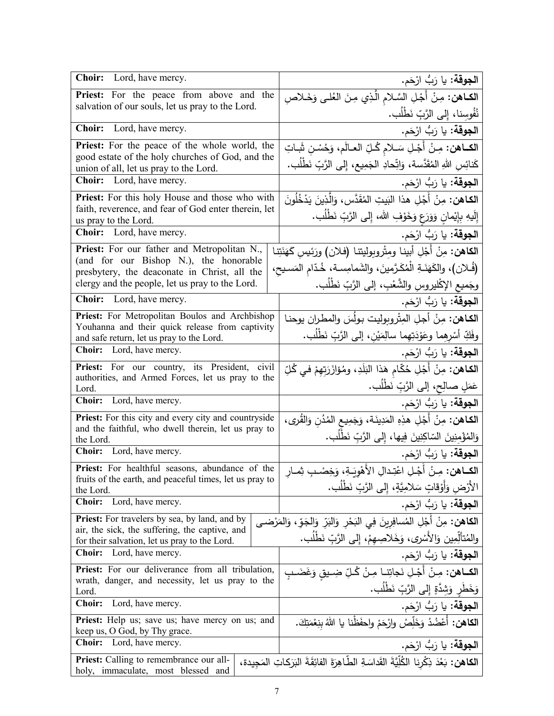| Choir: Lord, have mercy.                                                                        | ا <b>لجوقة:</b> يا رَبُّ ارْحَم.                                                              |
|-------------------------------------------------------------------------------------------------|-----------------------------------------------------------------------------------------------|
| Priest: For the peace from above and the                                                        | الكـاهن: مِنْ أَجْلِ السَّلامِ الَّذِي مِنَ العُلـى وَخَـلاصِ                                 |
| salvation of our souls, let us pray to the Lord.                                                | نُفُوسِنا، إِلى الرَّبِّ نَطْلُب.                                                             |
| Choir: Lord, have mercy.                                                                        | ا <b>لجوقة:</b> يا رَبُّ ارْحَم.                                                              |
| <b>Priest:</b> For the peace of the whole world, the                                            | الكـاهن: مِنْ أَجْلِ سَـلامِ كُلِّ الْعالَمِ، وَحُسْنِ شَاتِ                                  |
| good estate of the holy churches of God, and the<br>union of all, let us pray to the Lord.      | كَنائِسِ اللهِ المُقَدَّسة، وَاتِّحادِ الجَمِيعِ، إِلى الرَّبِّ نَطْلُبٍ.                     |
| <b>Choir:</b> Lord, have mercy.                                                                 | ا <b>لجوقة:</b> يا رَبُّ ارْحَم.                                                              |
| Priest: For this holy House and those who with                                                  | ا <b>لكـاهن:</b> مِنْ أَجْلِ هذا البَيتِ المُقَدَّس، وَالَّذِينَ يَدْخُلُونَ                  |
| faith, reverence, and fear of God enter therein, let<br>us pray to the Lord.                    | إِلَيهِ بِإِيْمانِ وَوَرَعٍ وَخَوْفِ الله، إِلى الرَّبِّ نَطْلُب.                             |
| <b>Choir:</b> Lord, have mercy.                                                                 | ا <b>لجوقة:</b> يا رَبُّ ارْحَم.                                                              |
| Priest: For our father and Metropolitan N.,                                                     | الكاهن: مِنْ أَجْلِ أبينا ومِتْروبِوليتنا (فلان) ورَئِيسِ كَهَنَتِنا                          |
| (and for our Bishop N.), the honorable<br>presbytery, the deaconate in Christ, all the          | (فُـلان)، والكَهَنَـةِ الْمُكَـرَّمينَ، والشَمامِسـة، خُـدّام المَسـيح،                       |
| clergy and the people, let us pray to the Lord.                                                 | وجَميع الإكْليروس والشَّعْبِ، إلى الرَّبِّ نَطْلُبٍ.                                          |
| <b>Choir:</b> Lord, have mercy.                                                                 | ا <b>لجوقة:</b> يا رَبُّ ارْحَم.                                                              |
| Priest: For Metropolitan Boulos and Archbishop                                                  | الكاهن: مِنْ أجلِ المِتْروبِولِيت بولُسَ والمطران يوحنا                                       |
| Youhanna and their quick release from captivity<br>and safe return, let us pray to the Lord.    | وفَكِّ أَسْرِهِما وعَوْدَتِهِما سالِمَيْنِ، إلى الرَّبِّ نَطْلُب.                             |
| Choir: Lord, have mercy.                                                                        | ا <b>لجوقة:</b> يا رَبُّ ارْحَم.                                                              |
| Priest: For our country, its President, civil                                                   | ا <b>لكـاهن:</b> مِنْ أَجْلِ حُكّام هَذا البَلَدِ، ومُؤازَرَتِهِمْ في كُلِّ                   |
| authorities, and Armed Forces, let us pray to the<br>Lord.                                      | عَمَلٍ صالِحٍ، إلى الرَّبِّ نَطْلُبٍ.                                                         |
| Choir: Lord, have mercy.                                                                        | ا <b>لجوقة:</b> يا رَبُّ ارْحَم.                                                              |
| Priest: For this city and every city and countryside                                            | ا <b>لكـاهن:</b> مِنْ أَجْلِ هذِهِ المَدِينَة، وَجَمِيعِ المُدُنِ وَالقُرى،                   |
| and the faithful, who dwell therein, let us pray to<br>the Lord.                                | وَالْمُؤْمِنِينَ السّاكِنِينَ فِيها، إِلى الرَّبِّ نَطْلَب.                                   |
| Choir: Lord, have mercy.                                                                        | ا <b>لجوقة:</b> يا رَبُّ ارْحَم.                                                              |
| Priest: For healthful seasons, abundance of the                                                 | ا <b>لكــاهن:</b> مِـنْ أَجْـلِ اعْتِـدالِ الأَهْوِيَـةِ، وَخِصْـبِ ثِمــارِ                  |
| fruits of the earth, and peaceful times, let us pray to<br>the Lord.                            | الأَرْضِ وَأَوْقَاتٍ سَلامِيَّةٍ، إِلَى الرَّبِّ نَطْلُب.                                     |
| Lord, have mercy.<br>Choir:                                                                     | ا <b>لجوقة:</b> يا رَبُّ ارْحَم.                                                              |
| <b>Priest:</b> For travelers by sea, by land, and by                                            | ا <b>لكاهن:</b> مِنْ أَجْلِ المُسافِرِينَ فِي البَحْرِ وَالنَرِّ وَالجَوِّ، وَالمَرْضـى       |
| air, the sick, the suffering, the captive, and<br>for their salvation, let us pray to the Lord. | والمُتألِّمِين وَالأَسْرِي، وَخَلاصِهِمْ، إِلَى الرَّبِّ نَطْلُب.                             |
| Choir:<br>Lord, have mercy.                                                                     | ا <b>لجوقة:</b> يا رَبُّ ارْحَم.                                                              |
| <b>Priest:</b> For our deliverance from all tribulation,                                        | ا <b>لكــاهن:</b> مِـنْ أَجْـلِ نَجاتِنــا مِـنْ كُـلِّ ضِـيق وَغَضَـبِ                       |
| wrath, danger, and necessity, let us pray to the<br>Lord.                                       | وَخَطَرٍ وَشِدَّةٍ إِلَى الرَّبِّ نَطْلُب.                                                    |
| <b>Choir:</b><br>Lord, have mercy.                                                              | ا <b>لجوقة:</b> يا رَبُّ ارْحَم.                                                              |
| Priest: Help us; save us; have mercy on us; and                                                 | ا <b>لكاهن:</b> أَعْضُدْ وَخَلِّصْ وارْحَمْ واحفَظْنا يا اللهُ بنِعْمَتِكَ.                   |
| keep us, O God, by Thy grace.<br><b>Choir:</b> Lord, have mercy.                                | ا <b>لجوقة:</b> يا رَبُّ ارْحَم.                                                              |
| Priest: Calling to remembrance our all-                                                         | الكاهن: بَعْدَ ذِكْرِنا الكُلِّيَّةَ القَداسَةِ الطَّاهِرَةَ الفائِقَةَ البَرَكاتِ المَجِيدة، |
| holy, immaculate, most blessed and                                                              |                                                                                               |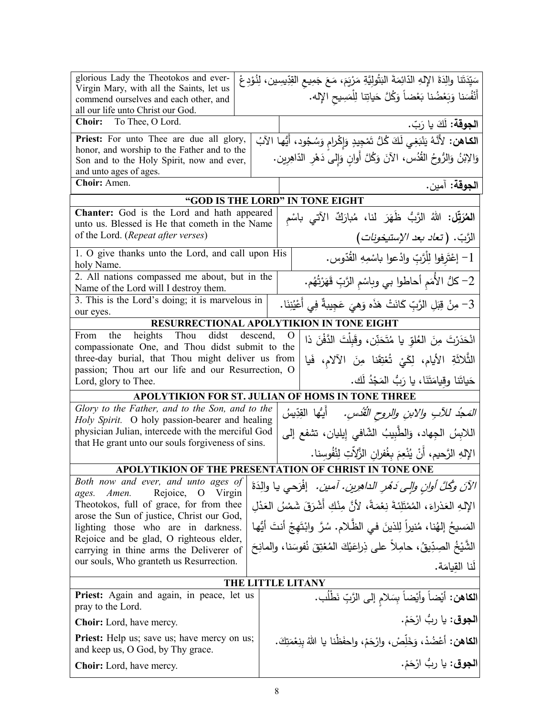| glorious Lady the Theotokos and ever-<br>Virgin Mary, with all the Saints, let us<br>commend ourselves and each other, and<br>all our life unto Christ our God.          |                                 | سَيِّدَتَنا والِدَةَ الإِلهِ الدّائِمَةَ البَتُولِيَّةِ مَرْيَمَ، مَعَ جَمِيعِ القِدِّيسِين، لِنُوْدِعْ<br>أَنْفُسَنا وَبَعْضُنا بَعْضاً وَكُلَّ حَياتِنا لِلْمَسِيحِ الإِله.   |
|--------------------------------------------------------------------------------------------------------------------------------------------------------------------------|---------------------------------|---------------------------------------------------------------------------------------------------------------------------------------------------------------------------------|
| Choir: To Thee, O Lord.                                                                                                                                                  |                                 | ا <b>لجوقة:</b> لَكَ يا رَبّ.                                                                                                                                                   |
| Priest: For unto Thee are due all glory,                                                                                                                                 |                                 | ا <b>لكـاهن:</b> لأَنَّـهُ يَنْبَغِي لَكَ كُلُّ تَمْجِيدٍ وَإِكْرامٍ وَسُجُود، أَيُّها الآبُ<br>وَالِابْنُ وَالرُوحُ القُدُس، الآنَ وَكُلَّ أَوانٍ وَإِلَى دَهْرِ الدَّاهِرِين. |
| honor, and worship to the Father and to the<br>Son and to the Holy Spirit, now and ever,                                                                                 |                                 |                                                                                                                                                                                 |
| and unto ages of ages.                                                                                                                                                   |                                 |                                                                                                                                                                                 |
| Choir: Amen.                                                                                                                                                             |                                 | ا <b>لجوقة:</b> آمين.                                                                                                                                                           |
|                                                                                                                                                                          | "GOD IS THE LORD" IN TONE EIGHT |                                                                                                                                                                                 |
| Chanter: God is the Lord and hath appeared                                                                                                                               |                                 | ا <b>لمُرَتِّل:</b> اللهُ الرَّبُّ ظَهَرَ لذا، مُبارَكٌ الآتي باسْم                                                                                                             |
| unto us. Blessed is He that cometh in the Name<br>of the Lord. (Repeat after verses)                                                                                     |                                 |                                                                                                                                                                                 |
|                                                                                                                                                                          |                                 | الرَّبّ. (تعاد بعد الإستيخونات)                                                                                                                                                 |
| 1. O give thanks unto the Lord, and call upon His<br>holy Name.                                                                                                          |                                 | 1– إعْتَرفوا لِلْرَّبِّ وإدْعوا باسْمِهِ القُدّوس.                                                                                                                              |
| 2. All nations compassed me about, but in the<br>Name of the Lord will I destroy them.                                                                                   |                                 | 2– كلُّ الأُمَم أحاطوا بي وباسْم الرَّبِّ قَهَرْتُهُم.                                                                                                                          |
| 3. This is the Lord's doing; it is marvelous in<br>our eyes.                                                                                                             |                                 | 3– مِنْ قِبَلِ الرَّبِّ كَانَتْ هَذَه وَهِيَ عَجِيبةٌ فِي أَعْيُنِنَا.                                                                                                          |
| <b>RESURRECTIONAL APOLYTIKION IN TONE EIGHT</b>                                                                                                                          |                                 |                                                                                                                                                                                 |
| From the heights Thou didst descend,                                                                                                                                     | O                               | انْحَدَرْتَ مِنَ العُلوّ يا مُتَحَنِّن، وقَبلْتَ الدَّفْنَ ذا                                                                                                                   |
| compassionate One, and Thou didst submit to the<br>three-day burial, that Thou might deliver us from                                                                     |                                 |                                                                                                                                                                                 |
| passion; Thou art our life and our Resurrection, O                                                                                                                       |                                 | الثَّلاثَةِ الأيام، لِكَيْ تُعْتِقَنا مِنَ الآلام، فَيا                                                                                                                         |
| Lord, glory to Thee.                                                                                                                                                     |                                 | حَياتَنا وقِيامَتَنَا، يا رَبُّ المَجْدُ لَك.                                                                                                                                   |
| APOLYTIKION FOR ST. JULIAN OF HOMS IN TONE THREE                                                                                                                         |                                 |                                                                                                                                                                                 |
| Glory to the Father, and to the Son, and to the<br><i>التَّحِدُ للآبِ والابنِ والروحِ الثَّدْسِ.</i> أيُّها القِدِّيسُ<br>Holy Spirit. O holy passion-bearer and healing |                                 |                                                                                                                                                                                 |
| اللابِسُ الجِهاد، وَالطَّبِيبُ الشّافي إِيليان، تشفع إلى<br>physician Julian, intercede with the merciful God                                                            |                                 |                                                                                                                                                                                 |
| that He grant unto our souls forgiveness of sins.                                                                                                                        |                                 |                                                                                                                                                                                 |
|                                                                                                                                                                          |                                 | الإِلهِ الرَّحيمِ، أَنْ يُنْعِمَ بِغُفرانِ الزَّلاِّتِ لِنُفُوسِنا.                                                                                                             |
| APOLYTIKION OF THE PRESENTATION OF CHRIST IN TONE ONE                                                                                                                    |                                 |                                                                                                                                                                                 |
| Both now and ever, and unto ages of<br>Amen.<br>Rejoice, O Virgin<br>ages.                                                                                               |                                 | الآنَ وكُلَّ أُوانِ وإلى دَمُرِ الداهِرِينِ. آمينِ. [فْرَحى يا والِدَةَ                                                                                                         |
| Theotokos, full of grace, for from thee<br>arose the Sun of justice, Christ our God,                                                                                     |                                 | الإلهِ العَذراءَ، المُمْتَلَدَةَ نِعْمَةً، لأنَّ مِنْكِ أَشْرَقَ شَمْسُ العَذْلِ                                                                                                |
| lighting those who are in darkness.                                                                                                                                      |                                 | المَسيحُ إلهُنا، مُنيراً لِلذينَ في الظُّلامِ. سُرَّ وابْتَهجْ أنتَ أيُّها                                                                                                      |
| Rejoice and be glad, O righteous elder,<br>carrying in thine arms the Deliverer of                                                                                       |                                 | الشَّيْخُ الصِدِّيقُ، حامِلاً على ذِراعَيْكَ المُعْتِقَ نُفوسَنا، والمانِحَ                                                                                                     |
| our souls, Who granteth us Resurrection.                                                                                                                                 |                                 | لنا القيامَة.                                                                                                                                                                   |
| THE LITTLE LITANY                                                                                                                                                        |                                 |                                                                                                                                                                                 |
|                                                                                                                                                                          |                                 |                                                                                                                                                                                 |
| Priest: Again and again, in peace, let us                                                                                                                                |                                 |                                                                                                                                                                                 |
| pray to the Lord.<br><b>Choir:</b> Lord, have mercy.                                                                                                                     |                                 |                                                                                                                                                                                 |
| <b>Priest:</b> Help us; save us; have mercy on us;                                                                                                                       |                                 | الكاهن: أَعْضُدْ، وَخَلِّصْ، وارْحَمْ، واحفَظْنا يا اللهُ بنِعْمَتِكَ.                                                                                                          |
| and keep us, O God, by Thy grace.<br>Choir: Lord, have mercy.                                                                                                            |                                 | ا <b>لكاهن:</b> أَيْضاً وأَيْضاً بِسَلامِ إلى الرَّبِّ نَطْلُب.<br>ا <b>لجوق</b> : يا ربُّ ارْحَمْ.<br>ا <b>لجوق</b> : يا ربُّ ارْحَمْ.                                         |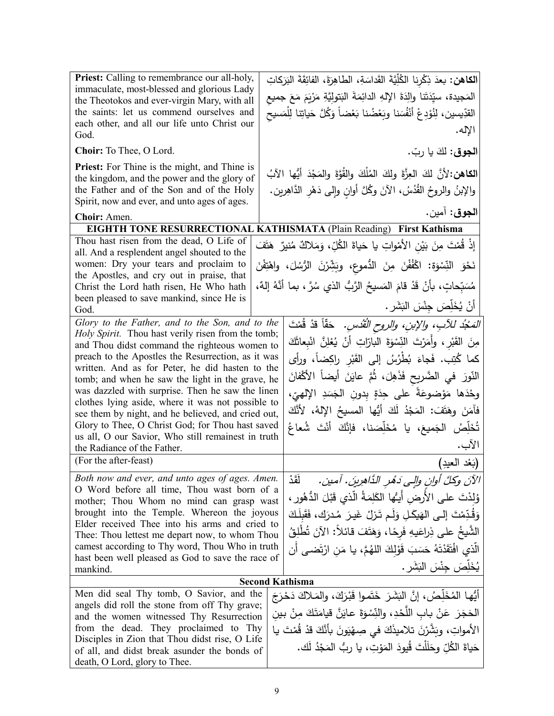| <b>Priest:</b> Calling to remembrance our all-holy,                                                   | ا <b>لكاهن:</b> بعدَ ذِكْرِنا الكُلِّيَّةَ القَداسَةِ، الطاهِرَةَ، الفائِقَةَ البَرَكاتِ |
|-------------------------------------------------------------------------------------------------------|------------------------------------------------------------------------------------------|
| immaculate, most-blessed and glorious Lady                                                            |                                                                                          |
| the Theotokos and ever-virgin Mary, with all                                                          | المَجيدة، سيِّدَتَنا والِدَةَ الإِلهِ الدائِمَةَ البَتولِيَّةِ مَرْيَمَ مَعَ جميع        |
| the saints: let us commend ourselves and                                                              | القدِّيسين، لِنُوْدِعْ أَنْفُسَنا وبَعْضُنا بَعْضاً وَكُلَّ حَياتِنا لِلْمَسيح           |
| each other, and all our life unto Christ our                                                          |                                                                                          |
| God.                                                                                                  | الإله.                                                                                   |
| Choir: To Thee, O Lord.                                                                               | ا <b>لجوق</b> : لكَ يا ربّ.                                                              |
| <b>Priest:</b> For Thine is the might, and Thine is                                                   |                                                                                          |
| the kingdom, and the power and the glory of                                                           | الكاهن:لأنَّ لكَ العِزَّةَ ولكَ المُلْكَ والقُوَّةَ والمَجْدَ أَيُّها الآبُ              |
| the Father and of the Son and of the Holy                                                             | والإبنُ والروحُ القُدُسُ، الآنَ وكُلَّ أوانٍ وإلى دَهْرِ الدَّاهِرين.                    |
| Spirit, now and ever, and unto ages of ages.                                                          |                                                                                          |
| Choir: Amen.                                                                                          | ا <b>لجوق:</b> آمين.                                                                     |
| <b>EIGHTH TONE RESURRECTIONAL</b>                                                                     | KATHISMATA (Plain Reading) First Kathisma                                                |
| Thou hast risen from the dead, O Life of                                                              | إِذْ قُمْتَ مِنَ بَيْنِ الأَمْواتِ يا حَياةَ الكُلِّ، وَمَلاكٌ مُنيرٌ ۖ هَتَفَ           |
| all. And a resplendent angel shouted to the                                                           |                                                                                          |
| women: Dry your tears and proclaim to<br>the Apostles, and cry out in praise, that                    | نَحْوَ النِّسْوَة: اكْفُفْنَ مِنَ الدُّموع، وبَشِّرْنَ الرُّسُلَ، واهْتِفْنَ             |
| Christ the Lord hath risen, He Who hath                                                               | مُسَبّحاتٍ، بأنْ قَدْ قامَ المَسيحُ الرَّبُّ الذي سُرَّ ، بما أنَّهُ إلهٌ،               |
| been pleased to save mankind, since He is                                                             |                                                                                          |
| God.                                                                                                  | أَنْ يُخَلِّصَ جِنْسَ النَشَرِ .                                                         |
| Glory to the Father, and to the Son, and to the                                                       | المَجْدُ للآبِ، والإبنِ، والروح القُدْسِ. ۚ حَقّاً قدْ قُمْتَ                            |
| Holy Spirit. Thou hast verily risen from the tomb;                                                    | مِنَ القَبْرِ ، وأَمَرْتَ النِّسْوَةَ البارّاتِ أَنْ يُعْلِنَّ انْبِعاثَكَ               |
| and Thou didst command the righteous women to                                                         |                                                                                          |
| preach to the Apostles the Resurrection, as it was<br>written. And as for Peter, he did hasten to the | كما كُتِب. فَجاءَ بُطْرُسُ إلى القَبْرِ راكِضاً، ورأى                                    |
| tomb; and when he saw the light in the grave, he                                                      | النَّورَ  في  الضَّريحِ  فَذَهِلَ،  ثُمَّ  عايَنَ  أيضاً  الأكْفانَ                      |
| was dazzled with surprise. Then he saw the linen                                                      | وحْدَها مَوْضوعَةً على حِدَةٍ بِدونِ الْجَسَدِ الإِلهيِّ،                                |
| clothes lying aside, where it was not possible to                                                     |                                                                                          |
| see them by night, and he believed, and cried out,                                                    | فآمَنَ وهَتَفَ: المَجْدُ لَكَ أَيُّها المسيحُ الإِلهُ، لأَنَّكَ                          |
| Glory to Thee, O Christ God; for Thou hast saved                                                      | تُخَلِّصُ الجَميعَ، يا مُخَلِّصَنا، فإنَّكَ أَنْتَ شُعاعُ                                |
| us all, O our Savior, Who still remainest in truth<br>the Radiance of the Father.                     | الاب.                                                                                    |
| (For the after-feast)                                                                                 | (بَعْد العيدِ)                                                                           |
| Both now and ever, and unto ages of ages. Amen.                                                       | الآنَ وكلَّ أوانِ والِي دَهُرِ الذَّاهِرِينَ. آمين.<br>لقذ                               |
| O Word before all time, Thou wast born of a                                                           |                                                                                          |
| mother; Thou Whom no mind can grasp wast                                                              | وُلِدْتَ على الأرض أيُّها الكَلِمَةُ الَّذي قَبْلَ الدُّهُورِ ،                          |
| brought into the Temple. Whereon the joyous<br>Elder received Thee into his arms and cried to         | وَقُدِّمْتَ إِلـٰـى الْهَيكَـٰلِ وَلَـٰم تَـٰزِلْ غَيـرَ مُـٰدرَك، فَقَبِلَكَ            |
| Thee: Thou lettest me depart now, to whom Thou                                                        | الشَّيخُ على ذِراعَيهِ فَرِحًا، وَهَتَفَ قائلاً: الآنَ تُطْلِقُ                          |
| camest according to Thy word, Thou Who in truth                                                       | الَّذي افْتَقَدْتَهُ حَسَبَ قَوْلُكَ اللَّهُمَّ، يا مَن ارْتَضـي أَن                     |
| hast been well pleased as God to save the race of                                                     | يُخَلِّصَ جِئْسَ البَشَرِ .                                                              |
| mankind.                                                                                              |                                                                                          |
|                                                                                                       | <b>Second Kathisma</b>                                                                   |
| Men did seal Thy tomb, O Savior, and the<br>angels did roll the stone from off Thy grave;             | أَيُّها المُخَلِّصُ، إنَّ البَشَرَ خَتَموا قَبْرَكَ، والمَـلاكَ دَحْرَجَ                 |
| and the women witnessed Thy Resurrection                                                              | الْحَجَرَ  عَنْ بابِ اللَّحْدِ، والنِّسْوَةَ عايَنَّ قيامَتَكَ مِنْ بين                  |
| from the dead. They proclaimed to Thy                                                                 | الأمواتِ، وبَشَّرْنَ تلاميذَكَ في صِهْيَونَ بأنَّكَ قدْ قُمْتَ يا                        |
| Disciples in Zion that Thou didst rise, O Life                                                        |                                                                                          |
| of all, and didst break asunder the bonds of                                                          | حَياةَ الكُلِّ وِحَلَلْتَ قُيودَ المَوْتِ، يا رِبُّ المَجْدُ لَك.                        |
| death, O Lord, glory to Thee.                                                                         |                                                                                          |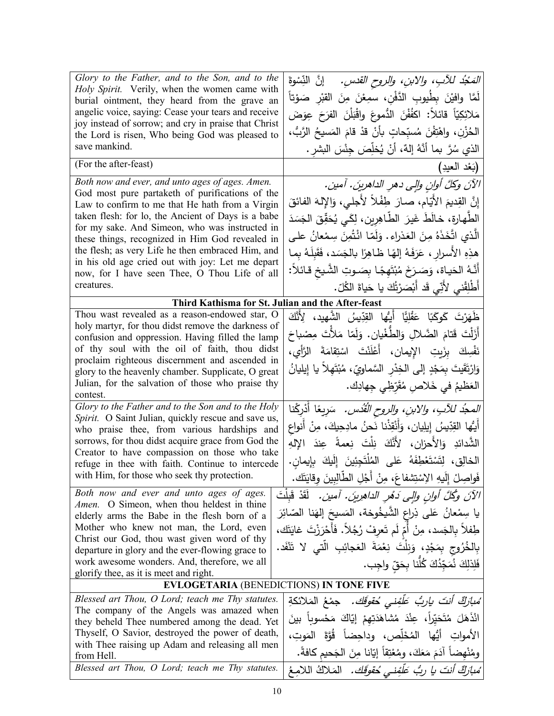| Glory to the Father, and to the Son, and to the<br>Holy Spirit. Verily, when the women came with<br>burial ointment, they heard from the grave an<br>angelic voice, saying: Cease your tears and receive<br>joy instead of sorrow; and cry in praise that Christ<br>the Lord is risen, Who being God was pleased to<br>save mankind.                                                                                                                                                     | <i>المَجْدُ للأَبِ، والابنِ، والروح القدسِ.</i> إنَّ النِّسْوةَ<br>لَمَّا وافيْنَ بِطُيوبِ الدَّفْنِ، سمِعْنَ مِنَ القبْرِ صَوْتاً<br>مَلائِكِيّاً قائلاً: اكفُفْنَ الدُّموعَ واقْبَلْنَ الفرَحَ عِوَضَ<br>الْحُزْنِ، واهْتِفْنَ مُسبّحاتٍ بأَنْ قدْ قامَ المَسيحُ الرَّبُّ،<br>الذي سُرَّ بما أنَّهُ إلهٌ، أنْ يُخلِّصَ جِنْسَ البشرِ .                                                                                                                     |  |
|------------------------------------------------------------------------------------------------------------------------------------------------------------------------------------------------------------------------------------------------------------------------------------------------------------------------------------------------------------------------------------------------------------------------------------------------------------------------------------------|--------------------------------------------------------------------------------------------------------------------------------------------------------------------------------------------------------------------------------------------------------------------------------------------------------------------------------------------------------------------------------------------------------------------------------------------------------------|--|
| (For the after-feast)                                                                                                                                                                                                                                                                                                                                                                                                                                                                    | (بَعْد العيدِ)                                                                                                                                                                                                                                                                                                                                                                                                                                               |  |
| Both now and ever, and unto ages of ages. Amen.<br>God most pure partaketh of purifications of the<br>Law to confirm to me that He hath from a Virgin<br>taken flesh: for lo, the Ancient of Days is a babe<br>for my sake. And Simeon, who was instructed in<br>these things, recognized in Him God revealed in<br>the flesh; as very Life he then embraced Him, and<br>in his old age cried out with joy: Let me depart<br>now, for I have seen Thee, O Thou Life of all<br>creatures. | الآنَ وكلَّ أوانِ والِي دهرِ الداهرينَ. آمين.<br>إِنَّ القِديمَ الأَيّامِ، صـارَ طِفْلاً لأجلـي، وَالإِلـهَ الفائقَ<br>الطُّهارة، خالَطَ غَيرَ  الطَّاهِرين، لِكَي يُحَقِّقَ الْجَسَدَ<br>الَّذي اتَّخَذَهُ مِنَ العَذراءِ. وَلَمّا ائْتُمِنَ سِمْعانُ على<br>هذِهِ الأسرارِ ، عَرَفَهُ إلهًا ظاهِرًا بالْجَسَد، فَقَبِلَهُ بِما<br>أَنَّهُ الحَياة، وَصَرَخَ مُبْتَهِجًا بِصَوتِ الشَّيخِ قـائلاً:<br>أَطْلِقْني لأَنِّي قَد أَبْصَرْتُكَ يا حَياةَ الكُلّ. |  |
| Third Kathisma for St. Julian and the After-feast                                                                                                                                                                                                                                                                                                                                                                                                                                        |                                                                                                                                                                                                                                                                                                                                                                                                                                                              |  |
| Thou wast revealed as a reason-endowed star, O<br>holy martyr, for thou didst remove the darkness of<br>confusion and oppression. Having filled the lamp<br>of thy soul with the oil of faith, thou didst<br>proclaim righteous discernment and ascended in<br>glory to the heavenly chamber. Supplicate, O great<br>Julian, for the salvation of those who praise thy<br>contest.                                                                                                       | ظَهَرْتَ كَوكَبًا عَقْلِيًّا أَيُّها القِدِّيسُ الشَّهِيدِ، لِأَنَّكَ<br>أَزَلْتَ قَتَامَ الضَّلالِ وَالطُّغْيانِ. وَلَمّا مَلأَتَ مِصْباحَ<br>نَفْسِكَ بِزَيتِ الإِيمانِ، أَعْلَنْتَ اسْتِقامَةَ الرَّأْيِ،<br>وَارْتَقَيتَ بِمَجْدٍ إلى الخِدْرِ السَّماويِّ، مُبْتَهِلاً يا إِيليانُ<br>العَظيمُ في خَلاصٍ مُقَرّظِي جِهادِك.                                                                                                                             |  |
| Glory to the Father and to the Son and to the Holy<br>Spirit. O Saint Julian, quickly rescue and save us,<br>who praise thee, from various hardships and<br>sorrows, for thou didst acquire grace from God the<br>Creator to have compassion on those who take<br>refuge in thee with faith. Continue to intercede<br>with Him, for those who seek thy protection.                                                                                                                       | <i>الممجدُ للآبِ، والابنِ، والروح القُدْس.</i> سَرِيعًا أَدْرِكْنا<br>أَيُّها القِدِّيسُ إِيلِيان، وَأَنْقِذْنا نَحنُ مادِحِيكَ، مِنْ أنواع<br>الشَّدائدِ وَالأَحزانِ، لأَنَّكَ نِلْتَ نِعمةً عِندَ الإِلهِ<br>الخالِق، لِتَسْتَعْطِفَهُ عَلى المُلْتَجِئِينَ إِلَيكَ بِإِيمانِ.<br>فَواصِلْ إِلَيهِ الإِسْتِشفاعَ، مِنْ أَجْلِ الطَّالِبِينَ وِقايَتَكَ.                                                                                                    |  |
| Both now and ever and unto ages of ages.<br>Amen. O Simeon, when thou heldest in thine<br>elderly arms the Babe in the flesh born of a<br>Mother who knew not man, the Lord, even<br>Christ our God, thou wast given word of thy<br>departure in glory and the ever-flowing grace to<br>work awesome wonders. And, therefore, we all<br>glorify thee, as it is meet and right.                                                                                                           | الآنَ وكُلَّ أُوانِ وإلى دَهْرِ الداهرِينَ. آمين. ۖ لَقَدْ قَبِلْتَ<br>يا سِمْعانُ عَلى ذِراعِ الشَّيخُوخة، المَسيحَ إلهَنا الصّائِرَ<br>طِفلاً بالجَسد، مِنْ أُمِّ لَم تَعرفْ رُجُلاً. فَأَحْرَزْتَ غايَتَكَ،<br>بِالْخُرُوجِ بِمَجْدٍ، وَنِلْتَ نِعْمَةَ الْعَجائِبِ الَّتِي لا تَنْفَد.<br>فَلِذلِكَ نُمَجِّدُكَ كُلَّنا بِحَقِّ واجِب.                                                                                                                   |  |
| <b>EVLOGETARIA (BENEDICTIONS) IN TONE FIVE</b>                                                                                                                                                                                                                                                                                                                                                                                                                                           |                                                                                                                                                                                                                                                                                                                                                                                                                                                              |  |
| Blessed art Thou, O Lord; teach me Thy statutes.<br>The company of the Angels was amazed when<br>they beheld Thee numbered among the dead. Yet<br>Thyself, O Savior, destroyed the power of death,<br>with Thee raising up Adam and releasing all men<br>from Hell.<br>Blessed art Thou, O Lord; teach me Thy statutes.                                                                                                                                                                  | مُ <i>بازِكٌ أنتَ ياربُ عَلَّفِنى حُقوقَك.</i> جمْعُ المَلائكةِ<br>انْذَهَلَ مُتَحَيِّراً، عِنْدَ مُشاهَدَتِهِمْ إِيّاكَ مَحْسوباً بينَ<br>الأمواتِ أَيُّها المُخَلِّص، وداحِضاً قُوَّةَ المَوتِ،<br>ومُنْهضاً آدَمَ مَعَكَ، ومُعْتِقاً إيّانا مِنَ الجَحيم كافةً.<br>مُ <i>بارَكٌ أنتَ يا ربُّ عَلَّفِنى حُقوقَك.</i> المَلاكُ اللامِعُ                                                                                                                     |  |
|                                                                                                                                                                                                                                                                                                                                                                                                                                                                                          |                                                                                                                                                                                                                                                                                                                                                                                                                                                              |  |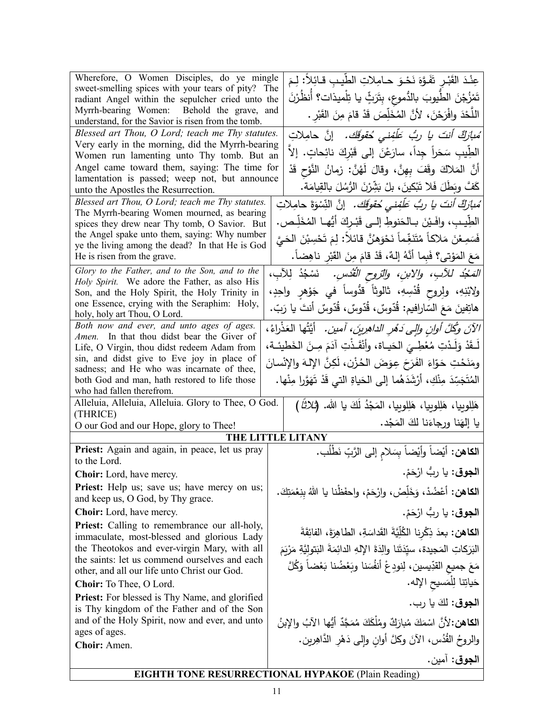| Wherefore, O Women Disciples, do ye mingle                                                              | عِنْدَ القَبْرِ تَفَوَّهَ نَحْوَ حامِلاتِ الطَّيبِ قـائِلاً: لِـمَ                 |
|---------------------------------------------------------------------------------------------------------|------------------------------------------------------------------------------------|
| sweet-smelling spices with your tears of pity? The<br>radiant Angel within the sepulcher cried unto the | تَمْزُجْنَ الطَّيوبَ بالدُّموعِ، بِتَرَبٍّ يا تِلْميذات؟ أنظُرْنَ                  |
| Myrrh-bearing Women: Behold the grave, and                                                              | اللَّحْدَ وافْرَحْنَ، لأَنَّ المُخَلِّصَ قَدْ قامَ مِنَ القَبْرِ .                 |
| understand, for the Savior is risen from the tomb.                                                      |                                                                                    |
| Blessed art Thou, O Lord; teach me Thy statutes.<br>Very early in the morning, did the Myrrh-bearing    | مُ <i>بازڭ أنتَ يا ربُّ عَلَّفِنى حُقوقَك.</i> إنَّ حامِلاتِ                       |
| Women run lamenting unto Thy tomb. But an                                                               | الطِّيبِ سَحَراً جِداً، سارَعْنَ إِلَى قَبْرِكَ نائِحاتٍ. إِلاَّ                   |
| Angel came toward them, saying: The time for                                                            | أَنَّ المَلاكَ وقَفَ بِهِنَّ، وقالَ لَهُنَّ: زمانُ النَّوْحِ قَدْ                  |
| lamentation is passed; weep not, but announce                                                           |                                                                                    |
| unto the Apostles the Resurrection.                                                                     | كَفَّ وبَطَلَ فَلا تَبْكينَ، بلْ بَشِّرْنَ الرُّسُلَ بِالقِيامَة.                  |
| Blessed art Thou, O Lord; teach me Thy statutes.<br>The Myrrh-bearing Women mourned, as bearing         | ُ <i>مْبارَكٌ أَنتَ يا ربُّ عَلَّفِني حُقوقَك.</i> إنَّ النِّسْوَةَ حامِلاتِ       |
| spices they drew near Thy tomb, O Savior. But                                                           | الطِّيبِ، وافَيْنَ بـالحَنوطِ إلـى قَبْـركَ أَيُّهـا المُخَلِّـص.                  |
| the Angel spake unto them, saying: Why number                                                           | فَسَمِعْنَ مَلاكاً مُتَنَغِّماً نَحْوَهُنَّ قائلاً: لِمَ تَحْسِبْنَ الْحَيَّ       |
| ye the living among the dead? In that He is God                                                         |                                                                                    |
| He is risen from the grave.                                                                             | مَعَ المَوْتي؟ فَبِما أَنَّهُ إِلهٌ، قَدْ قامَ مِنَ القَبْرِ ناهِضاً.              |
| Glory to the Father, and to the Son, and to the<br>Holy Spirit. We adore the Father, as also His        | الْمَجْدُ للآبِ، والابن، والتروحِ الْقُدْسِ. ۚ نَسْجُدُ لِلآبِ،                    |
| Son, and the Holy Spirit, the Holy Trinity in                                                           | ولابْنِهِ، ولروح قُدْسِهِ، ثالوثاً قدُّوساً في جَوْهرٍ واحِدٍ،                     |
| one Essence, crying with the Seraphim: Holy,                                                            | هاتِفينَ مَعَ السّارافيم: قُدّوسٌ، قُدّوسٌ، قُدّوسٌ أنتَ يا رَبّ.                  |
| holy, holy art Thou, O Lord.<br>Both now and ever, and unto ages of ages.                               |                                                                                    |
| Amen. In that thou didst bear the Giver of                                                              | الآنَ وكُلَّ أُوانِ وإلى دَهْرِ الداهِرِينَ، أَمين. ۚ أَيَّتُها الْعَذْراءُ،       |
| Life, O Virgin, thou didst redeem Adam from                                                             | لَـقَدْ وَلَـدْتِ مُعْطِـىَ الحَيـاة، وأَنْقَـذْتِ آدَمَ مِـنَ الخَطيئـة،          |
| sin, and didst give to Eve joy in place of                                                              | ومَنَحْتِ حَوّاءَ الفَرَحَ عِوَضَ الحُزْنِ، لَكِنَّ الإِلـهَ والإِنْسانَ           |
| sadness; and He who was incarnate of thee,<br>both God and man, hath restored to life those             | الْمُتَجَسِّدَ مِنْكِ، أَرْشَدَهُما إِلَى الْحَياةِ الَّتِي قَدْ تَهَوَّرا مِنْها. |
| who had fallen therefrom.                                                                               |                                                                                    |
| Alleluia, Alleluia, Alleluia. Glory to Thee, O God.                                                     | هَلِلوبِيا، هَلِلوبِيا، هَلِلوبِيا، المَجْدُ لَكَ يا الله. (ثلاثاً)                |
| (THRICE)                                                                                                | يا إلهَنا ورجاءَنا لكَ المَجْد.                                                    |
| O our God and our Hope, glory to Thee!                                                                  | THE LITTLE LITANY                                                                  |
| Priest: Again and again, in peace, let us pray                                                          | ا <b>لكاهن:</b> أيْضاً وأيْضاً بِسَلامِ إلى الرَّبِّ نَطْلُب.                      |
| to the Lord.                                                                                            |                                                                                    |
| Choir: Lord, have mercy.                                                                                | ا <b>لجوق</b> : يا ربُّ ارْحَمْ.                                                   |
| Priest: Help us; save us; have mercy on us;                                                             | الكاهن: أَعْضُدْ، وَخَلِّصْ، وارْحَمْ، واحفَظْنا يا اللهُ بنِعْمَتِكَ.             |
| and keep us, O God, by Thy grace.<br>Choir: Lord, have mercy.                                           | ا <b>لجوق</b> : يا ربُّ ارْحَمْ.                                                   |
| <b>Priest:</b> Calling to remembrance our all-holy,                                                     |                                                                                    |
| immaculate, most-blessed and glorious Lady                                                              | ا <b>لكاهن:</b> بعدَ ذِكْرِنا الكُلِّيَّةَ القَداسَةِ، الطاهِرَةَ، الفائِقَةَ      |
| the Theotokos and ever-virgin Mary, with all                                                            | البَرَكاتِ المَجيدة، سيّدَتَنا والِدَةَ الإِلهِ الدائِمَةَ البَتولِيَّةِ مَرْيَمَ  |
| the saints: let us commend ourselves and each<br>other, and all our life unto Christ our God.           | مَعَ جميع القدِّيسين، لِنودِعْ أَنفُسَنا وبَعْضُنا بَعْضاً وَكُلَّ                 |
| Choir: To Thee, O Lord.                                                                                 | حَياتِنا لِلمَسيحِ الإِله.                                                         |
| <b>Priest:</b> For blessed is Thy Name, and glorified                                                   |                                                                                    |
| is Thy kingdom of the Father and of the Son                                                             | ا <b>لجوق</b> : لكَ يا رب.                                                         |
| and of the Holy Spirit, now and ever, and unto                                                          | ا <b>لكاهن:</b> 'لأنَّ اسْمَكَ مُبارَكٌ ومُلْكَكَ مُمَجَّدٌ أَيُّها الآبُ والإبنُ  |
| ages of ages.                                                                                           | والروحُ القُدُس، الآنَ وكلَّ أوانِ وإلى دَهْرِ الدَّاهِرين.                        |
| Choir: Amen.                                                                                            |                                                                                    |
|                                                                                                         | الجوق: آمين.                                                                       |
|                                                                                                         | <b>EIGHTH TONE RESURRECTIONAL HYPAKOE (Plain Reading)</b>                          |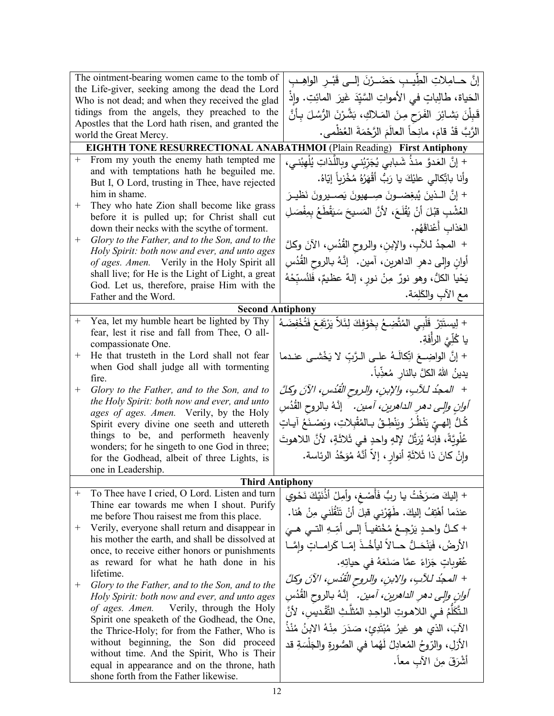|                                                    | The ointment-bearing women came to the tomb of<br>the Life-giver, seeking among the dead the Lord<br>Who is not dead; and when they received the glad | إنَّ حــامِلاتِ الطِّيــبِ حَضَــرْنَ إلــي قَبْــرِ الواهِــبِ<br>الحَياة، طالِباتٍ في الأمواتِ السَّيِّدَ غَيرَ المائِتِ. وإذْ |
|----------------------------------------------------|-------------------------------------------------------------------------------------------------------------------------------------------------------|----------------------------------------------------------------------------------------------------------------------------------|
| tidings from the angels, they preached to the      |                                                                                                                                                       | قَبِلْنَ بَشائِرَ الفَرَحِ مِنَ المَـلاكِ، بَشَّرْنَ الرُّسُلَ بِأَنَّ                                                           |
| Apostles that the Lord hath risen, and granted the |                                                                                                                                                       | الرَّبَّ قَدْ قامَ، مانِحاً العالَمَ الرَّحْمَةَ العُظْمي.                                                                       |
|                                                    | world the Great Mercy.                                                                                                                                | EIGHTH TONE RESURRECTIONAL ANABATHMOI (Plain Reading) First Antiphony                                                            |
| $^{+}$                                             | From my youth the enemy hath tempted me                                                                                                               |                                                                                                                                  |
|                                                    | and with temptations hath he beguiled me.                                                                                                             | + إنَّ العَدوَّ منذُ شَبابي يُجَرِّبُني وبِاللَّذاتِ يُلْهِبُني،                                                                 |
|                                                    | But I, O Lord, trusting in Thee, have rejected                                                                                                        | وأنا باتِّكالـي عليْكَ يا رَبُّ أَقْهَرُهُ مُخْزِياً إِيّاهُ.                                                                    |
|                                                    | him in shame.                                                                                                                                         | + إنَّ الـذينَ يُبغِضــونَ صِـــهيونَ يَصــيرونَ نَظيــرَ                                                                        |
| $^{+}$                                             | They who hate Zion shall become like grass<br>before it is pulled up; for Christ shall cut                                                            | العُشْبِ قَبْلَ أَنْ يُقْلَعَ، لأَنَّ المَسيحَ سَيَقْطَعُ بِمِفْصَلِ                                                             |
|                                                    | down their necks with the scythe of torment.                                                                                                          | العَذاب أَعْناقَهُم.                                                                                                             |
| $^+$                                               | Glory to the Father, and to the Son, and to the<br>Holy Spirit: both now and ever, and unto ages                                                      | + المجدُ للأبِ، والإبنِ، والروحِ القُدُسِ، الآنَ وكلَّ                                                                           |
|                                                    | of ages. Amen. Verily in the Holy Spirit all                                                                                                          | أُوانِ وإلى دهرِ الداهرين، آمين. ۖ إنَّـهُ بـالروحِ القُدُسِ                                                                     |
|                                                    | shall live; for He is the Light of Light, a great                                                                                                     | يَحْيا الكلُّ، وهو نورٌ مِنْ نورٍ ، إلـهٌ عظيمٌ، فَلنُسبِّحْهُ                                                                   |
|                                                    | God. Let us, therefore, praise Him with the                                                                                                           |                                                                                                                                  |
|                                                    | Father and the Word.                                                                                                                                  | مع الآبِ والكَلِمَة.                                                                                                             |
|                                                    | Yea, let my humble heart be lighted by Thy                                                                                                            | <b>Second Antiphony</b>                                                                                                          |
|                                                    | fear, lest it rise and fall from Thee, O all-                                                                                                         | + لِيستَتِرْ  قَلْبِي  المُتَّضِعُ بِخَوْفِكَ لِئَلاّ يَرْتَفِعَ فَتُخْفِضَهُ                                                    |
|                                                    | compassionate One.                                                                                                                                    | يا كُلِّيَّ الرأفَةِ.                                                                                                            |
| $^+$                                               | He that trusteth in the Lord shall not fear                                                                                                           | + إنَّ الواضِـعَ اتِّكالَــهُ علــى الـرَّبِّ لا يَخْشــى عنـدما                                                                 |
|                                                    | when God shall judge all with tormenting<br>fire.                                                                                                     | يدينُ اللهُ الكلَّ بالنار مُعذِّباً.                                                                                             |
| $^{+}$                                             | Glory to the Father, and to the Son, and to                                                                                                           | + المجدُ للآبِ، والإبنِ، والروح القُدُسِ، الآنَ وكلَّ                                                                            |
|                                                    | the Holy Spirit: both now and ever, and unto                                                                                                          | <i>أوانِ وإلى دهرِ الداهرين، آمين.</i> إنَّهُ بالروح القُدُسِ                                                                    |
|                                                    | ages of ages. Amen. Verily, by the Holy<br>Spirit every divine one seeth and uttereth                                                                 | كُلُّ إلهيِّ يَنْظُرُ ويَنْطِقُ بِالْمُقْبِلاتِ، ويَصْنَعُ آياتٍ                                                                 |
|                                                    | things to be, and performeth heavenly                                                                                                                 | عُلْوِيَّةً، فإِنهُ يُرَتَّلُ لِإِلهٍ واحدٍ في ثَلاثَةٍ، لأَنَّ اللاهوتَ                                                         |
|                                                    | wonders; for he singeth to one God in three;                                                                                                          | وإِنْ كَانَ ذَا ثَلاثَةِ أَنوارٍ ، إِلاَّ أَنَّهُ مُوَحَّدُ الرئاسة.                                                             |
|                                                    | for the Godhead, albeit of three Lights, is<br>one in Leadership.                                                                                     |                                                                                                                                  |
|                                                    |                                                                                                                                                       | <b>Third Antiphony</b>                                                                                                           |
| $^{+}$                                             | To Thee have I cried, O Lord. Listen and turn                                                                                                         | + إليكَ صَرَخْتُ يا ربُّ فَأَصْـغ، وأَمِـلْ أَذُنَيْكَ نَحْوِي                                                                   |
|                                                    | Thine ear towards me when I shout. Purify                                                                                                             | عندَما أَهْتِفُ إِليكَ. طَهِّرْنِي قبلَ أَنْ تَنْقُلَني مِنْ هُنا.                                                               |
| $^{+}$                                             | me before Thou raisest me from this place.<br>Verily, everyone shall return and disappear in                                                          | + كلُّ واحدٍ يَرْجِعُ مُخْتفيــاً إلــي أُمِّــهِ النّــي هــيَ                                                                  |
|                                                    | his mother the earth, and shall be dissolved at                                                                                                       |                                                                                                                                  |
|                                                    | once, to receive either honors or punishments                                                                                                         | الأرضُ، فَيَنْحَـلُ حــالاً ليأخُــذَ إمّــا كَرامــاتٍ وإمَّــا                                                                 |
|                                                    | as reward for what he hath done in his                                                                                                                | عُقوباتٍ جَزاءً عمَّا صَنَعَهُ في حياتِهِ.                                                                                       |
| $^+$                                               | lifetime.<br>Glory to the Father, and to the Son, and to the                                                                                          | + المجدُ للآبِ، والإبنِ، والروحِ الْقُدُسِ، الآنَ وكِلَّ                                                                         |
|                                                    | Holy Spirit: both now and ever, and unto ages                                                                                                         | <i>أوانِ والٍى دهرِ الداهرين، آمين.</i> إنَّهُ بـالروح القُدُسِ                                                                  |
|                                                    | of ages. Amen.<br>Verily, through the Holy                                                                                                            | الـتَّكَلَّمُ فـى اللاهـوتِ الواحِـدِ المُثلَّـثِ التَّقْـديسِ، لأنَّ                                                            |
|                                                    | Spirit one speaketh of the Godhead, the One,<br>the Thrice-Holy; for from the Father, Who is                                                          | الآبَ، الذي هو غيرُ مُبْتَدِئٍ، صَدَرَ مِنْهُ الابنُ مُنْذُ                                                                      |
|                                                    | without beginning, the Son did proceed                                                                                                                | الأزلِ، والرّوحُ المُعادِلُ لَهُما في الصُّورةِ والجَلْسَةِ قد                                                                   |
|                                                    | without time. And the Spirit, Who is Their                                                                                                            | أَشْرَقَ مِنَ الْأَبِ معاً.                                                                                                      |
|                                                    | equal in appearance and on the throne, hath<br>shone forth from the Father likewise.                                                                  |                                                                                                                                  |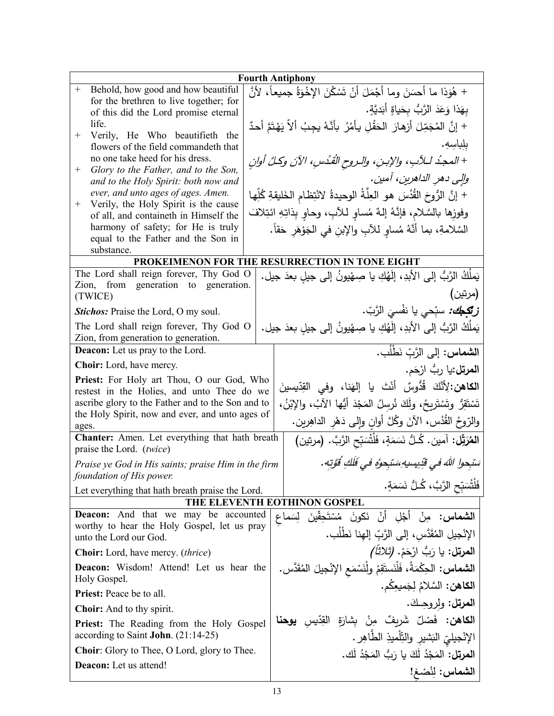| <b>Fourth Antiphony</b>                                                                    |                                                                              |  |
|--------------------------------------------------------------------------------------------|------------------------------------------------------------------------------|--|
| Behold, how good and how beautiful<br>$^{+}$                                               | + هُوَذا ما أحسَنَ وما أَجْمَلَ أَنْ تَسْكُنَ الإِخْوَةُ جِميعاً، لأَنَّ     |  |
| for the brethren to live together; for                                                     |                                                                              |  |
| of this did the Lord promise eternal                                                       | بِهَذا وَعَدَ الرَّبُّ بِحَياةٍ أَبَديَّةٍ.                                  |  |
| life.<br>Verily, He Who beautifieth the<br>$^{+}$                                          | + إنَّ المُجَمِّلَ أزهارَ الحَقْلِ يأمُرُ بأنَّهُ يجِبُ ألاَّ يَهْتَمَّ أحدٌ |  |
| flowers of the field commandeth that                                                       | بلباسهِ.                                                                     |  |
| no one take heed for his dress.                                                            | + المجدُ لـلأبِ، والإبـنِ، والـروح الْقُدُسِ، الآنَ وكـلَّ أوانِ             |  |
| Glory to the Father, and to the Son,<br>$^+$                                               |                                                                              |  |
| and to the Holy Spirit: both now and                                                       | والى دهر الداهرين، آمين.                                                     |  |
| ever, and unto ages of ages. Amen.                                                         | + إنَّ الرُّوحَ القُدُسَ هو العِلَّةُ الوحيدةُ لانْتِظام الخَليقةِ كُلِّها   |  |
| Verily, the Holy Spirit is the cause<br>$^{+}$<br>of all, and containeth in Himself the    | وفوزِها بالسَّلام، فإنَّهُ إلـهٌ مُساوٍ للأبِ، وحاوٍ بِذاتِهِ ائتِلافَ       |  |
| harmony of safety; for He is truly                                                         | السَّلامةِ، بما أنَّهُ مُساوِ للأبِ والإبنِ في الجَوْهَرِ حَقاً.             |  |
| equal to the Father and the Son in                                                         |                                                                              |  |
| substance.                                                                                 |                                                                              |  |
|                                                                                            | PROKEIMENON FOR THE RESURRECTION IN TONE EIGHT                               |  |
| The Lord shall reign forever, Thy God O<br>Zion, from generation to<br>generation.         | يَملُكُ الرَّبُّ إلى الأبدِ، إلَهُكِ يا صِهْيونُ إلى جيلٍ بعدَ جيل.          |  |
| (TWICE)                                                                                    | (مرتين)                                                                      |  |
| <b>Stichos:</b> Praise the Lord, O my soul.                                                | <b>زگيجك:</b> سبِّحي يا نفْسيَ الرَّبّ.                                      |  |
|                                                                                            |                                                                              |  |
| The Lord shall reign forever, Thy God O<br>Zion, from generation to generation.            | يَملَكُ الرَّبُّ إلى الأبدِ، إِلَهُكِ يا صِهْيونُ إلى جيلِ بعدَ جيل.         |  |
| <b>Deacon:</b> Let us pray to the Lord.                                                    | ا <b>لشماس:</b> إلى الرَّبِّ نَطْلُبِ.                                       |  |
| <b>Choir:</b> Lord, have mercy.                                                            |                                                                              |  |
| Priest: For Holy art Thou, O our God, Who                                                  | ا <b>لمرتل:</b> يا ربُّ ارْحَم.                                              |  |
| restest in the Holies, and unto Thee do we                                                 | ا <b>لكاهن:</b> لِأَنَّكَ قُدُّوسٌ أَنْتَ يا إِلهَنا، وفي القِدِّيسينَ       |  |
| ascribe glory to the Father and to the Son and to                                          | تَسْتَقِرُّ وتَسْتَرِيحُ، ولَكَ نُرسِلُ المَجْدَ أَيُّها الآبُ، والإِبْنُ،   |  |
| the Holy Spirit, now and ever, and unto ages of                                            | والرّوحُ القُدُس، الآنَ وكُلَّ أوانٍ وإلى دَهْرِ الداهِرينِ.                 |  |
| ages.<br>Chanter: Amen. Let everything that hath breath                                    |                                                                              |  |
| praise the Lord. (twice)                                                                   | ا <b>لمُرَتِّل:</b> آمين. كُـلُّ نَسَمَةٍ، فَلْتُسَبِّحِ الرَّبَّ. (مرتين)   |  |
| Praise ye God in His saints; praise Him in the firm                                        | سَبْحوا اللهَ في قُدِيسيهِ سَتَجوهُ في فَلَكِ قُوَّتِهِ .                    |  |
| foundation of His power.                                                                   |                                                                              |  |
| Let everything that hath breath praise the Lord.                                           | فَلْتُسَبِّحِ الرَّبَّ، كُـلُّ نَسَمَةٍ.                                     |  |
|                                                                                            | THE ELEVENTH EOTHINON GOSPEL                                                 |  |
| <b>Deacon:</b> And that we may be accounted<br>worthy to hear the Holy Gospel, let us pray | <b>الشماس:</b> مِنْ أَجْلِ أَنْ نَكونَ مُسْتَحِقِّينَ لِسَماع                |  |
| unto the Lord our God.                                                                     | الإِنْجِيلِ الْمُقَدَّسِ، إِلَى الرَّبِّ إِلهِنا نَطْلُبٍ.                   |  |
| <b>Choir:</b> Lord, have mercy. <i>(thrice)</i>                                            | ا <b>لمرتل:</b> يا رَبُّ ارْحَمْ. <i>(تْلاتْاً)</i>                          |  |
| <b>Deacon:</b> Wisdom! Attend! Let us hear the                                             | ا <b>لشماس:</b> الحِكْمَةُ، فَلْنَستَقِمْ ولْنَسْمَعِ الإِنْجيلَ المُقَدَّس. |  |
| Holy Gospel.                                                                               | ا <b>لكاهن:</b> السَّلامُ لِجَميعِكُم.                                       |  |
| <b>Priest:</b> Peace be to all.                                                            |                                                                              |  |
| <b>Choir:</b> And to thy spirit.                                                           | ا <b>لمرتل:</b> ولروحِكَ.                                                    |  |
| <b>Priest:</b> The Reading from the Holy Gospel                                            | ا <b>لكاهن:</b> فَصْلٌ شَرِيفٌ مِنْ بِشارَةِ القِدِّيسِ <b>يوحنا</b>         |  |
| according to Saint John. $(21:14-25)$                                                      | الإنْجيليّ البَشير والنِّلْميذِ الطَّاهِرِ .                                 |  |
| Choir: Glory to Thee, O Lord, glory to Thee.<br><b>Deacon:</b> Let us attend!              | ا <b>لمرتل:</b> المَجْدُ لَكَ يا رَبُّ المَجْدُ لَك.                         |  |
|                                                                                            | الشماس: لِنُصْغ!                                                             |  |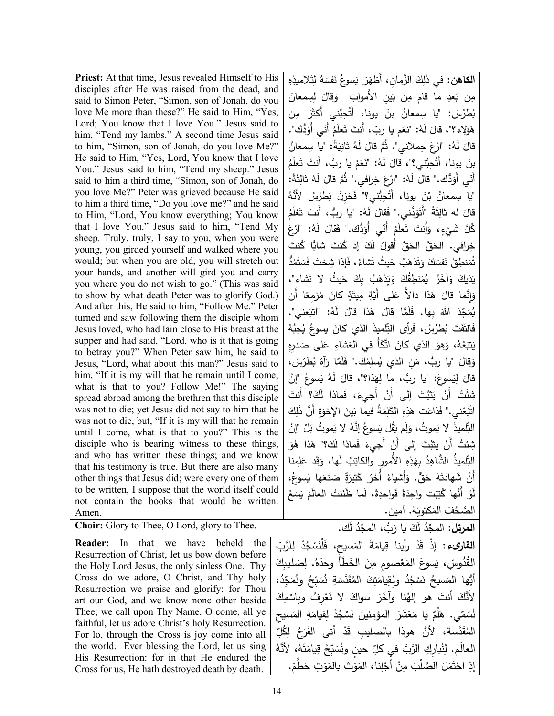| disciples after He was raised from the dead, and<br>مِن بَعدِ ما قامَ مِن بَينِ الأمواتِ ۖ وَقالَ لِسِمعانَ<br>said to Simon Peter, "Simon, son of Jonah, do you<br>بُطرُسَ: "يا سِمعانُ بنَ يونا، أَتُحِبُّني أَكثَرَ مِن<br>love Me more than these?" He said to Him, "Yes,<br>Lord; You know that I love You." Jesus said to<br>هَؤَلِاء؟"، قالَ لَهُ: "نَعَم يا ربّ، أنتَ تَعلَمُ أَنّي أَوَدُّك".<br>him, "Tend my lambs." A second time Jesus said<br>قالَ لَهُ: "ارْعَ حِملاني". ثُمَّ قالَ لَهُ ثانِيَةً: "يا سِمعانُ<br>to him, "Simon, son of Jonah, do you love Me?"<br>He said to Him, "Yes, Lord, You know that I love<br>بنَ يونا، أَتُحِبُّني؟"، قالَ لَهُ: "نَعَمْ يا ربُّ، أَنتَ تَعلَمُ<br>You." Jesus said to him, "Tend my sheep." Jesus<br>أَنِّي أَوَدُّك." قالَ لَهُ: "ارْعَ خِرافي." ثُمَّ قالَ لَهُ ثالِثَةً:<br>said to him a third time, "Simon, son of Jonah, do<br>you love Me?" Peter was grieved because He said<br>"يا سِمعانُ بْنَ يونا، أَتُحِبُّني؟" فَحَزِنَ بُطْرُسُ لأَنَّهُ<br>to him a third time, "Do you love me?" and he said<br>قالَ له ثالِثَةً "أَتَوَدُّني." فَقالَ لَهُ: "يا ربُّ، أنتَ تَعْلَمُ<br>to Him, "Lord, You know everything; You know<br>that I love You." Jesus said to him, "Tend My<br>كُلَّ شَيْءٍ، وَأَنتَ تَعلَمُ أَنّي أَوَدُّك." فَقالَ لَهُ: "ارْعَ<br>sheep. Truly, truly, I say to you, when you were<br>خِرافي. الحَقَّ الحَقَّ أَقولُ لَكَ إِذ كُنتَ شابًّا كُنتَ<br>young, you girded yourself and walked where you<br>تُمَنطِقُ نَفسَكَ وَتَذهَبُ حَيثُ تَشاءُ، فَإِذا شِختَ فَسَتَمُدُّ<br>would; but when you are old, you will stretch out<br>your hands, and another will gird you and carry<br>يَدَيكَ وَآخَرُ يُمَنطِقُكَ وَيَذهَبُ بِكَ حَيثُ لا تَشاء"،<br>you where you do not wish to go." (This was said<br>وَإِنَّما قالَ هَذا دالاً عَلى أَيَّةٍ مِيتَةٍ كانَ مُزمِعًا أَن<br>to show by what death Peter was to glorify God.)<br>And after this, He said to him, "Follow Me." Peter<br>يُمَجِّدَ اللَّهَ بِها. فَلَمَّا قالَ هَذا قالَ لَهُ: "انبَعنى".<br>turned and saw following them the disciple whom<br>فَالنَّفَتَ بُطْرُسُ، فَرَأَى النِّلميذَ الذي كانَ يَسوعُ يُحِبُّهُ<br>Jesus loved, who had lain close to His breast at the<br>supper and had said, "Lord, who is it that is going<br>يَتَبَعُهُ، وَهوَ الذي كانَ اتَّكَأَ في العَشاءِ عَلى صَدرِهِ<br>to betray you?" When Peter saw him, he said to<br>وَقَالَ "يا ربُّ، مَنِ الذي يُسلِمُك." فَلَمَّا رَآهُ بُطرُسُ،<br>Jesus, "Lord, what about this man?" Jesus said to<br>him, "If it is my will that he remain until I come,<br>قالَ لِيَسوعَ: "يا ربُّ، ما لِهَذا؟"، قالَ لَهُ يَسوعُ "إنْ<br>what is that to you? Follow Me!" The saying<br>شِئْتُ أَنْ يَتْبُتَ إِلَى أَنْ أَجِيءَ، فَماذا لَكَ؟ أَنتَ<br>spread abroad among the brethren that this disciple<br>was not to die; yet Jesus did not say to him that he<br>اتْبَعْني." فَذاعَت هَذِهِ الْكَلِمَةُ فيما بَينَ الإِخْوَةِ أَنَّ ذَلِكَ<br>was not to die, but, "If it is my will that he remain<br>النِّلميذَ لا يَموتُ، وَلَم يَقُل يَسوعُ إِنَّهُ لا يَموتُ بَلْ "إِنْ<br>until I come, what is that to you?" This is the<br>شِئتُ أَنْ يَثبُتَ إِلَى أَنْ أَجِيءَ فَماذا لَكَ؟" هَذا هُوَ<br>disciple who is bearing witness to these things,<br>and who has written these things; and we know<br>النِّلميذُ الشَّاهِدُ بِهَذِهِ الأُمورِ والكاتِبُ لَها، وَقَد عَلِمنا<br>that his testimony is true. But there are also many<br>أَنَّ شَهادَتَهُ حَقٌّ. وَأَشياءُ أُخَرُ كَثيرَةٌ صَنَعَها يَسوعُ،<br>other things that Jesus did; were every one of them<br>to be written, I suppose that the world itself could<br>لَوْ أَنَّها كُتِبَت واحِدَةً فَواحِدِةً، لَما ظَنَنتُ العالَمَ يَسَعُ<br>not contain the books that would be written.<br>الصُّحُفَ المَكتوبَة. آمين.<br>Amen.<br>Choir: Glory to Thee, O Lord, glory to Thee.<br>ا <b>لمرتل:</b> المَجْدُ لَكَ يا رَبُّ، المَجْدُ لَك.<br>ا <b>لقارىء :</b> إذْ قَدْ رأينا قِيامَةَ المَسيح، فَلَنَسْجُدْ لِلرَّبِّ<br><b>Reader:</b><br>$\ln$<br>that<br>we<br>have<br>beheld<br>the<br>Resurrection of Christ, let us bow down before<br>القُدُّوسِّ، يَسوعَ المَعْصومِ مِنَ الخَطَأَ وحدَهُ. لِصَليبِكَ<br>the Holy Lord Jesus, the only sinless One. Thy<br>Cross do we adore, O Christ, and Thy holy<br>أَيُّها المَسيحُ نَسْجُدُ ولقِيامَتِكَ الْمُقَدَّسَةِ نُسَبِّحُ ونُمَجّدُ،<br>Resurrection we praise and glorify: for Thou<br>لأَنَّكَ أَنتَ هو إلهُنا وآخَرَ سواكَ لا نَعْرِفُ وبِاسْمِكَ<br>art our God, and we know none other beside<br>Thee; we call upon Thy Name. O come, all ye<br>نُسَمّى. هَلَمَّ يا مَعْشَرَ المؤمنينَ نَسْجُدْ لِقيامَةِ المَسيح<br>faithful, let us adore Christ's holy Resurrection.<br>المُقَدَّسة، لأَنَّ هوذا بالصليبِ قَدْ أَتى الفَرَحُ لِكُلِّ<br>For lo, through the Cross is joy come into all<br>the world. Ever blessing the Lord, let us sing<br>العالَمِ. لِنُبارِكِ الرَّبَّ في كلِّ حينٍ ونُسَبِّحْ قِيامَتَهُ، لأَنَّهُ |                                                            |                                                                          |
|--------------------------------------------------------------------------------------------------------------------------------------------------------------------------------------------------------------------------------------------------------------------------------------------------------------------------------------------------------------------------------------------------------------------------------------------------------------------------------------------------------------------------------------------------------------------------------------------------------------------------------------------------------------------------------------------------------------------------------------------------------------------------------------------------------------------------------------------------------------------------------------------------------------------------------------------------------------------------------------------------------------------------------------------------------------------------------------------------------------------------------------------------------------------------------------------------------------------------------------------------------------------------------------------------------------------------------------------------------------------------------------------------------------------------------------------------------------------------------------------------------------------------------------------------------------------------------------------------------------------------------------------------------------------------------------------------------------------------------------------------------------------------------------------------------------------------------------------------------------------------------------------------------------------------------------------------------------------------------------------------------------------------------------------------------------------------------------------------------------------------------------------------------------------------------------------------------------------------------------------------------------------------------------------------------------------------------------------------------------------------------------------------------------------------------------------------------------------------------------------------------------------------------------------------------------------------------------------------------------------------------------------------------------------------------------------------------------------------------------------------------------------------------------------------------------------------------------------------------------------------------------------------------------------------------------------------------------------------------------------------------------------------------------------------------------------------------------------------------------------------------------------------------------------------------------------------------------------------------------------------------------------------------------------------------------------------------------------------------------------------------------------------------------------------------------------------------------------------------------------------------------------------------------------------------------------------------------------------------------------------------------------------------------------------------------------------------------------------------------------------------------------------------------------------------------------------------------------------------------------------------------------------------------------------------------------------------------------------------------------------------------------------------------------------------------------------------------------------------------------------------------------------------------------------------------------------------------------------------------------------------------------------------------------------------------------------------------------------------------------------------------------------------------------------------------------------------------------------------------------------------------------------------------------------------------------------------------------------------------------------------------------------------------------------------------------------------------------------------------------------------------------------------------------------------------------------------------------------------------------------------------------------------------------------------------------------------------------------|------------------------------------------------------------|--------------------------------------------------------------------------|
|                                                                                                                                                                                                                                                                                                                                                                                                                                                                                                                                                                                                                                                                                                                                                                                                                                                                                                                                                                                                                                                                                                                                                                                                                                                                                                                                                                                                                                                                                                                                                                                                                                                                                                                                                                                                                                                                                                                                                                                                                                                                                                                                                                                                                                                                                                                                                                                                                                                                                                                                                                                                                                                                                                                                                                                                                                                                                                                                                                                                                                                                                                                                                                                                                                                                                                                                                                                                                                                                                                                                                                                                                                                                                                                                                                                                                                                                                                                                                                                                                                                                                                                                                                                                                                                                                                                                                                                                                                                                                                                                                                                                                                                                                                                                                                                                                                                                                                                                                                          | <b>Priest:</b> At that time, Jesus revealed Himself to His | ا <b>لكاهن:</b> في ذَلِكَ الزَّمانِ، أَظهَرَ يَسوعُ نَفسَهُ لِتَلاميذِهِ |
|                                                                                                                                                                                                                                                                                                                                                                                                                                                                                                                                                                                                                                                                                                                                                                                                                                                                                                                                                                                                                                                                                                                                                                                                                                                                                                                                                                                                                                                                                                                                                                                                                                                                                                                                                                                                                                                                                                                                                                                                                                                                                                                                                                                                                                                                                                                                                                                                                                                                                                                                                                                                                                                                                                                                                                                                                                                                                                                                                                                                                                                                                                                                                                                                                                                                                                                                                                                                                                                                                                                                                                                                                                                                                                                                                                                                                                                                                                                                                                                                                                                                                                                                                                                                                                                                                                                                                                                                                                                                                                                                                                                                                                                                                                                                                                                                                                                                                                                                                                          |                                                            |                                                                          |
|                                                                                                                                                                                                                                                                                                                                                                                                                                                                                                                                                                                                                                                                                                                                                                                                                                                                                                                                                                                                                                                                                                                                                                                                                                                                                                                                                                                                                                                                                                                                                                                                                                                                                                                                                                                                                                                                                                                                                                                                                                                                                                                                                                                                                                                                                                                                                                                                                                                                                                                                                                                                                                                                                                                                                                                                                                                                                                                                                                                                                                                                                                                                                                                                                                                                                                                                                                                                                                                                                                                                                                                                                                                                                                                                                                                                                                                                                                                                                                                                                                                                                                                                                                                                                                                                                                                                                                                                                                                                                                                                                                                                                                                                                                                                                                                                                                                                                                                                                                          |                                                            |                                                                          |
|                                                                                                                                                                                                                                                                                                                                                                                                                                                                                                                                                                                                                                                                                                                                                                                                                                                                                                                                                                                                                                                                                                                                                                                                                                                                                                                                                                                                                                                                                                                                                                                                                                                                                                                                                                                                                                                                                                                                                                                                                                                                                                                                                                                                                                                                                                                                                                                                                                                                                                                                                                                                                                                                                                                                                                                                                                                                                                                                                                                                                                                                                                                                                                                                                                                                                                                                                                                                                                                                                                                                                                                                                                                                                                                                                                                                                                                                                                                                                                                                                                                                                                                                                                                                                                                                                                                                                                                                                                                                                                                                                                                                                                                                                                                                                                                                                                                                                                                                                                          |                                                            |                                                                          |
|                                                                                                                                                                                                                                                                                                                                                                                                                                                                                                                                                                                                                                                                                                                                                                                                                                                                                                                                                                                                                                                                                                                                                                                                                                                                                                                                                                                                                                                                                                                                                                                                                                                                                                                                                                                                                                                                                                                                                                                                                                                                                                                                                                                                                                                                                                                                                                                                                                                                                                                                                                                                                                                                                                                                                                                                                                                                                                                                                                                                                                                                                                                                                                                                                                                                                                                                                                                                                                                                                                                                                                                                                                                                                                                                                                                                                                                                                                                                                                                                                                                                                                                                                                                                                                                                                                                                                                                                                                                                                                                                                                                                                                                                                                                                                                                                                                                                                                                                                                          |                                                            |                                                                          |
|                                                                                                                                                                                                                                                                                                                                                                                                                                                                                                                                                                                                                                                                                                                                                                                                                                                                                                                                                                                                                                                                                                                                                                                                                                                                                                                                                                                                                                                                                                                                                                                                                                                                                                                                                                                                                                                                                                                                                                                                                                                                                                                                                                                                                                                                                                                                                                                                                                                                                                                                                                                                                                                                                                                                                                                                                                                                                                                                                                                                                                                                                                                                                                                                                                                                                                                                                                                                                                                                                                                                                                                                                                                                                                                                                                                                                                                                                                                                                                                                                                                                                                                                                                                                                                                                                                                                                                                                                                                                                                                                                                                                                                                                                                                                                                                                                                                                                                                                                                          |                                                            |                                                                          |
|                                                                                                                                                                                                                                                                                                                                                                                                                                                                                                                                                                                                                                                                                                                                                                                                                                                                                                                                                                                                                                                                                                                                                                                                                                                                                                                                                                                                                                                                                                                                                                                                                                                                                                                                                                                                                                                                                                                                                                                                                                                                                                                                                                                                                                                                                                                                                                                                                                                                                                                                                                                                                                                                                                                                                                                                                                                                                                                                                                                                                                                                                                                                                                                                                                                                                                                                                                                                                                                                                                                                                                                                                                                                                                                                                                                                                                                                                                                                                                                                                                                                                                                                                                                                                                                                                                                                                                                                                                                                                                                                                                                                                                                                                                                                                                                                                                                                                                                                                                          |                                                            |                                                                          |
|                                                                                                                                                                                                                                                                                                                                                                                                                                                                                                                                                                                                                                                                                                                                                                                                                                                                                                                                                                                                                                                                                                                                                                                                                                                                                                                                                                                                                                                                                                                                                                                                                                                                                                                                                                                                                                                                                                                                                                                                                                                                                                                                                                                                                                                                                                                                                                                                                                                                                                                                                                                                                                                                                                                                                                                                                                                                                                                                                                                                                                                                                                                                                                                                                                                                                                                                                                                                                                                                                                                                                                                                                                                                                                                                                                                                                                                                                                                                                                                                                                                                                                                                                                                                                                                                                                                                                                                                                                                                                                                                                                                                                                                                                                                                                                                                                                                                                                                                                                          |                                                            |                                                                          |
|                                                                                                                                                                                                                                                                                                                                                                                                                                                                                                                                                                                                                                                                                                                                                                                                                                                                                                                                                                                                                                                                                                                                                                                                                                                                                                                                                                                                                                                                                                                                                                                                                                                                                                                                                                                                                                                                                                                                                                                                                                                                                                                                                                                                                                                                                                                                                                                                                                                                                                                                                                                                                                                                                                                                                                                                                                                                                                                                                                                                                                                                                                                                                                                                                                                                                                                                                                                                                                                                                                                                                                                                                                                                                                                                                                                                                                                                                                                                                                                                                                                                                                                                                                                                                                                                                                                                                                                                                                                                                                                                                                                                                                                                                                                                                                                                                                                                                                                                                                          |                                                            |                                                                          |
|                                                                                                                                                                                                                                                                                                                                                                                                                                                                                                                                                                                                                                                                                                                                                                                                                                                                                                                                                                                                                                                                                                                                                                                                                                                                                                                                                                                                                                                                                                                                                                                                                                                                                                                                                                                                                                                                                                                                                                                                                                                                                                                                                                                                                                                                                                                                                                                                                                                                                                                                                                                                                                                                                                                                                                                                                                                                                                                                                                                                                                                                                                                                                                                                                                                                                                                                                                                                                                                                                                                                                                                                                                                                                                                                                                                                                                                                                                                                                                                                                                                                                                                                                                                                                                                                                                                                                                                                                                                                                                                                                                                                                                                                                                                                                                                                                                                                                                                                                                          |                                                            |                                                                          |
|                                                                                                                                                                                                                                                                                                                                                                                                                                                                                                                                                                                                                                                                                                                                                                                                                                                                                                                                                                                                                                                                                                                                                                                                                                                                                                                                                                                                                                                                                                                                                                                                                                                                                                                                                                                                                                                                                                                                                                                                                                                                                                                                                                                                                                                                                                                                                                                                                                                                                                                                                                                                                                                                                                                                                                                                                                                                                                                                                                                                                                                                                                                                                                                                                                                                                                                                                                                                                                                                                                                                                                                                                                                                                                                                                                                                                                                                                                                                                                                                                                                                                                                                                                                                                                                                                                                                                                                                                                                                                                                                                                                                                                                                                                                                                                                                                                                                                                                                                                          |                                                            |                                                                          |
|                                                                                                                                                                                                                                                                                                                                                                                                                                                                                                                                                                                                                                                                                                                                                                                                                                                                                                                                                                                                                                                                                                                                                                                                                                                                                                                                                                                                                                                                                                                                                                                                                                                                                                                                                                                                                                                                                                                                                                                                                                                                                                                                                                                                                                                                                                                                                                                                                                                                                                                                                                                                                                                                                                                                                                                                                                                                                                                                                                                                                                                                                                                                                                                                                                                                                                                                                                                                                                                                                                                                                                                                                                                                                                                                                                                                                                                                                                                                                                                                                                                                                                                                                                                                                                                                                                                                                                                                                                                                                                                                                                                                                                                                                                                                                                                                                                                                                                                                                                          |                                                            |                                                                          |
|                                                                                                                                                                                                                                                                                                                                                                                                                                                                                                                                                                                                                                                                                                                                                                                                                                                                                                                                                                                                                                                                                                                                                                                                                                                                                                                                                                                                                                                                                                                                                                                                                                                                                                                                                                                                                                                                                                                                                                                                                                                                                                                                                                                                                                                                                                                                                                                                                                                                                                                                                                                                                                                                                                                                                                                                                                                                                                                                                                                                                                                                                                                                                                                                                                                                                                                                                                                                                                                                                                                                                                                                                                                                                                                                                                                                                                                                                                                                                                                                                                                                                                                                                                                                                                                                                                                                                                                                                                                                                                                                                                                                                                                                                                                                                                                                                                                                                                                                                                          |                                                            |                                                                          |
|                                                                                                                                                                                                                                                                                                                                                                                                                                                                                                                                                                                                                                                                                                                                                                                                                                                                                                                                                                                                                                                                                                                                                                                                                                                                                                                                                                                                                                                                                                                                                                                                                                                                                                                                                                                                                                                                                                                                                                                                                                                                                                                                                                                                                                                                                                                                                                                                                                                                                                                                                                                                                                                                                                                                                                                                                                                                                                                                                                                                                                                                                                                                                                                                                                                                                                                                                                                                                                                                                                                                                                                                                                                                                                                                                                                                                                                                                                                                                                                                                                                                                                                                                                                                                                                                                                                                                                                                                                                                                                                                                                                                                                                                                                                                                                                                                                                                                                                                                                          |                                                            |                                                                          |
|                                                                                                                                                                                                                                                                                                                                                                                                                                                                                                                                                                                                                                                                                                                                                                                                                                                                                                                                                                                                                                                                                                                                                                                                                                                                                                                                                                                                                                                                                                                                                                                                                                                                                                                                                                                                                                                                                                                                                                                                                                                                                                                                                                                                                                                                                                                                                                                                                                                                                                                                                                                                                                                                                                                                                                                                                                                                                                                                                                                                                                                                                                                                                                                                                                                                                                                                                                                                                                                                                                                                                                                                                                                                                                                                                                                                                                                                                                                                                                                                                                                                                                                                                                                                                                                                                                                                                                                                                                                                                                                                                                                                                                                                                                                                                                                                                                                                                                                                                                          |                                                            |                                                                          |
|                                                                                                                                                                                                                                                                                                                                                                                                                                                                                                                                                                                                                                                                                                                                                                                                                                                                                                                                                                                                                                                                                                                                                                                                                                                                                                                                                                                                                                                                                                                                                                                                                                                                                                                                                                                                                                                                                                                                                                                                                                                                                                                                                                                                                                                                                                                                                                                                                                                                                                                                                                                                                                                                                                                                                                                                                                                                                                                                                                                                                                                                                                                                                                                                                                                                                                                                                                                                                                                                                                                                                                                                                                                                                                                                                                                                                                                                                                                                                                                                                                                                                                                                                                                                                                                                                                                                                                                                                                                                                                                                                                                                                                                                                                                                                                                                                                                                                                                                                                          |                                                            |                                                                          |
|                                                                                                                                                                                                                                                                                                                                                                                                                                                                                                                                                                                                                                                                                                                                                                                                                                                                                                                                                                                                                                                                                                                                                                                                                                                                                                                                                                                                                                                                                                                                                                                                                                                                                                                                                                                                                                                                                                                                                                                                                                                                                                                                                                                                                                                                                                                                                                                                                                                                                                                                                                                                                                                                                                                                                                                                                                                                                                                                                                                                                                                                                                                                                                                                                                                                                                                                                                                                                                                                                                                                                                                                                                                                                                                                                                                                                                                                                                                                                                                                                                                                                                                                                                                                                                                                                                                                                                                                                                                                                                                                                                                                                                                                                                                                                                                                                                                                                                                                                                          |                                                            |                                                                          |
|                                                                                                                                                                                                                                                                                                                                                                                                                                                                                                                                                                                                                                                                                                                                                                                                                                                                                                                                                                                                                                                                                                                                                                                                                                                                                                                                                                                                                                                                                                                                                                                                                                                                                                                                                                                                                                                                                                                                                                                                                                                                                                                                                                                                                                                                                                                                                                                                                                                                                                                                                                                                                                                                                                                                                                                                                                                                                                                                                                                                                                                                                                                                                                                                                                                                                                                                                                                                                                                                                                                                                                                                                                                                                                                                                                                                                                                                                                                                                                                                                                                                                                                                                                                                                                                                                                                                                                                                                                                                                                                                                                                                                                                                                                                                                                                                                                                                                                                                                                          |                                                            |                                                                          |
|                                                                                                                                                                                                                                                                                                                                                                                                                                                                                                                                                                                                                                                                                                                                                                                                                                                                                                                                                                                                                                                                                                                                                                                                                                                                                                                                                                                                                                                                                                                                                                                                                                                                                                                                                                                                                                                                                                                                                                                                                                                                                                                                                                                                                                                                                                                                                                                                                                                                                                                                                                                                                                                                                                                                                                                                                                                                                                                                                                                                                                                                                                                                                                                                                                                                                                                                                                                                                                                                                                                                                                                                                                                                                                                                                                                                                                                                                                                                                                                                                                                                                                                                                                                                                                                                                                                                                                                                                                                                                                                                                                                                                                                                                                                                                                                                                                                                                                                                                                          |                                                            |                                                                          |
|                                                                                                                                                                                                                                                                                                                                                                                                                                                                                                                                                                                                                                                                                                                                                                                                                                                                                                                                                                                                                                                                                                                                                                                                                                                                                                                                                                                                                                                                                                                                                                                                                                                                                                                                                                                                                                                                                                                                                                                                                                                                                                                                                                                                                                                                                                                                                                                                                                                                                                                                                                                                                                                                                                                                                                                                                                                                                                                                                                                                                                                                                                                                                                                                                                                                                                                                                                                                                                                                                                                                                                                                                                                                                                                                                                                                                                                                                                                                                                                                                                                                                                                                                                                                                                                                                                                                                                                                                                                                                                                                                                                                                                                                                                                                                                                                                                                                                                                                                                          |                                                            |                                                                          |
|                                                                                                                                                                                                                                                                                                                                                                                                                                                                                                                                                                                                                                                                                                                                                                                                                                                                                                                                                                                                                                                                                                                                                                                                                                                                                                                                                                                                                                                                                                                                                                                                                                                                                                                                                                                                                                                                                                                                                                                                                                                                                                                                                                                                                                                                                                                                                                                                                                                                                                                                                                                                                                                                                                                                                                                                                                                                                                                                                                                                                                                                                                                                                                                                                                                                                                                                                                                                                                                                                                                                                                                                                                                                                                                                                                                                                                                                                                                                                                                                                                                                                                                                                                                                                                                                                                                                                                                                                                                                                                                                                                                                                                                                                                                                                                                                                                                                                                                                                                          |                                                            |                                                                          |
|                                                                                                                                                                                                                                                                                                                                                                                                                                                                                                                                                                                                                                                                                                                                                                                                                                                                                                                                                                                                                                                                                                                                                                                                                                                                                                                                                                                                                                                                                                                                                                                                                                                                                                                                                                                                                                                                                                                                                                                                                                                                                                                                                                                                                                                                                                                                                                                                                                                                                                                                                                                                                                                                                                                                                                                                                                                                                                                                                                                                                                                                                                                                                                                                                                                                                                                                                                                                                                                                                                                                                                                                                                                                                                                                                                                                                                                                                                                                                                                                                                                                                                                                                                                                                                                                                                                                                                                                                                                                                                                                                                                                                                                                                                                                                                                                                                                                                                                                                                          |                                                            |                                                                          |
|                                                                                                                                                                                                                                                                                                                                                                                                                                                                                                                                                                                                                                                                                                                                                                                                                                                                                                                                                                                                                                                                                                                                                                                                                                                                                                                                                                                                                                                                                                                                                                                                                                                                                                                                                                                                                                                                                                                                                                                                                                                                                                                                                                                                                                                                                                                                                                                                                                                                                                                                                                                                                                                                                                                                                                                                                                                                                                                                                                                                                                                                                                                                                                                                                                                                                                                                                                                                                                                                                                                                                                                                                                                                                                                                                                                                                                                                                                                                                                                                                                                                                                                                                                                                                                                                                                                                                                                                                                                                                                                                                                                                                                                                                                                                                                                                                                                                                                                                                                          |                                                            |                                                                          |
|                                                                                                                                                                                                                                                                                                                                                                                                                                                                                                                                                                                                                                                                                                                                                                                                                                                                                                                                                                                                                                                                                                                                                                                                                                                                                                                                                                                                                                                                                                                                                                                                                                                                                                                                                                                                                                                                                                                                                                                                                                                                                                                                                                                                                                                                                                                                                                                                                                                                                                                                                                                                                                                                                                                                                                                                                                                                                                                                                                                                                                                                                                                                                                                                                                                                                                                                                                                                                                                                                                                                                                                                                                                                                                                                                                                                                                                                                                                                                                                                                                                                                                                                                                                                                                                                                                                                                                                                                                                                                                                                                                                                                                                                                                                                                                                                                                                                                                                                                                          |                                                            |                                                                          |
|                                                                                                                                                                                                                                                                                                                                                                                                                                                                                                                                                                                                                                                                                                                                                                                                                                                                                                                                                                                                                                                                                                                                                                                                                                                                                                                                                                                                                                                                                                                                                                                                                                                                                                                                                                                                                                                                                                                                                                                                                                                                                                                                                                                                                                                                                                                                                                                                                                                                                                                                                                                                                                                                                                                                                                                                                                                                                                                                                                                                                                                                                                                                                                                                                                                                                                                                                                                                                                                                                                                                                                                                                                                                                                                                                                                                                                                                                                                                                                                                                                                                                                                                                                                                                                                                                                                                                                                                                                                                                                                                                                                                                                                                                                                                                                                                                                                                                                                                                                          |                                                            |                                                                          |
|                                                                                                                                                                                                                                                                                                                                                                                                                                                                                                                                                                                                                                                                                                                                                                                                                                                                                                                                                                                                                                                                                                                                                                                                                                                                                                                                                                                                                                                                                                                                                                                                                                                                                                                                                                                                                                                                                                                                                                                                                                                                                                                                                                                                                                                                                                                                                                                                                                                                                                                                                                                                                                                                                                                                                                                                                                                                                                                                                                                                                                                                                                                                                                                                                                                                                                                                                                                                                                                                                                                                                                                                                                                                                                                                                                                                                                                                                                                                                                                                                                                                                                                                                                                                                                                                                                                                                                                                                                                                                                                                                                                                                                                                                                                                                                                                                                                                                                                                                                          |                                                            |                                                                          |
|                                                                                                                                                                                                                                                                                                                                                                                                                                                                                                                                                                                                                                                                                                                                                                                                                                                                                                                                                                                                                                                                                                                                                                                                                                                                                                                                                                                                                                                                                                                                                                                                                                                                                                                                                                                                                                                                                                                                                                                                                                                                                                                                                                                                                                                                                                                                                                                                                                                                                                                                                                                                                                                                                                                                                                                                                                                                                                                                                                                                                                                                                                                                                                                                                                                                                                                                                                                                                                                                                                                                                                                                                                                                                                                                                                                                                                                                                                                                                                                                                                                                                                                                                                                                                                                                                                                                                                                                                                                                                                                                                                                                                                                                                                                                                                                                                                                                                                                                                                          |                                                            |                                                                          |
|                                                                                                                                                                                                                                                                                                                                                                                                                                                                                                                                                                                                                                                                                                                                                                                                                                                                                                                                                                                                                                                                                                                                                                                                                                                                                                                                                                                                                                                                                                                                                                                                                                                                                                                                                                                                                                                                                                                                                                                                                                                                                                                                                                                                                                                                                                                                                                                                                                                                                                                                                                                                                                                                                                                                                                                                                                                                                                                                                                                                                                                                                                                                                                                                                                                                                                                                                                                                                                                                                                                                                                                                                                                                                                                                                                                                                                                                                                                                                                                                                                                                                                                                                                                                                                                                                                                                                                                                                                                                                                                                                                                                                                                                                                                                                                                                                                                                                                                                                                          |                                                            |                                                                          |
|                                                                                                                                                                                                                                                                                                                                                                                                                                                                                                                                                                                                                                                                                                                                                                                                                                                                                                                                                                                                                                                                                                                                                                                                                                                                                                                                                                                                                                                                                                                                                                                                                                                                                                                                                                                                                                                                                                                                                                                                                                                                                                                                                                                                                                                                                                                                                                                                                                                                                                                                                                                                                                                                                                                                                                                                                                                                                                                                                                                                                                                                                                                                                                                                                                                                                                                                                                                                                                                                                                                                                                                                                                                                                                                                                                                                                                                                                                                                                                                                                                                                                                                                                                                                                                                                                                                                                                                                                                                                                                                                                                                                                                                                                                                                                                                                                                                                                                                                                                          |                                                            |                                                                          |
|                                                                                                                                                                                                                                                                                                                                                                                                                                                                                                                                                                                                                                                                                                                                                                                                                                                                                                                                                                                                                                                                                                                                                                                                                                                                                                                                                                                                                                                                                                                                                                                                                                                                                                                                                                                                                                                                                                                                                                                                                                                                                                                                                                                                                                                                                                                                                                                                                                                                                                                                                                                                                                                                                                                                                                                                                                                                                                                                                                                                                                                                                                                                                                                                                                                                                                                                                                                                                                                                                                                                                                                                                                                                                                                                                                                                                                                                                                                                                                                                                                                                                                                                                                                                                                                                                                                                                                                                                                                                                                                                                                                                                                                                                                                                                                                                                                                                                                                                                                          |                                                            |                                                                          |
|                                                                                                                                                                                                                                                                                                                                                                                                                                                                                                                                                                                                                                                                                                                                                                                                                                                                                                                                                                                                                                                                                                                                                                                                                                                                                                                                                                                                                                                                                                                                                                                                                                                                                                                                                                                                                                                                                                                                                                                                                                                                                                                                                                                                                                                                                                                                                                                                                                                                                                                                                                                                                                                                                                                                                                                                                                                                                                                                                                                                                                                                                                                                                                                                                                                                                                                                                                                                                                                                                                                                                                                                                                                                                                                                                                                                                                                                                                                                                                                                                                                                                                                                                                                                                                                                                                                                                                                                                                                                                                                                                                                                                                                                                                                                                                                                                                                                                                                                                                          |                                                            |                                                                          |
|                                                                                                                                                                                                                                                                                                                                                                                                                                                                                                                                                                                                                                                                                                                                                                                                                                                                                                                                                                                                                                                                                                                                                                                                                                                                                                                                                                                                                                                                                                                                                                                                                                                                                                                                                                                                                                                                                                                                                                                                                                                                                                                                                                                                                                                                                                                                                                                                                                                                                                                                                                                                                                                                                                                                                                                                                                                                                                                                                                                                                                                                                                                                                                                                                                                                                                                                                                                                                                                                                                                                                                                                                                                                                                                                                                                                                                                                                                                                                                                                                                                                                                                                                                                                                                                                                                                                                                                                                                                                                                                                                                                                                                                                                                                                                                                                                                                                                                                                                                          |                                                            |                                                                          |
|                                                                                                                                                                                                                                                                                                                                                                                                                                                                                                                                                                                                                                                                                                                                                                                                                                                                                                                                                                                                                                                                                                                                                                                                                                                                                                                                                                                                                                                                                                                                                                                                                                                                                                                                                                                                                                                                                                                                                                                                                                                                                                                                                                                                                                                                                                                                                                                                                                                                                                                                                                                                                                                                                                                                                                                                                                                                                                                                                                                                                                                                                                                                                                                                                                                                                                                                                                                                                                                                                                                                                                                                                                                                                                                                                                                                                                                                                                                                                                                                                                                                                                                                                                                                                                                                                                                                                                                                                                                                                                                                                                                                                                                                                                                                                                                                                                                                                                                                                                          |                                                            |                                                                          |
|                                                                                                                                                                                                                                                                                                                                                                                                                                                                                                                                                                                                                                                                                                                                                                                                                                                                                                                                                                                                                                                                                                                                                                                                                                                                                                                                                                                                                                                                                                                                                                                                                                                                                                                                                                                                                                                                                                                                                                                                                                                                                                                                                                                                                                                                                                                                                                                                                                                                                                                                                                                                                                                                                                                                                                                                                                                                                                                                                                                                                                                                                                                                                                                                                                                                                                                                                                                                                                                                                                                                                                                                                                                                                                                                                                                                                                                                                                                                                                                                                                                                                                                                                                                                                                                                                                                                                                                                                                                                                                                                                                                                                                                                                                                                                                                                                                                                                                                                                                          |                                                            |                                                                          |
|                                                                                                                                                                                                                                                                                                                                                                                                                                                                                                                                                                                                                                                                                                                                                                                                                                                                                                                                                                                                                                                                                                                                                                                                                                                                                                                                                                                                                                                                                                                                                                                                                                                                                                                                                                                                                                                                                                                                                                                                                                                                                                                                                                                                                                                                                                                                                                                                                                                                                                                                                                                                                                                                                                                                                                                                                                                                                                                                                                                                                                                                                                                                                                                                                                                                                                                                                                                                                                                                                                                                                                                                                                                                                                                                                                                                                                                                                                                                                                                                                                                                                                                                                                                                                                                                                                                                                                                                                                                                                                                                                                                                                                                                                                                                                                                                                                                                                                                                                                          |                                                            |                                                                          |
|                                                                                                                                                                                                                                                                                                                                                                                                                                                                                                                                                                                                                                                                                                                                                                                                                                                                                                                                                                                                                                                                                                                                                                                                                                                                                                                                                                                                                                                                                                                                                                                                                                                                                                                                                                                                                                                                                                                                                                                                                                                                                                                                                                                                                                                                                                                                                                                                                                                                                                                                                                                                                                                                                                                                                                                                                                                                                                                                                                                                                                                                                                                                                                                                                                                                                                                                                                                                                                                                                                                                                                                                                                                                                                                                                                                                                                                                                                                                                                                                                                                                                                                                                                                                                                                                                                                                                                                                                                                                                                                                                                                                                                                                                                                                                                                                                                                                                                                                                                          |                                                            |                                                                          |
|                                                                                                                                                                                                                                                                                                                                                                                                                                                                                                                                                                                                                                                                                                                                                                                                                                                                                                                                                                                                                                                                                                                                                                                                                                                                                                                                                                                                                                                                                                                                                                                                                                                                                                                                                                                                                                                                                                                                                                                                                                                                                                                                                                                                                                                                                                                                                                                                                                                                                                                                                                                                                                                                                                                                                                                                                                                                                                                                                                                                                                                                                                                                                                                                                                                                                                                                                                                                                                                                                                                                                                                                                                                                                                                                                                                                                                                                                                                                                                                                                                                                                                                                                                                                                                                                                                                                                                                                                                                                                                                                                                                                                                                                                                                                                                                                                                                                                                                                                                          |                                                            |                                                                          |
|                                                                                                                                                                                                                                                                                                                                                                                                                                                                                                                                                                                                                                                                                                                                                                                                                                                                                                                                                                                                                                                                                                                                                                                                                                                                                                                                                                                                                                                                                                                                                                                                                                                                                                                                                                                                                                                                                                                                                                                                                                                                                                                                                                                                                                                                                                                                                                                                                                                                                                                                                                                                                                                                                                                                                                                                                                                                                                                                                                                                                                                                                                                                                                                                                                                                                                                                                                                                                                                                                                                                                                                                                                                                                                                                                                                                                                                                                                                                                                                                                                                                                                                                                                                                                                                                                                                                                                                                                                                                                                                                                                                                                                                                                                                                                                                                                                                                                                                                                                          |                                                            |                                                                          |
|                                                                                                                                                                                                                                                                                                                                                                                                                                                                                                                                                                                                                                                                                                                                                                                                                                                                                                                                                                                                                                                                                                                                                                                                                                                                                                                                                                                                                                                                                                                                                                                                                                                                                                                                                                                                                                                                                                                                                                                                                                                                                                                                                                                                                                                                                                                                                                                                                                                                                                                                                                                                                                                                                                                                                                                                                                                                                                                                                                                                                                                                                                                                                                                                                                                                                                                                                                                                                                                                                                                                                                                                                                                                                                                                                                                                                                                                                                                                                                                                                                                                                                                                                                                                                                                                                                                                                                                                                                                                                                                                                                                                                                                                                                                                                                                                                                                                                                                                                                          |                                                            |                                                                          |
|                                                                                                                                                                                                                                                                                                                                                                                                                                                                                                                                                                                                                                                                                                                                                                                                                                                                                                                                                                                                                                                                                                                                                                                                                                                                                                                                                                                                                                                                                                                                                                                                                                                                                                                                                                                                                                                                                                                                                                                                                                                                                                                                                                                                                                                                                                                                                                                                                                                                                                                                                                                                                                                                                                                                                                                                                                                                                                                                                                                                                                                                                                                                                                                                                                                                                                                                                                                                                                                                                                                                                                                                                                                                                                                                                                                                                                                                                                                                                                                                                                                                                                                                                                                                                                                                                                                                                                                                                                                                                                                                                                                                                                                                                                                                                                                                                                                                                                                                                                          |                                                            |                                                                          |
|                                                                                                                                                                                                                                                                                                                                                                                                                                                                                                                                                                                                                                                                                                                                                                                                                                                                                                                                                                                                                                                                                                                                                                                                                                                                                                                                                                                                                                                                                                                                                                                                                                                                                                                                                                                                                                                                                                                                                                                                                                                                                                                                                                                                                                                                                                                                                                                                                                                                                                                                                                                                                                                                                                                                                                                                                                                                                                                                                                                                                                                                                                                                                                                                                                                                                                                                                                                                                                                                                                                                                                                                                                                                                                                                                                                                                                                                                                                                                                                                                                                                                                                                                                                                                                                                                                                                                                                                                                                                                                                                                                                                                                                                                                                                                                                                                                                                                                                                                                          |                                                            |                                                                          |
|                                                                                                                                                                                                                                                                                                                                                                                                                                                                                                                                                                                                                                                                                                                                                                                                                                                                                                                                                                                                                                                                                                                                                                                                                                                                                                                                                                                                                                                                                                                                                                                                                                                                                                                                                                                                                                                                                                                                                                                                                                                                                                                                                                                                                                                                                                                                                                                                                                                                                                                                                                                                                                                                                                                                                                                                                                                                                                                                                                                                                                                                                                                                                                                                                                                                                                                                                                                                                                                                                                                                                                                                                                                                                                                                                                                                                                                                                                                                                                                                                                                                                                                                                                                                                                                                                                                                                                                                                                                                                                                                                                                                                                                                                                                                                                                                                                                                                                                                                                          |                                                            |                                                                          |
|                                                                                                                                                                                                                                                                                                                                                                                                                                                                                                                                                                                                                                                                                                                                                                                                                                                                                                                                                                                                                                                                                                                                                                                                                                                                                                                                                                                                                                                                                                                                                                                                                                                                                                                                                                                                                                                                                                                                                                                                                                                                                                                                                                                                                                                                                                                                                                                                                                                                                                                                                                                                                                                                                                                                                                                                                                                                                                                                                                                                                                                                                                                                                                                                                                                                                                                                                                                                                                                                                                                                                                                                                                                                                                                                                                                                                                                                                                                                                                                                                                                                                                                                                                                                                                                                                                                                                                                                                                                                                                                                                                                                                                                                                                                                                                                                                                                                                                                                                                          |                                                            |                                                                          |
|                                                                                                                                                                                                                                                                                                                                                                                                                                                                                                                                                                                                                                                                                                                                                                                                                                                                                                                                                                                                                                                                                                                                                                                                                                                                                                                                                                                                                                                                                                                                                                                                                                                                                                                                                                                                                                                                                                                                                                                                                                                                                                                                                                                                                                                                                                                                                                                                                                                                                                                                                                                                                                                                                                                                                                                                                                                                                                                                                                                                                                                                                                                                                                                                                                                                                                                                                                                                                                                                                                                                                                                                                                                                                                                                                                                                                                                                                                                                                                                                                                                                                                                                                                                                                                                                                                                                                                                                                                                                                                                                                                                                                                                                                                                                                                                                                                                                                                                                                                          |                                                            |                                                                          |
|                                                                                                                                                                                                                                                                                                                                                                                                                                                                                                                                                                                                                                                                                                                                                                                                                                                                                                                                                                                                                                                                                                                                                                                                                                                                                                                                                                                                                                                                                                                                                                                                                                                                                                                                                                                                                                                                                                                                                                                                                                                                                                                                                                                                                                                                                                                                                                                                                                                                                                                                                                                                                                                                                                                                                                                                                                                                                                                                                                                                                                                                                                                                                                                                                                                                                                                                                                                                                                                                                                                                                                                                                                                                                                                                                                                                                                                                                                                                                                                                                                                                                                                                                                                                                                                                                                                                                                                                                                                                                                                                                                                                                                                                                                                                                                                                                                                                                                                                                                          |                                                            |                                                                          |
|                                                                                                                                                                                                                                                                                                                                                                                                                                                                                                                                                                                                                                                                                                                                                                                                                                                                                                                                                                                                                                                                                                                                                                                                                                                                                                                                                                                                                                                                                                                                                                                                                                                                                                                                                                                                                                                                                                                                                                                                                                                                                                                                                                                                                                                                                                                                                                                                                                                                                                                                                                                                                                                                                                                                                                                                                                                                                                                                                                                                                                                                                                                                                                                                                                                                                                                                                                                                                                                                                                                                                                                                                                                                                                                                                                                                                                                                                                                                                                                                                                                                                                                                                                                                                                                                                                                                                                                                                                                                                                                                                                                                                                                                                                                                                                                                                                                                                                                                                                          |                                                            |                                                                          |
|                                                                                                                                                                                                                                                                                                                                                                                                                                                                                                                                                                                                                                                                                                                                                                                                                                                                                                                                                                                                                                                                                                                                                                                                                                                                                                                                                                                                                                                                                                                                                                                                                                                                                                                                                                                                                                                                                                                                                                                                                                                                                                                                                                                                                                                                                                                                                                                                                                                                                                                                                                                                                                                                                                                                                                                                                                                                                                                                                                                                                                                                                                                                                                                                                                                                                                                                                                                                                                                                                                                                                                                                                                                                                                                                                                                                                                                                                                                                                                                                                                                                                                                                                                                                                                                                                                                                                                                                                                                                                                                                                                                                                                                                                                                                                                                                                                                                                                                                                                          | His Resurrection: for in that He endured the               |                                                                          |
| إِذِ احْتَمَلَ الصَّلْبَ مِنْ أَجْلِنا، المَوْتَ بِالْمَوْتِ حَطَّمْ.<br>Cross for us, He hath destroyed death by death.                                                                                                                                                                                                                                                                                                                                                                                                                                                                                                                                                                                                                                                                                                                                                                                                                                                                                                                                                                                                                                                                                                                                                                                                                                                                                                                                                                                                                                                                                                                                                                                                                                                                                                                                                                                                                                                                                                                                                                                                                                                                                                                                                                                                                                                                                                                                                                                                                                                                                                                                                                                                                                                                                                                                                                                                                                                                                                                                                                                                                                                                                                                                                                                                                                                                                                                                                                                                                                                                                                                                                                                                                                                                                                                                                                                                                                                                                                                                                                                                                                                                                                                                                                                                                                                                                                                                                                                                                                                                                                                                                                                                                                                                                                                                                                                                                                                 |                                                            |                                                                          |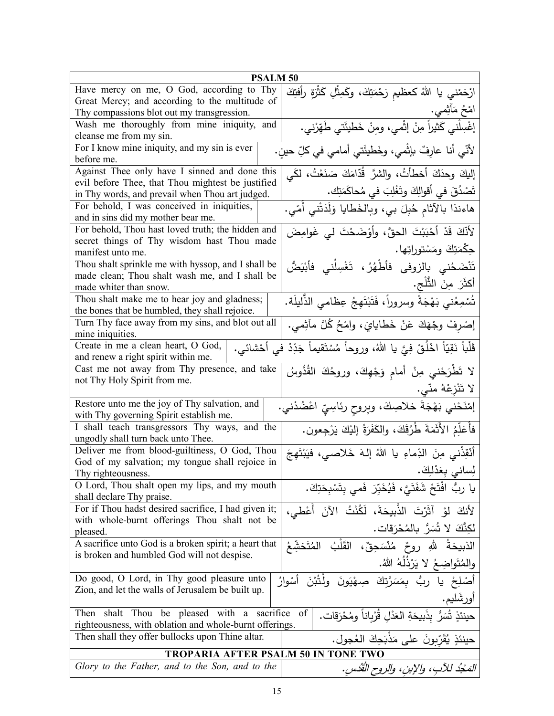|                                                                                                      | <b>PSALM 50</b>                                                                  |
|------------------------------------------------------------------------------------------------------|----------------------------------------------------------------------------------|
| Have mercy on me, O God, according to Thy                                                            | ارْحَمْني يا اللهُ كعظيمِ رَحْمَتِكَ، وكَمِثْلِ كَثْرَةِ رأفتِكَ                 |
| Great Mercy; and according to the multitude of                                                       | امْحُ مَأْثِمي.                                                                  |
| Thy compassions blot out my transgression.                                                           |                                                                                  |
| Wash me thoroughly from mine iniquity, and<br>cleanse me from my sin.                                | إغْسِلْني كَثْيراً مِنْ إثْمي، ومِنْ خَطيئَتي طَهِّرْني.                         |
| For I know mine iniquity, and my sin is ever<br>before me.                                           | لأنّي أنا عارِفٌ بإثْمي، وخَطيئَتي أمامي في كلِّ حينٍ.                           |
| Against Thee only have I sinned and done this                                                        | إليكَ وحدَكَ أخطأتُ، والشرَّ قُدّامَكَ صَنَعْتُ، لكَي                            |
| evil before Thee, that Thou mightest be justified                                                    | تَصْدُقَ في أقوالِكَ وتَغْلِبَ في مُحاكَمَتِك.                                   |
| in Thy words, and prevail when Thou art judged.<br>For behold, I was conceived in iniquities,        |                                                                                  |
| and in sins did my mother bear me.                                                                   | هاءنذا بالآثام حُبِلَ بي، وبالخَطايا وَلَدَتْني أُمّي.                           |
| For behold, Thou hast loved truth; the hidden and                                                    | لِأَنَّكَ قَدْ أَحْبَبْتَ الْحقَّ، وأَوْضَحْتَ لَي غَوامِضَ                      |
| secret things of Thy wisdom hast Thou made                                                           | جِكْمَتِكَ ومَسْتوراتِها.                                                        |
| manifest unto me.<br>Thou shalt sprinkle me with hyssop, and I shall be                              |                                                                                  |
| made clean; Thou shalt wash me, and I shall be                                                       | تَنْضَحُني بالزوفى فأطْهُرُ، تَغْسِلُني فأبْيَضُ                                 |
| made whiter than snow.                                                                               | أكثَرَ مِنَ الثَّلْجِ.                                                           |
| Thou shalt make me to hear joy and gladness;<br>the bones that be humbled, they shall rejoice.       | تُسْمِعُني بَهْجَةً وسروراً، فَتَبْتَهِجُ عِظامي الذَّليلَة.                     |
| Turn Thy face away from my sins, and blot out all                                                    | إِصْرِفْ وِجْهَكَ عَنْ خَطَايايَ، وامْحُ كُلَّ مآثِمي.                           |
| mine iniquities.                                                                                     |                                                                                  |
| Create in me a clean heart, O God,                                                                   | قَلْباً نَقِيّاً اخْلُقْ فِيَّ يا اللهُ، وروحاً مُسْتَقيماً جَدِّدْ في أَحْشائي. |
| and renew a right spirit within me.                                                                  |                                                                                  |
| Cast me not away from Thy presence, and take<br>not Thy Holy Spirit from me.                         | لا تَطْرَحْني مِنْ أمامٍ وَجْهِكَ، وروحُكَ القُدُّوسُ                            |
|                                                                                                      | لا تَنْزِعْهُ منّي.                                                              |
| Restore unto me the joy of Thy salvation, and<br>with Thy governing Spirit establish me.             |                                                                                  |
| I shall teach transgressors Thy ways, and the<br>ungodly shall turn back unto Thee.                  | فأُعَلِّمُ الأَثَمَةَ طُرُقَكَ، والكَفَرَةُ إليْكَ يَرْجِعون.                    |
| Deliver me from blood-guiltiness, O God, Thou                                                        | أَنْقِذْني مِنَ الدِّماءِ يا اللهُ إلهَ خَلاصي، فيَبْتَهِجَ                      |
| God of my salvation; my tongue shall rejoice in                                                      |                                                                                  |
| Thy righteousness.                                                                                   | لِساني بعَدْلِكَ.                                                                |
| O Lord, Thou shalt open my lips, and my mouth<br>shall declare Thy praise.                           | يا ربُّ افْتَحْ شَفَتَىَّ، فَيُخَبِّرَ فَمي بِتَسْبِحَتِكَ.                      |
| For if Thou hadst desired sacrifice, I had given it;                                                 | لأنكَ لَوْ آثَرْتَ الذَّبيحَةَ، لَكُنْتُ الآنَ أُعْطى،                           |
| with whole-burnt offerings Thou shalt not be                                                         | لكِنَّكَ لا تُسَرُّ بالمُحْرَقات.                                                |
| pleased.                                                                                             |                                                                                  |
| A sacrifice unto God is a broken spirit; a heart that<br>is broken and humbled God will not despise. | الذبيحَةُ    للهِ    روحٌ    مُنْسَحِقٌ ،    القَلْبُ    المُتَحْشِّعُ           |
|                                                                                                      | والمُتَواضِعُ لا يَرْذُلُهُ اللهُ.                                               |
| Do good, O Lord, in Thy good pleasure unto                                                           | أَصْلِحْ يا ربُّ بِمَسَرَّتكَ صِـهْيَونَ ولْتُبْنَ أَسْوارُ                      |
| Zion, and let the walls of Jerusalem be built up.                                                    | أورشَليم.                                                                        |
| Then shalt Thou be pleased with a sacrifice                                                          | حينئَذِ شُبَرٌ بذَبيحَةِ العَدْلِ قُرْبِاناً ومُحْرَقات.<br>of                   |
| righteousness, with oblation and whole-burnt offerings.                                              |                                                                                  |
| Then shall they offer bullocks upon Thine altar.                                                     | حينئذٍ يُقَرّبونَ على مَذْبَحِكَ العُجول.                                        |
|                                                                                                      | <b>TROPARIA AFTER PSALM 50 IN TONE TWO</b>                                       |
| Glory to the Father, and to the Son, and to the                                                      | المَجْدُ للآبِ، والإبنِ، والروح الْقُدس.                                         |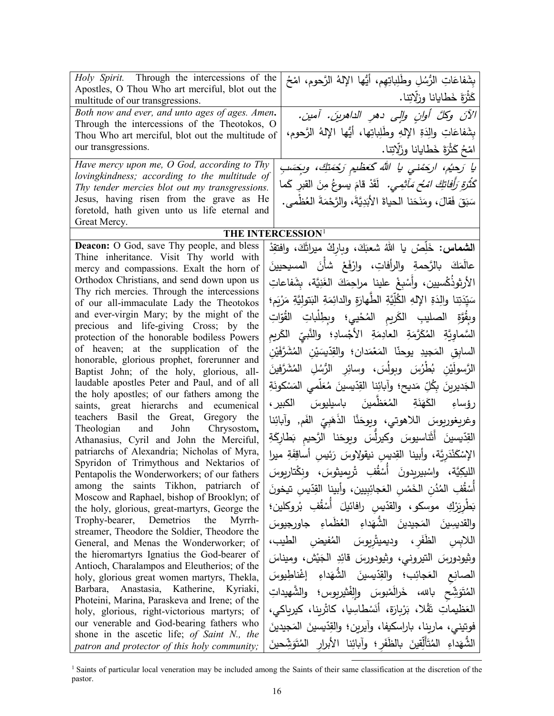| Holy Spirit. Through the intercessions of the<br>Apostles, O Thou Who art merciful, blot out the  | بِشَفاعَاتِ الرُّسُلِ وطَلِباتِهِم، أَيُّها الإِلهُ الرَّحوم، امْحُ                      |
|---------------------------------------------------------------------------------------------------|------------------------------------------------------------------------------------------|
| multitude of our transgressions.                                                                  | كَثْرَةَ خَطَايانا وزلَّاتِنا.                                                           |
| Both now and ever, and unto ages of ages. Amen.                                                   | الآنَ وكُلَّ أُولِنِ وإلِي دهرِ الداهرينَ. آمين.                                         |
| Through the intercessions of the Theotokos, O<br>Thou Who art merciful, blot out the multitude of | بِشَفاعَاتِ والِدَةِ الإِلهِ وطَلِباتِها، أَيُّها الإِلهُ الرَّحومِ،                     |
| our transgressions.                                                                               | امْحُ كَثْرَةَ خَطَايانا وزَلَّاتِنا.                                                    |
| Have mercy upon me, O God, according to Thy                                                       | يا رَحِيُم، اركِمْني يا الله كَعَظيم رَحْمَتِكَ، وبَحَسَبِ                               |
| lovingkindness; according to the multitude of                                                     | كَ <i>نُّتْرَةِ زَأَفاتِكَ امْحْ مَأْتْمِي.</i> لَقَدْ قامَ يسوعُ مِنَ القبرِ كَما       |
| Thy tender mercies blot out my transgressions.<br>Jesus, having risen from the grave as He        |                                                                                          |
| foretold, hath given unto us life eternal and                                                     | سَبَقَ فَقالَ، ومَنَحَنا الحياةَ الأَبَدِيَّةَ، والرَّحْمَةَ العُظْمى.                   |
| Great Mercy.                                                                                      |                                                                                          |
|                                                                                                   | THE INTERCESSION <sup>1</sup>                                                            |
| <b>Deacon:</b> O God, save Thy people, and bless                                                  | <b>الشماس:</b> خَلِّصْ يا اللهُ شعبَكَ، وباركْ ميراثَكَ، وافتقِدْ                        |
| Thine inheritance. Visit Thy world with                                                           | عالَمَكَ بالرَّحمةِ والرأفاتِ، وارْفَعْ شأنَ المسيحيينَ                                  |
| mercy and compassions. Exalt the horn of                                                          |                                                                                          |
| Orthodox Christians, and send down upon us<br>Thy rich mercies. Through the intercessions         | الأرثوذُكْسيين، وأسْبِغْ علينا مراحِمَكَ الغَنِيَّة، بِشَفاعاتِ                          |
| of our all-immaculate Lady the Theotokos                                                          | سَيِّدَتِنا والِدَةِ الإِلهِ الكُلِّيَّةِ الطَّهارَةِ والدائِمَةِ البَتوليَّةِ مَرْيَمٍ؛ |
| and ever-virgin Mary; by the might of the                                                         | وبِقُوَّةِ الصليبِ الكَريمِ المُحْييِ؛ وبِطِلْباتِ القُوّاتِ                             |
| precious and life-giving Cross; by the                                                            |                                                                                          |
| protection of the honorable bodiless Powers                                                       | السَّماوِيَّةِ   المُكَرَّمَةِ   العادِمَةِ   الأجْسادِ؛   والنَّبيِّ   الكَريم          |
| of heaven; at the supplication of the<br>honorable, glorious prophet, forerunner and              | السابِقِ المَجيدِ يوحنّا المَعْمَدانِ؛ والقِدّيسَيْنِ المُشَرَّفَيْنِ                    |
| Baptist John; of the holy, glorious, all-                                                         | الرَّسولَيْن بُطْرُسَ وبولَسَ، وسائِر الرُّسُلِ المُشَرَّفينَ                            |
| laudable apostles Peter and Paul, and of all                                                      | الْجَديرينَ بِكُلِّ مَديح؛ وآبائِنا القِدّيسينَ مُعَلَّمى المَسْكونَةِ                   |
| the holy apostles; of our fathers among the                                                       | رؤساءِ الكَهَنَةِ المُعَظَّمينَ باسيليوسَ الكبيرِ،                                       |
| saints, great hierarchs and ecumenical<br>teachers Basil the Great, Gregory the                   |                                                                                          |
| Theologian and John Chrysostom,                                                                   | وغريغوريوسَ اللاهوتي، ويوحَنَّا الذَهَبِيِّ الفَم, وأبائِنا                              |
| Athanasius, Cyril and John the Merciful,<br>patriarchs of Alexandria; Nicholas of Myra,           | القِدّيسينَ أَثَناسيوسَ وكيرلِّسَ ويوحَنا الرَّحيم بَطاركَةِ                             |
| Spyridon of Trimythous and Nektarios of                                                           | الإِسْكَنْدَرِيَّة، وأبينا القِديسِ نيقولِاوسَ رَئِيسِ أَساقِفَةِ ميرا                   |
| Pentapolis the Wonderworkers; of our fathers                                                      | الليكِيَّة، واسْبيربدونَ أَسْقُفٍ تْربميثوسَ، ونكْتاربوسَ                                |
| among the saints Tikhon, patriarch of<br>Moscow and Raphael, bishop of Brooklyn; of               | أُسْقُفِ المُدُن الخَمْسِ العَجائِبِيين، وأبينا القِدّيسِ تيخونَ                         |
| the holy, glorious, great-martyrs, George the                                                     | بَطْرِيَرْكِ موسكو، والقدّيس رافائيلَ أَسْقُفِ بْروكلين؛                                 |
| Trophy-bearer, Demetrios the Myrrh-<br>streamer, Theodore the Soldier, Theodore the               | والقديسِينَ المَجيدينَ الشَّهَداءِ العُظَماءِ جاورجيوسَ                                  |
| General, and Menas the Wonderworker; of                                                           | اللابس الظَفَر، وديميتْرِيوسَ المُفيضِ الطيب،                                            |
| the hieromartyrs Ignatius the God-bearer of                                                       | وثيودورسَ التيروني، وثيودورسَ قائِدِ الْجَيْش، وميناسَ                                   |
| Antioch, Charalampos and Eleutherios; of the<br>holy, glorious great women martyrs, Thekla,       | الصانِع العَجائِب؛ والقِدّيسينَ الشُّهَداءِ إغْناطِيوسَ                                  |
| Barbara, Anastasia, Katherine, Kyriaki,                                                           | المُتَوَشِّح بالله، خَرالَمْبوسَ والِفْثيربوس؛ والشَّهيداتِ                              |
| Photeini, Marina, Paraskeva and Irene; of the                                                     | العَظيماتِ تَقْلا، بَرْبِارَة، أَنَسْطاسِيا، كاثْرِينا، كيرياكي،                         |
| holy, glorious, right-victorious martyrs; of<br>our venerable and God-bearing fathers who         | فوتيني، مارينا، باراسكيفا، وآيرين؛ والقِدّيسينَ المَجيدينَ                               |
| shone in the ascetic life; of Saint N., the                                                       | الشُّهَداءِ المُتَأَلِّقِينَ بِالظَّفَرِ؛ وآبائِنا الأبرار المُتَوَشِّحينَ               |
| patron and protector of this holy community;                                                      |                                                                                          |

<span id="page-15-0"></span> 1 Saints of particular local veneration may be included among the Saints of their same classification at the discretion of the pastor.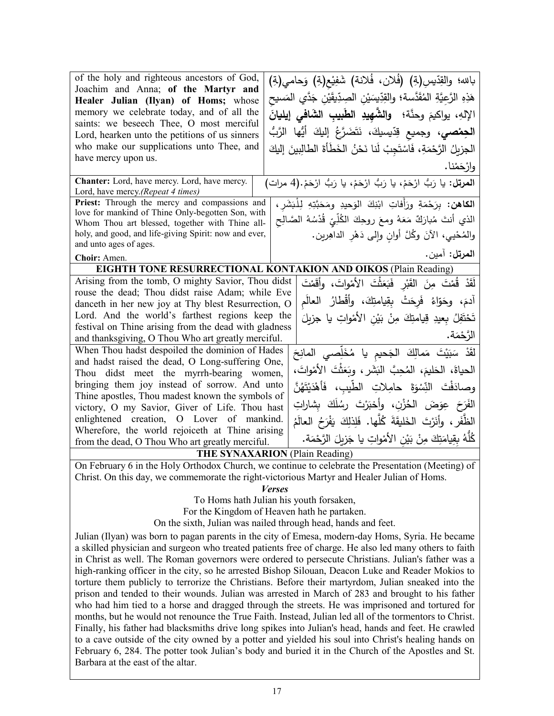| of the holy and righteous ancestors of God,                                                            | بالله؛ والقِدّيسِ(بةِ) (فُلان، فُلانة) شَفِيْع(بةِ) وَحامي(بةِ)                                                                                                                                         |
|--------------------------------------------------------------------------------------------------------|---------------------------------------------------------------------------------------------------------------------------------------------------------------------------------------------------------|
| Joachim and Anna; of the Martyr and<br>Healer Julian (Ilyan) of Homs; whose                            | هَذِهِ الرَّعِيَّةِ المُقَدَّسة؛ والقِدِّيسَيْنِ الصِدِّيقَيْنِ جَدَّيِ المَسيحِ                                                                                                                        |
| memory we celebrate today, and of all the                                                              | الإلهِ، يواكيمَ وحنَّة؛  والشَّهِيدِ الطَّبيبِ الشَّافي إيليانَ                                                                                                                                         |
| saints: we beseech Thee, O most merciful                                                               |                                                                                                                                                                                                         |
| Lord, hearken unto the petitions of us sinners                                                         | ا <b>لحِمْصي،</b> وجميع قِدّيسيكَ، نَتَضَرَّعُ إليكَ أَيُّها الرَّبُّ                                                                                                                                   |
| who make our supplications unto Thee, and<br>have mercy upon us.                                       | الجزيلُ الرَّحْمَةِ، فَاسْتَجِبْ لَنا نَحْنُ الخَطَأَةَ الطالِبِينَ إليكَ                                                                                                                               |
|                                                                                                        | وارْحَمْنا.                                                                                                                                                                                             |
| Chanter: Lord, have mercy. Lord, have mercy.<br>Lord, have mercy.(Repeat 4 times)                      | ا <b>لمرتل:</b> يا رَبُّ ارْحَمْ، يا رَبُّ ارْحَمْ، يا رَبُّ ارْحَمْ.(4 مرات)                                                                                                                           |
| Priest: Through the mercy and compassions and                                                          | ا <b>لْكَاهْنَ</b> : بِرَحْمَةِ ورَأَفَاتِ ابْنِكَ الوَحيدِ ومَحَبَّتِهِ لِلْبَشَرِ ،                                                                                                                   |
| love for mankind of Thine Only-begotten Son, with<br>Whom Thou art blessed, together with Thine all-   | الذي أنتَ مُبارَكٌ مَعَهُ ومعَ روحِكَ الكُلِّيِّ قُدْسُهُ الصَّالِحِ                                                                                                                                    |
| holy, and good, and life-giving Spirit: now and ever,                                                  | والمُحْيي، الآنَ وكُلَّ أوانِ وإلى دَهْرِ الداهِرين.                                                                                                                                                    |
| and unto ages of ages.                                                                                 |                                                                                                                                                                                                         |
| Choir: Amen.                                                                                           | ا <b>لمرتل:</b> آمين.                                                                                                                                                                                   |
|                                                                                                        | EIGHTH TONE RESURRECTIONAL KONTAKION AND OIKOS (Plain Reading)                                                                                                                                          |
| Arising from the tomb, O mighty Savior, Thou didst<br>rouse the dead; Thou didst raise Adam; while Eve | لَقَدْ قُمْتَ مِنَ الْقَبْرِ فَبَعَثْتَ الأَمْواتَ، وأَقَمْتَ                                                                                                                                           |
| danceth in her new joy at Thy blest Resurrection, O                                                    | آدمَ، وحَوّاءُ فَرِحَتْ بِقِيامتِكَ، وأقْطارُ العالَم                                                                                                                                                   |
| Lord. And the world's farthest regions keep the                                                        | تَحْتَفِلُ بِعِيدِ قِيامتِكَ مِنْ بَيْنِ الأَمْواتِ يا جزيلَ                                                                                                                                            |
| festival on Thine arising from the dead with gladness                                                  | الرَّحْمَة.                                                                                                                                                                                             |
| and thanksgiving, O Thou Who art greatly merciful.<br>When Thou hadst despoiled the dominion of Hades  |                                                                                                                                                                                                         |
| and hadst raised the dead, O Long-suffering One,                                                       | لقَدْ سَبَيْتَ مَمالِكَ الْجَحيمِ يا مُخَلِّصـيِ المانِحَ                                                                                                                                               |
| Thou didst meet the myrrh-bearing women,                                                               | الحياة، الحَليمَ، المُحِبَّ البَشَرِ ، وبَعَثْتَ الأَمْواتَ،                                                                                                                                            |
| bringing them joy instead of sorrow. And unto                                                          | وصادَفْتَ النِّسْوَةَ حامِلاتِ الطِّيبِ، فَأَهْدَيْتَهُنَّ                                                                                                                                              |
| Thine apostles, Thou madest known the symbols of<br>victory, O my Savior, Giver of Life. Thou hast     | الفَرَحَ عِوَضَ الحُزْنِ، وأخبَرْتَ رِسُلَكَ بِشاراتِ                                                                                                                                                   |
| enlightened creation, O Lover of mankind.                                                              | الظُّفَرِ ، وأَنَرْتَ الخَليقَةَ كُلُّها. فَلِذلِكَ يَفْرَحُ العالَمُ                                                                                                                                   |
| Wherefore, the world rejoiceth at Thine arising                                                        |                                                                                                                                                                                                         |
| from the dead, O Thou Who art greatly merciful.                                                        | كُلِّهُ بِقِيامَتِكَ مِنْ بَيْنِ الأَمْواتِ يا جَزِيلَ الرَّحْمَة.                                                                                                                                      |
|                                                                                                        | <b>THE SYNAXARION</b> (Plain Reading)                                                                                                                                                                   |
| Christ. On this day, we commemorate the right-victorious Martyr and Healer Julian of Homs.             | On February 6 in the Holy Orthodox Church, we continue to celebrate the Presentation (Meeting) of                                                                                                       |
|                                                                                                        | <b>Verses</b>                                                                                                                                                                                           |
|                                                                                                        | To Homs hath Julian his youth forsaken,                                                                                                                                                                 |
|                                                                                                        | For the Kingdom of Heaven hath he partaken.                                                                                                                                                             |
|                                                                                                        | On the sixth, Julian was nailed through head, hands and feet.                                                                                                                                           |
|                                                                                                        | Julian (Ilyan) was born to pagan parents in the city of Emesa, modern-day Homs, Syria. He became                                                                                                        |
|                                                                                                        | a skilled physician and surgeon who treated patients free of charge. He also led many others to faith                                                                                                   |
|                                                                                                        | in Christ as well. The Roman governors were ordered to persecute Christians. Julian's father was a<br>high-ranking officer in the city, so he arrested Bishop Silouan, Deacon Luke and Reader Mokios to |
|                                                                                                        | torture them publicly to terrorize the Christians. Before their martyrdom, Julian sneaked into the                                                                                                      |
|                                                                                                        | prison and tended to their wounds. Julian was arrested in March of 283 and brought to his father                                                                                                        |
|                                                                                                        | who had him tied to a horse and dragged through the streets. He was imprisoned and tortured for                                                                                                         |
|                                                                                                        | months, but he would not renounce the True Faith. Instead, Julian led all of the tormentors to Christ.                                                                                                  |
|                                                                                                        | Finally, his father had blacksmiths drive long spikes into Julian's head, hands and feet. He crawled                                                                                                    |
|                                                                                                        | to a cave outside of the city owned by a potter and yielded his soul into Christ's healing hands on                                                                                                     |
| Barbara at the east of the altar.                                                                      | February 6, 284. The potter took Julian's body and buried it in the Church of the Apostles and St.                                                                                                      |
|                                                                                                        |                                                                                                                                                                                                         |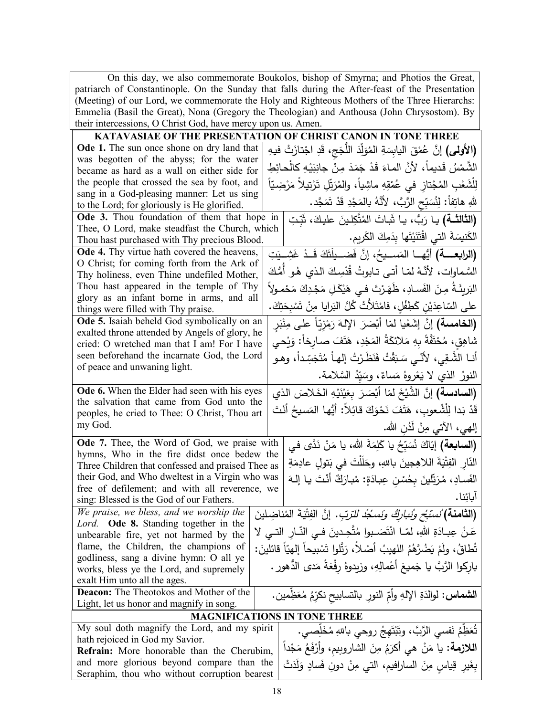On this day, we also commemorate Boukolos, bishop of Smyrna; and Photios the Great, patriarch of Constantinople. On the Sunday that falls during the After-feast of the Presentation (Meeting) of our Lord, we commemorate the Holy and Righteous Mothers of the Three Hierarchs: Emmelia (Basil the Great), Nona (Gregory the Theologian) and Anthousa (John Chrysostom). By their intercessions, O Christ God, have mercy upon us. Amen.

|                                                                                            |    | KATAVASIAE OF THE PRESENTATION OF CHRIST CANON IN TONE THREE                                 |
|--------------------------------------------------------------------------------------------|----|----------------------------------------------------------------------------------------------|
| Ode 1. The sun once shone on dry land that                                                 |    | (الأُولَى) إِنَّ عُمْقَ اليابِسَةِ المُوَلِّدَ اللَّجَجِ، قَدِ اجْتازَتْ فيهِ                |
| was begotten of the abyss; for the water                                                   |    | الشَّمْسُ قَديماً، لأنَّ المـاءَ قَدْ جَمَدَ مِنْ جانِبَيْهِ كالْحـائِطِ                     |
| became as hard as a wall on either side for                                                |    |                                                                                              |
| the people that crossed the sea by foot, and<br>sang in a God-pleasing manner: Let us sing |    | لِلْشَعْبِ المُجْتازِ في عُمْقِهِ ماشِياً، والمُرَتِّلِ تَرْتِيلاً مَرْضِيّاً                |
| to the Lord; for gloriously is He glorified.                                               |    | للهِ هاتِفاً: لِنُسَبِّحِ الرَّبَّ، لأَنَّهُ بِالمَجْدِ قَدْ تَمَجَّد.                       |
| Ode 3. Thou foundation of them that hope in                                                |    | <b>(الثالثــة)</b> يـا رَبُّ، يـا ثَبـاتَ المُتَّكِلـينَ عليكَ، ثَبّـتِ                      |
| Thee, O Lord, make steadfast the Church, which                                             |    |                                                                                              |
| Thou hast purchased with Thy precious Blood.                                               |    | الكَنيسَةَ التي اقْتَنَيْتَها بِدَمِكَ الكَريمِ.                                             |
| Ode 4. Thy virtue hath covered the heavens,                                                |    | <b>(الرابعـــــة)</b> أَيُّهـــا المَســـيحُ، إنَّ فَضـــيلَتَكَ قَــدْ غَشِــيَتِ           |
| O Christ; for coming forth from the Ark of                                                 |    | السَّماوات، لأنَّهُ لمّا أتـى تـابوتُ قُدْسِكَ الـذي هُـو أَمُّكَ                            |
| Thy holiness, even Thine undefiled Mother,                                                 |    |                                                                                              |
| Thou hast appeared in the temple of Thy<br>glory as an infant borne in arms, and all       |    | البَربِئَةُ مِنَ الفَسادِ، ظَهَرْتَ فـي هَيْكَلِ مَجْدِكَ مَحْمـولاً                         |
| things were filled with Thy praise.                                                        |    | على السّاعِدَيْنِ كَطِفْلِ، فامْتَلاَتْ كُلُّ البَرايا مِنْ تَسْبِحَتِكَ.                    |
| Ode 5. Isaiah beheld God symbolically on an                                                |    | <b>(الخامسة)</b> إنَّ إشَعْيا لممّا أَبْصَرَ الإِلهَ رَمْزيّاً على مِنْبَر                   |
| exalted throne attended by Angels of glory, he                                             |    |                                                                                              |
| cried: O wretched man that I am! For I have                                                |    | شاهِق، مُحْتَفَّةً بهِ مَلائكَةُ المَجْدِ، هَتَفَ صارِخاً: وَيْحى                            |
| seen beforehand the incarnate God, the Lord                                                |    | أنــا الشُّـقِي، لأنّــى سَـبَقْتُ فَنَظِّـرْتُ إلهــاً مُتَجَسِّـداً، وهـو                  |
| of peace and unwaning light.                                                               |    | النورُ الذي لا يَعْرُوهُ مَساءٌ، وسَيِّدُ السَّلامة.                                         |
| Ode 6. When the Elder had seen with his eyes                                               |    | (السادسة) إنَّ الشَّيْخَ لمّا أَبْصَرَ بِعَيْنَيْهِ الخَلاصَ الذي                            |
| the salvation that came from God unto the                                                  |    |                                                                                              |
| peoples, he cried to Thee: O Christ, Thou art                                              |    | قَدْ بَدا لِلْشُعوبِ، هَتَفَ نَحْوَكَ قائِلاً: أَيُّها المَسيحُ أَنْتَ                       |
| my God.                                                                                    |    | إلهي، الآتي مِنْ لَدُنِ الله.                                                                |
| Ode 7. Thee, the Word of God, we praise with                                               |    | (ا <b>لسابعة)</b> إيّاكَ نُسَبِّحُ يا كَلِمَةَ الله، يا مَنْ نَدَّى في                       |
| hymns, Who in the fire didst once bedew the                                                |    |                                                                                              |
| Three Children that confessed and praised Thee as                                          |    | النّار الفِتْيَةَ اللاهِجينَ باللهِ، وحَلَلْتَ في بَتولِ عادِمَةِ                            |
| their God, and Who dweltest in a Virgin who was                                            |    | الفَسادِ، مُرَبِّلينَ بِحُسْنِ عِبادَةٍ: مُبارَكٌ أَنْتَ يا إلـهَ                            |
| free of defilement; and with all reverence, we<br>sing: Blessed is the God of our Fathers. |    | أبائِنا.                                                                                     |
| We praise, we bless, and we worship the                                                    |    |                                                                                              |
| Lord. Ode 8. Standing together in the                                                      |    | (ا <b>لثامنة)</b> <i>تُستَبِحُ ونُنبارِكُ ونَسكِذُ للرّبِّ.</i> إنَّ الفِثْيَةَ المُناضِلينَ |
| unbearable fire, yet not harmed by the                                                     | Y. | عَنْ عِبادَةِ اللهِ، لمّا انْتَصَـبوا مُتَّحِـدينَ فـي النّـارِ التـي                        |
| flame, the Children, the champions of                                                      |    | تُطاقُ، ولَمْ يَضُرَّهُمُ اللهيبُ أَصْلاً، رَتَّلوا تَسْبِيحاً إلهيّاً قائلينَ:              |
| godliness, sang a divine hymn: O all ye                                                    |    | باركوا الرَّبَّ يا جَميعَ أَعْمالِهِ، وزيدوهُ رفْعَةً مَدى الدُّهورِ .                       |
| works, bless ye the Lord, and supremely                                                    |    |                                                                                              |
| exalt Him unto all the ages.                                                               |    |                                                                                              |
| <b>Deacon:</b> The Theotokos and Mother of the<br>Light, let us honor and magnify in song. |    | ا <b>لشماس:</b> لوالدَةِ الإلهِ وأمِّ النورِ بالتسابيح نكرِّمُ مُعَظِّمين.                   |
|                                                                                            |    | <b>MAGNIFICATIONS IN TONE THREE</b>                                                          |
| My soul doth magnify the Lord, and my spirit                                               |    |                                                                                              |
| hath rejoiced in God my Savior.                                                            |    | تُعَظِّمُ نَفْسَى الرَّبَّ، وتَبْتَهِجُ روحي باللهِ مُخَلِّصـي.                              |
| <b>Refrain:</b> More honorable than the Cherubim,                                          |    | اللازمة: يا مَنْ هي أكرَمُ مِنَ الشاروبيم، وأَرْفَعُ مَجْداً                                 |
| and more glorious beyond compare than the                                                  |    | بِغَيرِ قِياسٍ مِنَ الساراِفيمِ، التي مِنْ دونِ فَسادٍ وَلَدَتْ                              |
| Seraphim, thou who without corruption bearest                                              |    |                                                                                              |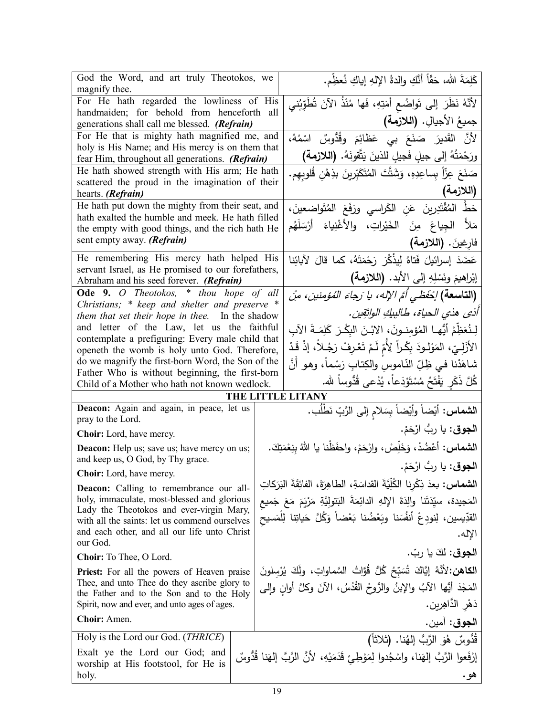| God the Word, and art truly Theotokos, we<br>magnify thee.                                         | كَلِمَةَ الله، حَقّاً أنَّكِ والدةُ الإلهِ إياكِ نُعظِّم.                                     |
|----------------------------------------------------------------------------------------------------|-----------------------------------------------------------------------------------------------|
| For He hath regarded the lowliness of His                                                          |                                                                                               |
|                                                                                                    | لأَنَّهُ نَظَرَ إلى تَواضُعٍ أَمَتِهِ، فَها مُنْذُ الآنَ تُطَوِّبُني                          |
| handmaiden; for behold from henceforth all                                                         | جميعُ الأجيالِ. (اللازمة)                                                                     |
| generations shall call me blessed. (Refrain)<br>For He that is mighty hath magnified me, and       |                                                                                               |
| holy is His Name; and His mercy is on them that                                                    | لأَنَّ القَديرَ صَنَعَ بِي عَظَائِمَ وقُدُوسٌ اسْمُهُ،                                        |
| fear Him, throughout all generations. (Refrain)                                                    | ورَحْمَتُهُ إلى جيلٍ فَجيلٍ للذينَ يَتَّقونَهُ. (اللازمة)                                     |
| He hath showed strength with His arm; He hath                                                      | صَنَعَ عِزّاً بِساعِدِهِ، وَشَتَّتَ المُتَكَبِّرِينَ بذِهْنِ قُلوبِهِم.                       |
| scattered the proud in the imagination of their                                                    |                                                                                               |
| hearts. (Refrain)                                                                                  | (اللازمة)                                                                                     |
| He hath put down the mighty from their seat, and                                                   | حَطَّ المُقْتَدِرِينَ عَنِ الكَراسي ورَفَعَ المُتَواضعينَ،                                    |
| hath exalted the humble and meek. He hath filled                                                   | مَلأَ   الجِياعَ   مِنَ    الخَيْراتِ،    والأغْنِياءَ    أَرْسَلَهُم                         |
| the empty with good things, and the rich hath He                                                   |                                                                                               |
| sent empty away. (Refrain)                                                                         | فارغينَ. (اللازمة)                                                                            |
| He remembering His mercy hath helped His                                                           | عَضَدَ إسرائيلَ فَتاهُ لِيذْكُرَ رَحْمَتَهُ، كما قالَ لآبائِنا                                |
| servant Israel, as He promised to our forefathers,<br>Abraham and his seed forever. (Refrain)      | إبْراهيمَ ونَسْلِهِ إلى الأبد. (اللازمة)                                                      |
| Ode 9. O Theotokos, * thou hope of all                                                             | (ا <b>لتاسعة)</b> <i>إخَفَظي أمَّ الإله، يا رَجاءَ المُؤمِنين، منْ</i>                        |
| Christians; * keep and shelter and preserve *<br>them that set their hope in thee. In the shadow   | أذى هذى الحياة، طالبِيكِ الواثقِينِ.                                                          |
| and letter of the Law, let us the faithful                                                         | لِـنُعَظِّمْ أَيُّهـا المُؤمِنـونَ، الابْـنَ البِكْـرَ كَلِمَــةَ الآبِ                       |
| contemplate a prefiguring: Every male child that                                                   | الأَزَلِيِّ، المَوْلِـودَ بِكْـراً لِأُمِّ لَـمْ تَعْرِفْ رَجُـلاً، إذْ قَـدْ                 |
| openeth the womb is holy unto God. Therefore,<br>do we magnify the first-born Word, the Son of the |                                                                                               |
| Father Who is without beginning, the first-born                                                    | شاهَدْنا فـي ظِلِّ النّاموسِ والكِتابِ رَسْماً، وهو أنَّ                                      |
| Child of a Mother who hath not known wedlock.                                                      | كُلَّ ذَكَرٍ يَفْتَحُ مُسْتَوْدَعاً، يُدْعى قُدُّوساً لله.                                    |
|                                                                                                    | THE LITTLE LITANY                                                                             |
| Deacon: Again and again, in peace, let us                                                          |                                                                                               |
| pray to the Lord.                                                                                  | ا <b>لشماس:</b> أَيْضاً وأَيْضاً بِسَلام إلى الرَّبِّ نَطْلُب.                                |
| <b>Choir:</b> Lord, have mercy.                                                                    | ا <b>لجوق</b> : يا ربُّ ارْحَمْ.                                                              |
| <b>Deacon:</b> Help us; save us; have mercy on us;<br>and keep us, O God, by Thy grace.            | ا <b>لشماس:</b> أعْضُدْ، وَخَلِّصْ، وارْحَمْ، واحفَظْنا يا اللهُ بِنِعْمَتِكَ.                |
| Choir: Lord, have mercy.                                                                           | ا <b>لجوق</b> : يا ربُّ ارْحَمْ.                                                              |
| <b>Deacon:</b> Calling to remembrance our all-                                                     | ا <b>لشماس:</b> بعدَ ذِكْرِنا الكُلِّيَّةَ القداسَةِ، الطاهِرَةَ، الفائِقَةَ البَرَكاتِ       |
| holy, immaculate, most-blessed and glorious                                                        | المَجيدة، سيِّدَتَنا والِدَةَ الإِلهِ الدائِمَةَ البَتولِيَّةِ مَرْيَمَ مَعَ جَميع            |
| Lady the Theotokos and ever-virgin Mary,<br>with all the saints: let us commend ourselves          | القدِّيسين، لِنودِعْ أَنفُسَنا وبَعْضُنا بَعْضاً وَكُلَّ حَياتِنا لِلْمَسيح                   |
| and each other, and all our life unto Christ                                                       | الإله.                                                                                        |
| our God.                                                                                           | ا <b>لجوق:</b> لكَ يا ربّ.                                                                    |
| Choir: To Thee, O Lord.                                                                            |                                                                                               |
| Priest: For all the powers of Heaven praise                                                        | ا <b>لكاهن:</b> 'لأَنَّهُ إِيَّاكَ شُبَحٌ كُلُّ قُوَّاتُ السَّماواتِ، ولَكَ يُرْسلونَ         |
| Thee, and unto Thee do they ascribe glory to                                                       | المَجْدَ أَيُّها الآبُ والإِبنُ والرُّوحُ القُدُسُ، الآنَ وكلَّ أُوانٍ وإِلَى                 |
| the Father and to the Son and to the Holy<br>Spirit, now and ever, and unto ages of ages.          | دَهْرِ الدّاهِرينِ.                                                                           |
| Choir: Amen.                                                                                       |                                                                                               |
| Holy is the Lord our God. (THRICE)                                                                 | ا <b>لجوق</b> : آمين.                                                                         |
| Exalt ye the Lord our God; and                                                                     | قُدُّوسٌ هُوَ الرَّبُّ إِلهُنا. (ثلاثاً)                                                      |
| worship at His footstool, for He is                                                                | إِرْفَعوا الرَّبَّ إِلهَنا، واسْجُدوا لِمَوْطِئٍ قَدَمَيْهِ، لأَنَّ الرَّبَّ إِلهَنا قُدُّوسٌ |
| holy.                                                                                              | هو .                                                                                          |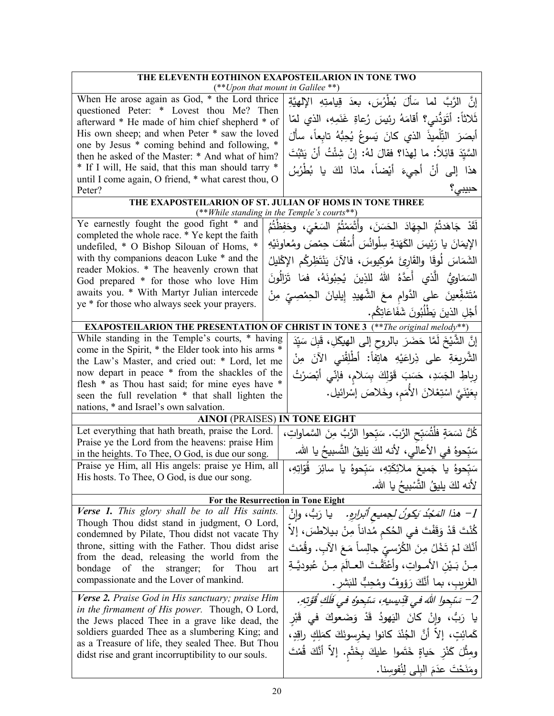|                                                                                                       | THE ELEVENTH EOTHINON EXAPOSTEILARION IN TONE TWO<br>$(**Upon$ that mount in Galilee **) |                                                                                       |  |  |
|-------------------------------------------------------------------------------------------------------|------------------------------------------------------------------------------------------|---------------------------------------------------------------------------------------|--|--|
|                                                                                                       |                                                                                          |                                                                                       |  |  |
| When He arose again as God, * the Lord thrice                                                         |                                                                                          | إِنَّ الرَّبَّ لما سَأَلَ بُطْرُسَ، بعدَ قِيامتِهِ الإلهيَّةِ                         |  |  |
| questioned Peter: * Lovest thou Me? Then<br>afterward * He made of him chief shepherd * of            |                                                                                          | ثَلاثاً: أَتَوَدُّني؟ أقامَهُ رِئِيسَ رُعاةِ غَنَمِهِ، الذي لمّا                      |  |  |
| His own sheep; and when Peter * saw the loved                                                         |                                                                                          | أَبِصَرَ   التِّلْميذَ  الذي  كانَ  يَسوعُ  يُحِبُّهُ  تابعاً،  سأَلَ                 |  |  |
| one by Jesus * coming behind and following, *                                                         |                                                                                          | السَّيّدَ قائِلاً: ما لِهذا؟ فقالَ لهُ: إنْ شِئْتُ أَنْ يَثْبُتَ                      |  |  |
| then he asked of the Master: * And what of him?<br>* If I will, He said, that this man should tarry * |                                                                                          |                                                                                       |  |  |
| until I come again, O friend, * what carest thou, O                                                   |                                                                                          | هذا إلى أنْ أجيءَ أيْضاً، ماذا لكَ يا بُطْرُسُ                                        |  |  |
| Peter?                                                                                                |                                                                                          | حبيبي؟                                                                                |  |  |
|                                                                                                       |                                                                                          | THE EXAPOSTEILARION OF ST. JULIAN OF HOMS IN TONE THREE                               |  |  |
|                                                                                                       |                                                                                          | (** While standing in the Temple's courts**)                                          |  |  |
| Ye earnestly fought the good fight * and<br>completed the whole race. * Ye kept the faith             |                                                                                          | لَقَدْ جَاهَدتُمُ الْجِهَادَ الْحَسَنَ، وأَتْمَمْتُمُ السَعْيَ، وحَفِظْتُمُ           |  |  |
| undefiled, * O Bishop Silouan of Homs, *                                                              |                                                                                          | الإيمَانَ يا رَئِيسَ الكَهَنةِ سِلْوانُسَ أَسْقُفَ حِمْصَ ومُعاونَيْهِ                |  |  |
| with thy companions deacon Luke * and the                                                             |                                                                                          | الشَمَاسَ لُوقَا والقَارِئَ مُوكِيوسَ، فالآنَ يَنْتَظِرِكُم الإِكْليلُ                |  |  |
| reader Mokios. * The heavenly crown that<br>God prepared * for those who love Him                     |                                                                                          | السَمَاوِيُّ  الَّذي  أَعدَّهُ   اللهُ   للذِينَ   يُحِبُونَهُ،   فمَا   تَزالُونَ    |  |  |
| awaits you. * With Martyr Julian intercede                                                            |                                                                                          | مُتَشفِّعينَ على الدَّوام معَ الشَّهيدِ إِيليانَ الحِمْصِيِّ مِنْ                     |  |  |
| ye * for those who always seek your prayers.                                                          |                                                                                          | أَجْلِ الذينَ يَطْلُبُونَ شَفَاعَاتِكُم.                                              |  |  |
|                                                                                                       |                                                                                          | <b>EXAPOSTEILARION THE PRESENTATION OF CHRIST IN TONE 3</b> (**The original melody**) |  |  |
| While standing in the Temple's courts, * having                                                       |                                                                                          |                                                                                       |  |  |
| come in the Spirit, * the Elder took into his arms *                                                  |                                                                                          | إِنَّ الشَّيْخَ لَمَّا حَضَرَ بِالروحِ إِلَى الْهِيكَلِ، قَبِلَ سَيِّدَ               |  |  |
| the Law's Master, and cried out: * Lord, let me                                                       |                                                                                          | الشَّرِيعَةِ على ذِراعَيْهِ هاتِفاً: أَطْلِقْني الآنَ مِنْ                            |  |  |
| now depart in peace * from the shackles of the                                                        |                                                                                          | رِباطِ الجَسَدِ، حَسَبَ قَوْلِكَ بِسَلامٍ، فإنّي أَبْصَرْتُ                           |  |  |
| flesh * as Thou hast said; for mine eyes have *                                                       |                                                                                          | بِعَيْنَيَّ اسْتِعْلَانَ الأَمَمِ، وخَلَاصَ إِسْرَائِيل.                              |  |  |
| seen the full revelation * that shall lighten the<br>nations, * and Israel's own salvation.           |                                                                                          |                                                                                       |  |  |
|                                                                                                       |                                                                                          | <b>AINOI</b> (PRAISES) IN TONE EIGHT                                                  |  |  |
| Let everything that hath breath, praise the Lord.                                                     |                                                                                          | كُلُّ نَسَمَةٍ فَلْثُسَبِّحِ الرَّبِّ. سَبِّحوا الرَّبَّ مِنَ السَّماواتِ،            |  |  |
| Praise ye the Lord from the heavens: praise Him                                                       |                                                                                          | سَبِّحوهُ في الأعالي، لأنه لكَ يَليقُ التَّسبيحُ يا الله.                             |  |  |
| in the heights. To Thee, O God, is due our song.<br>Praise ye Him, all His angels: praise ye Him, all |                                                                                          |                                                                                       |  |  |
| His hosts. To Thee, O God, is due our song.                                                           |                                                                                          | سَبّحوهُ يا جَميعَ ملائِكَتِهِ، سَبّحوهُ يا سائِرَ قُوّاتِهِ،                         |  |  |
|                                                                                                       |                                                                                          | لأنه لكَ يليقُ التَّسْبِيحُ يا الله.                                                  |  |  |
|                                                                                                       |                                                                                          | For the Resurrection in Tone Eight                                                    |  |  |
| Verse 1. This glory shall be to all His saints.                                                       |                                                                                          | 1− هذ <i>ا المَجْدُ يَكونُ لِجِميعِ أُبْرارِهِ.</i> يا رَبُّ، وإِنْ                   |  |  |
| Though Thou didst stand in judgment, O Lord,<br>condemned by Pilate, Thou didst not vacate Thy        |                                                                                          | كُنْتَ قَدْ وَقَفْتَ فـى الـحُكم مُداناً مِنْ بـيلاطسَ، إلاّ                          |  |  |
| throne, sitting with the Father. Thou didst arise                                                     |                                                                                          | أَنَّكَ لَمْ تَخْلُ مِنَ الكُرْسيِّ جالِساً مَعَ الآبِ. وقُمْتَ                       |  |  |
| from the dead, releasing the world from the<br>of the<br>stranger;<br>Thou<br>bondage<br>for          |                                                                                          | مِـنْ بَـيْنِ الأَمــواتِ، وأَعْتَقْتَ الْعــالَمَ مِـنْ عُبوديَّــةِ                 |  |  |
| compassionate and the Lover of mankind.                                                               | art                                                                                      | الغَريبِ، بما أَنَّكَ رَؤوفٌ ومُحِبٌّ للبَشرِ .                                       |  |  |
| Verse 2. Praise God in His sanctuary; praise Him                                                      |                                                                                          |                                                                                       |  |  |
| in the firmament of His power. Though, O Lord,                                                        |                                                                                          | 2– مَتَّبِحوا اللهَ في قَدِيسِيهِ، مَتَّبِحوهُ في قَلَكِ قُوَّتِهِ.                   |  |  |
| the Jews placed Thee in a grave like dead, the                                                        |                                                                                          | يا رَبُّ، وإِنْ كانَ اليَهودُ قَدْ وَضَعوكَ في قَبْر                                  |  |  |
| soldiers guarded Thee as a slumbering King; and<br>as a Treasure of life, they sealed Thee. But Thou  |                                                                                          | كَمائِتٍ، إلاَّ أَنَّ الْجُنْدَ كانوا يحْرسونَكَ كمَلِكٍ راقِدٍ،                      |  |  |
| didst rise and grant incorruptibility to our souls.                                                   |                                                                                          | ومِثْلَ كَنْزِ حَياةٍ خَتَموا عليكَ بِخَتْم. إلاَّ أنَّكَ قُمْتَ                      |  |  |
|                                                                                                       |                                                                                          | ومَنَحْتَ عدَمَ البِلِّي لِنُفوسِنا.                                                  |  |  |
|                                                                                                       |                                                                                          |                                                                                       |  |  |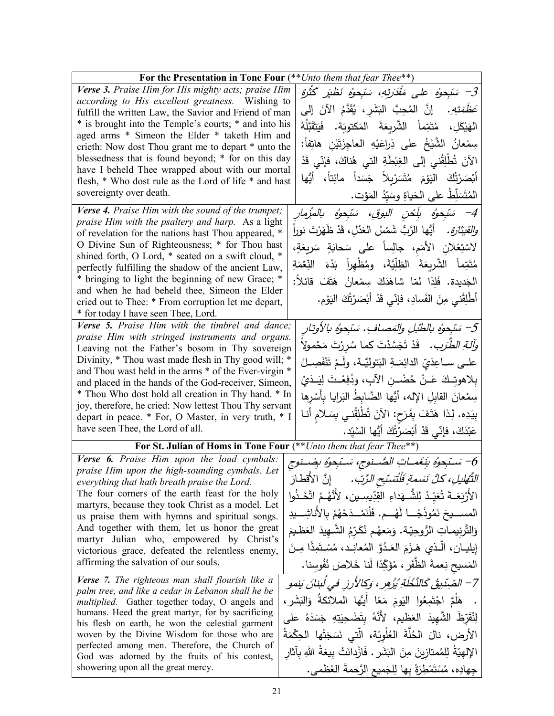| For the Presentation in Tone Four (** <i>Unto them that fear Thee</i> **)                                                                                                                  |
|--------------------------------------------------------------------------------------------------------------------------------------------------------------------------------------------|
| Verse 3. Praise Him for His mighty acts; praise Him<br>3– سَبْحوُهِ على مَقْدَرتِهِ، سَبْحوُهِ نَظْيَرِ كَثْرَةِ                                                                           |
| according to His excellent greatness. Wishing to<br>صَ <i>َطَّمَتِهِ.</i> إِنَّ الْمُحِبَّ الْبَشَرِ ، يُقَدَّمُ الآنَ إلى<br>fulfill the written Law, the Savior and Friend of man        |
| * is brought into the Temple's courts; * and into his<br>الهَيْكَلِ، مُتَمِّماً الشَّرِيعَةَ المَكتوبَة. فَيَتَقَبَّلُهُ                                                                   |
| aged arms * Simeon the Elder * taketh Him and<br>سِمْعانُ الشَّيْخُ على ذِراعَيْهِ العاجِزَتَيْنِ هاتِفاً:<br>crieth: Now dost Thou grant me to depart * unto the                          |
| blessedness that is found beyond; * for on this day<br>الآنَ تُطْلِقُني إِلَى الغِبْطَةِ التي هُناكَ، فإنّي قَدْ                                                                           |
| have I beheld Thee wrapped about with our mortal<br>أَبْصَرْتُكَ الْيَوْمَ مُتَسَرْبِلاً جَسَداً مائِتاً، أَيُّها<br>flesh, * Who dost rule as the Lord of life * and hast                 |
| sovereignty over death.<br>المُتَسَلِّطُ على الحَياةِ وسَيّدُ المَوْت.                                                                                                                     |
| Verse 4. Praise Him with the sound of the trumpet;<br>4– سَبْحوُه بِلَحْنِ البوقِ، سَبْحوُه بالمزْمار                                                                                      |
| praise Him with the psaltery and harp. As a light<br><i>والقيثارَةِ.</i> أيُّها الرَّبُّ شَمْسُ العَدْلِ، قَدْ ظَهَرْتَ نوراً                                                              |
| of revelation for the nations hast Thou appeared, *<br>O Divine Sun of Righteousness; * for Thou hast<br>لاسْتِعْلان الأُمَم، جالِساً على سَحابَةٍ سَرِيعَةٍ،                              |
| shined forth, O Lord, * seated on a swift cloud, *                                                                                                                                         |
| مُتَمِّماً الشَّرِيعَةَ الظِلِّيَّةَ، ومُظْهِراً بَدْءَ النِّعْمَةِ<br>perfectly fulfilling the shadow of the ancient Law,<br>* bringing to light the beginning of new Grace; *            |
| الْجَديدة. فَلِذا لْمّا شاهَدَكَ سِمْعانُ هَتَفَ قائلاً:<br>and when he had beheld thee, Simeon the Elder                                                                                  |
| أَطْلِقْني مِنَ الفَسادِ، فإنّي قَدْ أَبْصَرْتُكَ الْيَوْمِ.<br>cried out to Thee: * From corruption let me depart,<br>* for today I have seen Thee, Lord.                                 |
| Verse 5. Praise Him with the timbrel and dance;<br>5– سَبْحوهُ بالطُبْلِ والمَصـافِ. سَبْحوهُ بالأوتار                                                                                     |
| praise Him with stringed instruments and organs.<br><i>وآلةِ الطَّرَب.</i> قَدْ تَجَسَّدْتَ كما سُررْتَ مَحْمولاً                                                                          |
| Leaving not the Father's bosom in Thy sovereign<br>Divinity, * Thou wast made flesh in Thy good will; *<br>علــى ســاعِدَيّ الدائِمَــةِ البَتوليَّــة، ولَــمْ تَنْفَصِــلْ               |
| and Thou wast held in the arms * of the Ever-virgin *                                                                                                                                      |
| بِلاهوتِكَ عَـنْ حُضْـنِ الآبِ، وذُفِعْـتَ لِيَـدَيْ<br>and placed in the hands of the God-receiver, Simeon,<br>* Thou Who dost hold all creation in Thy hand. * In                        |
| سِمْعانَ القابلِ الإِله، أَيُّها الضَّابطُ البَرايا بأسْرِها<br>joy, therefore, he cried: Now lettest Thou Thy servant                                                                     |
| بِيَدِه. لِذا هَتَفَ بِفَرَح: الآنَ تُطْلِقُني بِسَلام أنـا<br>depart in peace. * For, O Master, in very truth, * I                                                                        |
| have seen Thee, the Lord of all.<br>عَبْدَكَ، فإنّي قَدْ أَبْصَرْتُكَ أَيُّها السَّيِّد.                                                                                                   |
| For St. Julian of Homs in Tone Four (** Unto them that fear Thee**)                                                                                                                        |
| Verse 6. Praise Him upon the loud cymbals:<br>6– سَتَجوهُ بِنَغَمـاتِ الصُّـنوجِ، سَتَجوهُ بِصُـنوج<br>praise Him upon the high-sounding cymbals. Let                                      |
| <i>التَّهْليلِ، كلُّ نَسَمةٍ فَلْتُسَبِّحِ الرَّ</i> بِّ.       إِنَّ الأَقطارَ<br>everything that hath breath praise the Lord.                                                            |
| الأَرْبَعَــةَ تُعَيِّـدُ لِلشُّــهَداءِ القِدِّيسِــينِ، لأَنَّهُـمُ اتَّخَـذُوا<br>The four corners of the earth feast for the holy<br>martyrs, because they took Christ as a model. Let |
| المســــيحَ نَمُوذَجَـــــا لَهُــــم. فَلْنَمْـــدَحْهُمْ بالأناشِــــيدِ<br>us praise them with hymns and spiritual songs.                                                               |
| And together with them, let us honor the great<br>وَالتَّرنيمـاتِ الرُّوحِيّـة. وَمَعهُم نُكَرِّمُ الشَّـهِيدَ العَظـيمَ                                                                   |
| martyr Julian who, empowered by Christ's<br>إيليــان، الَّـذي هَـزَمَ العَـدُوَّ المُعانِـد، مُسْـتَمِدًّا مِـنَ<br>victorious grace, defeated the relentless enemy,                       |
| affirming the salvation of our souls.<br>المَسيح نِعمةَ الظَّفَرِ ، مُؤَكِّدًا لَذا خَلاصَ نُفُوسنا.                                                                                       |
| <b>Verse</b> 7. The righteous man shall flourish like a<br>7 – الصِّدِّيقْ كَالنَّخْلَةِ ُيُرْهِرِ ، وَكالأُرزِ في لُبنانَ يَنمو<br>palm tree, and like a cedar in Lebanon shall he be     |
| .   هَلَمَّ اجْتَمِعُوا  اليَومَ  مَعًا  أَيُّها  الملائكةُ  وَالبَشَر ،<br>multiplied. Gather together today, O angels and                                                                |
| humans. Heed the great martyr, for by sacrificing<br>لِنُقَرِّظَ الشَّهِيدَ العَظيم، لأَنَّهُ بِتَضْحِيَتِهِ جَسَدَهُ على<br>his flesh on earth, he won the celestial garment              |
| الأرض، نالَ الخُلَّةَ العُلْويَّة، الَّتى نَسَجَتْها الحِكْمَةُ<br>woven by the Divine Wisdom for those who are                                                                            |
| perfected among men. Therefore, the Church of<br>الإلهِيّةَ لِلمُمتازِينَ مِنَ النَشَرِ . فَازْدانَتْ بِيعَةُ اللهِ بِأثارِ<br>God was adorned by the fruits of his contest,               |
| جِهادِه، مُسْتَمْطِرَةً بِها لِلجَميعِ الرَّحمةَ العُظمى.<br>showering upon all the great mercy.                                                                                           |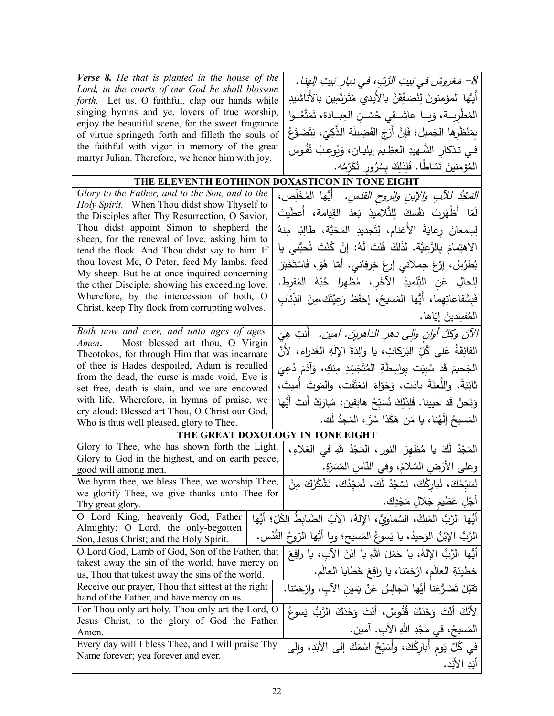| Verse 8. He that is planted in the house of the                                                          | 8– مَغروسٌ في بَيتِ الرَّبِّ، في دِيارِ بَيتِ إلهنا .                               |  |
|----------------------------------------------------------------------------------------------------------|-------------------------------------------------------------------------------------|--|
| Lord, in the courts of our God he shall blossom                                                          |                                                                                     |  |
| forth. Let us, O faithful, clap our hands while                                                          | أَيُّها المؤمنونَ لِنُصَفِّقَنَّ بالأيدي مُتَرَنِّمِين بالأناشيدِ                   |  |
| singing hymns and ye, lovers of true worship,                                                            | المُطْرِبة، وَيِــا عاشِــقِي حُسْــن العِبــادة، تَمَتَّعُــوا                     |  |
| enjoy the beautiful scene, for the sweet fragrance<br>of virtue springeth forth and filleth the souls of | بِمَنْظَرِها الجَميل؛ فَإِنَّ أَرَجَ الفَضِيلَةِ الذَّكِىّ، يَتَضَوَّعُ             |  |
| the faithful with vigor in memory of the great                                                           | في تَذكار الشَّهيدِ العَظِيمِ إيليانِ، وَيُوعِبُ نُفُوسَ                            |  |
| martyr Julian. Therefore, we honor him with joy.                                                         | الْمُؤْمِنِينَ نَشَاطًا. فَلِذَلِكَ بِسُرُورٍ نُكَرِّمُه.                           |  |
|                                                                                                          | THE ELEVENTH EOTHINON DOXASTICON IN TONE EIGHT                                      |  |
| Glory to the Father, and to the Son, and to the                                                          |                                                                                     |  |
| Holy Spirit. When Thou didst show Thyself to                                                             | <i>المَعْدُ للأبِ والإبنِ والروح القدَسِ.</i> أَيُّها المُخَلِّص،                   |  |
| the Disciples after Thy Resurrection, O Savior,                                                          | لَمّا أَظْهَرتَ نَفْسَكَ لِلتَّلاميذِ بَعدَ القِيامَة، أَعطَيتَ                     |  |
| Thou didst appoint Simon to shepherd the                                                                 | لِسِمعانَ رِعايَةَ الأغنام، لِتَجديدِ المَحَبَّة، طالِبًا مِنهُ                     |  |
| sheep, for the renewal of love, asking him to<br>tend the flock. And Thou didst say to him: If           | الاهتِمامَ بِالرَّعِيَّة. لِذَلِكَ قُلتَ لَهُ: إنْ كُنْتَ تُحِبُّني يا              |  |
| thou lovest Me, O Peter, feed My lambs, feed                                                             | بُطْرُسُ، إِرْعَ حِملاني إِرعَ خِرِفاني. أَمّا هُوَ، فَاسْتَخبَرَ                   |  |
| My sheep. But he at once inquired concerning                                                             |                                                                                     |  |
| the other Disciple, showing his exceeding love.<br>Wherefore, by the intercession of both, O             | لِلحالِ   عَن   التِّلميذِ   الآخَرِ ،   مُظهِرًا   حُبَّهُ   المُفرط.              |  |
| Christ, keep Thy flock from corrupting wolves.                                                           | فَبِشَفاعاتِهِما، أَيُّها المَسيحُ، إحفَظ رَعِيَّتَك،مِنَ الذِّئابِ                 |  |
|                                                                                                          | المُفسِدينَ إِيّاها.                                                                |  |
| Both now and ever, and unto ages of ages.                                                                | الآنَ وكلَّ أوانِ والِي دهرِ الداهرينَ. آمين.   أنتِ هِيَ                           |  |
| Amen. Most blessed art thou, O Virgin                                                                    | الفائِقَةُ عَلى كُلِّ البَرَكاتِ، يا والِدَةَ الإِلَهِ العَذراءِ، لأَنَّ            |  |
| Theotokos, for through Him that was incarnate                                                            |                                                                                     |  |
| of thee is Hades despoiled, Adam is recalled<br>from the dead, the curse is made void, Eve is            | الْجَحيمَ قَد سُبِيَت بِواسِطَةِ الْمُتَجَسِّدِ مِنكِ، وَأَدَمَ دُعِيَ              |  |
| set free, death is slain, and we are endowed                                                             | ثانِيَةً، واللَّعنَةَ بادَت، وَحَوّاءَ انعَتَقَت، والمَوتَ أميتَ،                   |  |
| with life. Wherefore, in hymns of praise, we                                                             | وَنَحنُ قَد حَيينا. فَلِذَلِكَ نُسَبِّحُ هاتِفين: مُبارَكٌ أنتَ أَيُّها             |  |
| cry aloud: Blessed art Thou, O Christ our God,                                                           |                                                                                     |  |
| Who is thus well pleased, glory to Thee.                                                                 | المَسيحُ إِلَهُنا، يا مَن هَكَذا سُرَّ ، المَجدُ لَك.                               |  |
| THE GREAT DOXOLOGY IN TONE EIGHT                                                                         |                                                                                     |  |
| Glory to Thee, who has shown forth the Light.                                                            | المَجْدُ لَكَ يا مُظهِرَ النورِ ، المَجْدُ للهِ في العَلاءِ،                        |  |
| Glory to God in the highest, and on earth peace,<br>good will among men.                                 | وعلى الأرْضِ السَّلامُ، وفي النَّاسِ المَسَرَّةِ.                                   |  |
| We hymn thee, we bless Thee, we worship Thee,                                                            | نُسَبِّحُكَ، نُبارِكُكَ، نَسْجُدُ لَكَ، نُمَجِّدُكَ، نَشْكُرُكَ مِنْ                |  |
| we glorify Thee, we give thanks unto Thee for                                                            |                                                                                     |  |
| Thy great glory.                                                                                         | أَجْلِ عَظْيم جَلالٍ مَجْدِك.                                                       |  |
| O Lord King, heavenly God, Father                                                                        | أَيُّها الرَّبُّ المَلِكُ، السَّماوِيُّ، الإِلهُ، الآبُ الضَّابِطُ الكُلِّ؛ أَيُّها |  |
| Almighty; O Lord, the only-begotten<br>Son, Jesus Christ; and the Holy Spirit.                           | الرَّبُّ الإِبْنُ الوَحِيدُ، يا يَسوعُ المَسيحِ؛ ويا أَيُّها الرّوحُ القُدُسِ.      |  |
| O Lord God, Lamb of God, Son of the Father, that                                                         | أَيُّها الرَّبُّ الإِلهُ، يا حَمَلَ اللهِ يا ابْنَ الآبِ، يا رافِعَ                 |  |
| takest away the sin of the world, have mercy on                                                          | خطيئةِ العالَم، ارْحَمْنا، يا رافِعَ خَطايا العالَم.                                |  |
| us, Thou that takest away the sins of the world.                                                         |                                                                                     |  |
| Receive our prayer, Thou that sittest at the right<br>hand of the Father, and have mercy on us.          | نَقَبَّلْ تَضَرُّعَنا أَيُّها الْجالِسُ عَنْ يَمين الآبِ، وارْحَمْنا.               |  |
| For Thou only art holy, Thou only art the Lord, O                                                        | لأَنَّكَ أَنْتَ وَحْدَكَ قُدُّوسٌ، أَنْتَ وَحْدَكَ الرَّبُّ يَسوعُ                  |  |
| Jesus Christ, to the glory of God the Father.                                                            | المَسيحُ، في مَجْدِ اللهِ الآبِ. آمين.                                              |  |
| Amen.<br>Every day will I bless Thee, and I will praise Thy                                              |                                                                                     |  |
| Name forever; yea forever and ever.                                                                      | في كُلِّ يَومٍ أَبارِكُكَ، وأَسَبِّحُ اسْمَكَ إلى الأَبَدِ، وإلى                    |  |
|                                                                                                          | أَبَدِ الأَبَدِ.                                                                    |  |